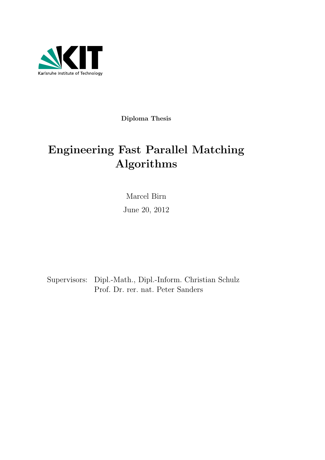

Diploma Thesis

# Engineering Fast Parallel Matching Algorithms

Marcel Birn June 20, 2012

Supervisors: Dipl.-Math., Dipl.-Inform. Christian Schulz Prof. Dr. rer. nat. Peter Sanders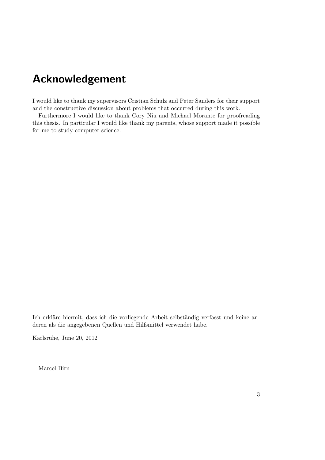## Acknowledgement

I would like to thank my supervisors Cristian Schulz and Peter Sanders for their support and the constructive discussion about problems that occurred during this work.

Furthermore I would like to thank Cory Niu and Michael Morante for proofreading this thesis. In particular I would like thank my parents, whose support made it possible for me to study computer science.

Ich erkläre hiermit, dass ich die vorliegende Arbeit selbständig verfasst und keine anderen als die angegebenen Quellen und Hilfsmittel verwendet habe.

Karlsruhe, June 20, 2012

Marcel Birn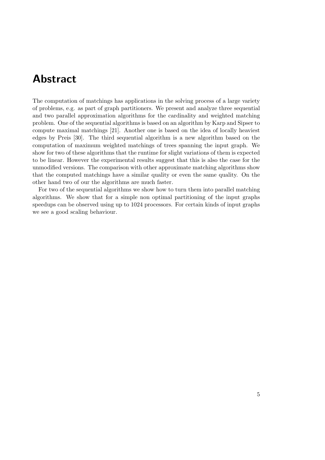## <span id="page-4-0"></span>Abstract

The computation of matchings has applications in the solving process of a large variety of problems, e.g. as part of graph partitioners. We present and analyze three sequential and two parallel approximation algorithms for the cardinality and weighted matching problem. One of the sequential algorithms is based on an algorithm by Karp and Sipser to compute maximal matchings [\[21\]](#page-123-0). Another one is based on the idea of locally heaviest edges by Preis [\[30\]](#page-124-0). The third sequential algorithm is a new algorithm based on the computation of maximum weighted matchings of trees spanning the input graph. We show for two of these algorithms that the runtime for slight variations of them is expected to be linear. However the experimental results suggest that this is also the case for the unmodified versions. The comparison with other approximate matching algorithms show that the computed matchings have a similar quality or even the same quality. On the other hand two of our the algorithms are much faster.

For two of the sequential algorithms we show how to turn them into parallel matching algorithms. We show that for a simple non optimal partitioning of the input graphs speedups can be observed using up to 1024 processors. For certain kinds of input graphs we see a good scaling behaviour.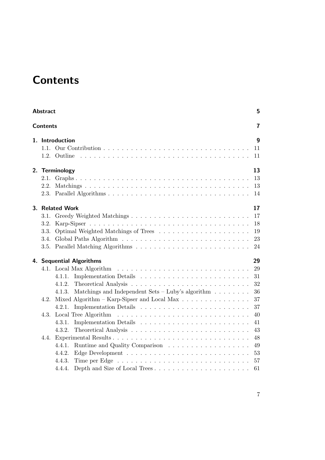# <span id="page-6-0"></span>**Contents**

|    | 5<br><b>Abstract</b>         |                                                                                                                             |                                  |  |  |  |
|----|------------------------------|-----------------------------------------------------------------------------------------------------------------------------|----------------------------------|--|--|--|
|    | <b>Contents</b>              |                                                                                                                             | 7                                |  |  |  |
|    | 1.1.                         | 1. Introduction<br>1.2. Outline                                                                                             | 9<br>11<br>11                    |  |  |  |
|    |                              | 2. Terminology                                                                                                              | 13<br>13<br>13<br>14             |  |  |  |
| 3. | 3.1.<br>3.2.<br>3.3.<br>3.4. | <b>Related Work</b>                                                                                                         | 17<br>17<br>18<br>19<br>23<br>24 |  |  |  |
|    |                              | 4. Sequential Algorithms<br>4.1.1.<br>4.1.2.<br>Matchings and Independent Sets – Luby's algorithm $\ldots \ldots$<br>4.1.3. | 29<br>29<br>31<br>32<br>36       |  |  |  |
|    | 4.2.<br>4.3.                 | Mixed Algorithm – Karp-Sipser and Local Max $\dots \dots \dots \dots \dots$<br>4.2.1.<br>4.3.1.<br>4.3.2.                   | 37<br>37<br>40<br>41<br>43       |  |  |  |
|    | 4.4.                         | 4.4.1.<br>4.4.2.<br>4.4.3.<br>4.4.4.                                                                                        | 48<br>49<br>53<br>57<br>61       |  |  |  |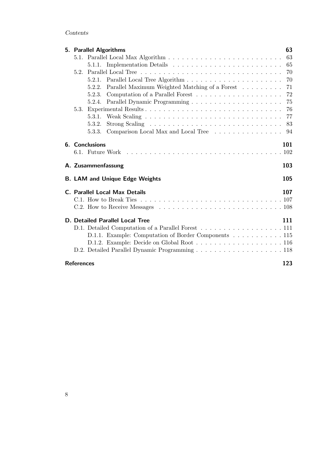### Contents

|                                        | 5. Parallel Algorithms                                      | 63  |  |  |  |
|----------------------------------------|-------------------------------------------------------------|-----|--|--|--|
|                                        |                                                             | 63  |  |  |  |
|                                        |                                                             | 65  |  |  |  |
|                                        |                                                             | 70  |  |  |  |
|                                        |                                                             |     |  |  |  |
|                                        | Parallel Maximum Weighted Matching of a Forest 71<br>5.2.2. |     |  |  |  |
|                                        | 5.2.3.                                                      | -72 |  |  |  |
|                                        | 5.2.4.                                                      |     |  |  |  |
|                                        |                                                             |     |  |  |  |
|                                        |                                                             |     |  |  |  |
|                                        | 5.3.2.                                                      | 83  |  |  |  |
|                                        | 5.3.3. Comparison Local Max and Local Tree                  | 94  |  |  |  |
|                                        | 6. Conclusions                                              | 101 |  |  |  |
|                                        |                                                             |     |  |  |  |
|                                        | A. Zusammenfassung                                          | 103 |  |  |  |
|                                        | <b>B. LAM and Unique Edge Weights</b>                       | 105 |  |  |  |
|                                        | <b>C. Parallel Local Max Details</b>                        | 107 |  |  |  |
|                                        |                                                             |     |  |  |  |
|                                        |                                                             |     |  |  |  |
| <b>D. Detailed Parallel Local Tree</b> |                                                             |     |  |  |  |
|                                        | D.1. Detailed Computation of a Parallel Forest 111          |     |  |  |  |
|                                        | D.1.1. Example: Computation of Border Components 115        |     |  |  |  |
|                                        |                                                             |     |  |  |  |
|                                        |                                                             |     |  |  |  |
| <b>References</b>                      |                                                             | 123 |  |  |  |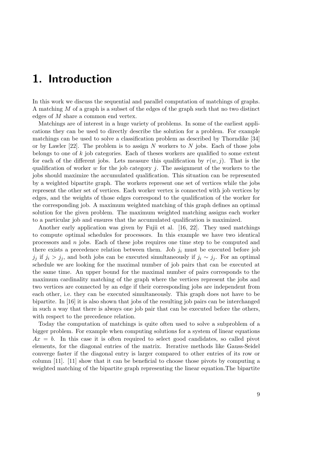## <span id="page-8-0"></span>1. Introduction

In this work we discuss the sequential and parallel computation of matchings of graphs. A matching M of a graph is a subset of the edges of the graph such that no two distinct edges of M share a common end vertex.

Matchings are of interest in a huge variety of problems. In some of the earliest applications they can be used to directly describe the solution for a problem. For example matchings can be used to solve a classification problem as described by Thorndike [\[34\]](#page-124-1) or by Lawler  $[22]$ . The problem is to assign N workers to N jobs. Each of those jobs belongs to one of k job categories. Each of theses workers are qualified to some extent for each of the different jobs. Lets measure this qualification by  $r(w, j)$ . That is the qualification of worker w for the job category j. The assignment of the workers to the jobs should maximize the accumulated qualification. This situation can be represented by a weighted bipartite graph. The workers represent one set of vertices while the jobs represent the other set of vertices. Each worker vertex is connected with job vertices by edges, and the weights of those edges correspond to the qualification of the worker for the corresponding job. A maximum weighted matching of this graph defines an optimal solution for the given problem. The maximum weighted matching assigns each worker to a particular job and ensures that the accumulated qualification is maximized.

Another early application was given by Fujii et al. [\[16,](#page-123-2) [22\]](#page-123-1). They used matchings to compute optimal schedules for processors. In this example we have two identical processors and  $n$  jobs. Each of these jobs requires one time step to be computed and there exists a precedence relation between them. Job  $j_i$  must be executed before job  $j_j$  if  $j_i > j_j$ , and both jobs can be executed simultaneously if  $j_i \sim j_j$ . For an optimal schedule we are looking for the maximal number of job pairs that can be executed at the same time. An upper bound for the maximal number of pairs corresponds to the maximum cardinality matching of the graph where the vertices represent the jobs and two vertices are connected by an edge if their corresponding jobs are independent from each other, i.e. they can be executed simultaneously. This graph does not have to be bipartite. In [\[16\]](#page-123-2) it is also shown that jobs of the resulting job pairs can be interchanged in such a way that there is always one job pair that can be executed before the others, with respect to the precedence relation.

Today the computation of matchings is quite often used to solve a subproblem of a bigger problem. For example when computing solutions for a system of linear equations  $Ax = b$ . In this case it is often required to select good candidates, so called pivot elements, for the diagonal entries of the matrix. Iterative methods like Gauss-Seidel converge faster if the diagonal entry is larger compared to other entries of its row or column [\[11\]](#page-122-1). [\[11\]](#page-122-1) show that it can be beneficial to choose those pivots by computing a weighted matching of the bipartite graph representing the linear equation.The bipartite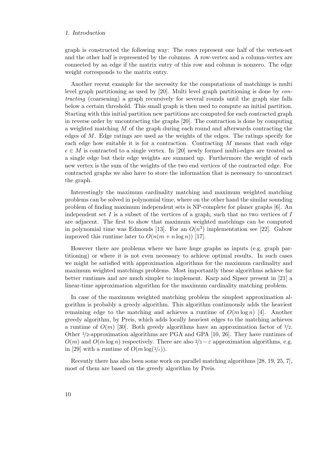#### 1. Introduction

graph is constructed the following way: The rows represent one half of the vertex-set and the other half is represented by the columns. A row-vertex and a column-vertex are connected by an edge if the matrix entry of this row and column is nonzero. The edge weight corresponds to the matrix entry.

Another recent example for the necessity for the computations of matchings is multi level graph partitioning as used by [\[20\]](#page-123-3). Multi level graph partitioning is done by contracting (coarsening) a graph recursively for several rounds until the graph size falls below a certain threshold. This small graph is then used to compute an initial partition. Starting with this initial partition new partitions are computed for each contracted graph in reverse order by uncontracting the graphs [\[20\]](#page-123-3). The contraction is done by computing a weighted matching  $M$  of the graph during each round and afterwards contracting the edges of  $M$ . Edge ratings are used as the weights of the edges. The ratings specify for each edge how suitable it is for a contraction. Contracting  $M$  means that each edge  $e \in M$  is contracted to a single vertex. In [\[20\]](#page-123-3) newly formed multi-edges are treated as a single edge but their edge weights are summed up. Furthermore the weight of each new vertex is the sum of the weights of the two end vertices of the contracted edge. For contracted graphs we also have to store the information that is necessary to uncontract the graph.

Interestingly the maximum cardinality matching and maximum weighted matching problems can be solved in polynomial time, where on the other hand the similar sounding problem of finding maximum independent sets is NP-complete for planer graphs [\[6\]](#page-122-2). An independent set I is a subset of the vertices of a graph, such that no two vertices of I are adjacent. The first to show that maximum weighted matchings can be computed in polynomial time was Edmonds [\[13\]](#page-123-4). For an  $O(n^3)$  implementation see [\[22\]](#page-123-1). Gabow improved this runtime later to  $O(n(m + n \log n))$  [\[17\]](#page-123-5).

However there are problems where we have huge graphs as inputs (e.g. graph partitioning) or where it is not even necessary to achieve optimal results. In such cases we might be satisfied with approximation algorithms for the maximum cardinality and maximum weighted matchings problems. Most importantly these algorithms achieve far better runtimes and are much simpler to implement. Karp and Sipser present in [\[21\]](#page-123-0) a linear-time approximation algorithm for the maximum cardinality matching problem.

In case of the maximum weighted matching problem the simplest approximation algorithm is probably a greedy algorithm. This algorithm continuously adds the heaviest remaining edge to the matching and achieves a runtime of  $O(m \log n)$  [\[4\]](#page-122-3). Another greedy algorithm, by Preis, which adds locally heaviest edges to the matching achieves a runtime of  $O(m)$  [\[30\]](#page-124-0). Both greedy algorithms have an approximation factor of  $1/2$ . Other 1/2-approximation algorithms are PGA and GPA [\[10,](#page-122-4) [26\]](#page-123-6). They have runtimes of  $O(m)$  and  $O(m \log n)$  respectively. There are also  $2/3 - \varepsilon$  approximation algorithms, e.g. in [\[29\]](#page-124-2) with a runtime of  $O(m \log(1/\epsilon))$ .

Recently there has also been some work on parallel matching algorithms [\[28,](#page-124-3) [19,](#page-123-7) [25,](#page-123-8) [7\]](#page-122-5), most of them are based on the greedy algorithm by Preis.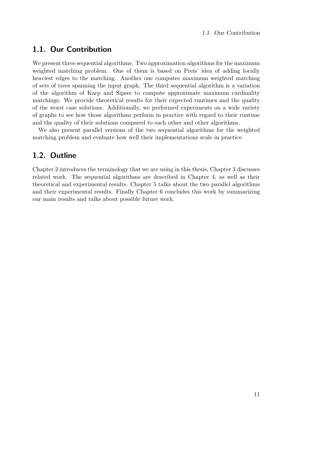## <span id="page-10-0"></span>1.1. Our Contribution

We present three sequential algorithms: Two approximation algorithms for the maximum weighted matching problem. One of them is based on Preis' idea of adding locally heaviest edges to the matching. Another one computes maximum weighted matching of sets of trees spanning the input graph. The third sequential algorithm is a variation of the algorithm of Karp and Sipser to compute approximate maximum cardinality matchings. We provide theoretical results for their expected runtimes and the quality of the worst case solutions. Additionally, we performed experiments on a wide variety of graphs to see how those algorithms perform in practice with regard to their runtime and the quality of their solutions compared to each other and other algorithms.

We also present parallel versions of the two sequential algorithms for the weighted matching problem and evaluate how well their implementations scale in practice.

## <span id="page-10-1"></span>1.2. Outline

Chapter [2](#page-12-0) introduces the terminology that we are using in this thesis, Chapter [3](#page-16-0) discusses related work. The sequential algorithms are described in Chapter [4,](#page-28-0) as well as their theoretical and experimental results. Chapter [5](#page-62-0) talks about the two parallel algorithms and their experimental results. Finally Chapter [6](#page-100-0) concludes this work by summarizing our main results and talks about possible future work.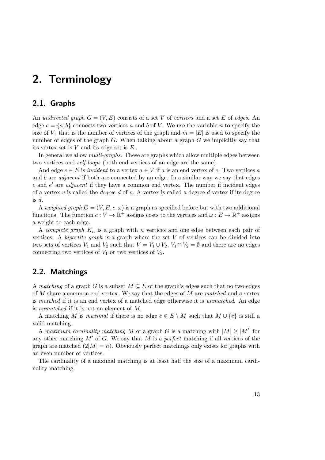## <span id="page-12-0"></span>2. Terminology

### <span id="page-12-1"></span>2.1. Graphs

An undirected graph  $G = (V, E)$  consists of a set V of vertices and a set E of edges. An edge  $e = \{a, b\}$  connects two vertices a and b of V. We use the variable n to specify the size of V, that is the number of vertices of the graph and  $m = |E|$  is used to specify the number of edges of the graph G. When talking about a graph G we implicitly say that its vertex set is  $V$  and its edge set is  $E$ .

In general we allow *multi-graphs*. These are graphs which allow multiple edges between two vertices and self-loops (both end vertices of an edge are the same).

And edge  $e \in E$  is incident to a vertex  $a \in V$  if a is an end vertex of e. Two vertices a and  $b$  are *adjacent* if both are connected by an edge. In a similar way we say that edges  $e$  and  $e'$  are *adjacent* if they have a common end vertex. The number if incident edges of a vertex v is called the *degree d* of v. A vertex is called a degree d vertex if its degree is d.

A weighted graph  $G = (V, E, c, \omega)$  is a graph as specified before but with two additional functions. The function  $c: V \to \mathbb{R}^+$  assigns costs to the vertices and  $\omega: E \to \mathbb{R}^+$  assigns a weight to each edge.

A *complete graph*  $K_n$  is a graph with n vertices and one edge between each pair of vertices. A *bipartite graph* is a graph where the set  $V$  of vertices can be divided into two sets of vertices  $V_1$  and  $V_2$  such that  $V = V_1 \cup V_2$ ,  $V_1 \cap V_2 = \emptyset$  and there are no edges connecting two vertices of  $V_1$  or two vertices of  $V_2$ .

## <span id="page-12-2"></span>2.2. Matchings

A matching of a graph G is a subset  $M \subseteq E$  of the graph's edges such that no two edges of  $M$  share a common end vertex. We say that the edges of  $M$  are matched and a vertex is matched if it is an end vertex of a matched edge otherwise it is unmatched. An edge is unmatched if it is not an element of M.

A matching M is maximal if there is no edge  $e \in E \setminus M$  such that  $M \cup \{e\}$  is still a valid matching.

A maximum cardinality matching M of a graph G is a matching with  $|M| \geq |M'|$  for any other matching  $M'$  of G. We say that M is a perfect matching if all vertices of the graph are matched  $(2|M| = n)$ . Obviously perfect matchings only exists for graphs with an even number of vertices.

The cardinality of a maximal matching is at least half the size of a maximum cardinality matching.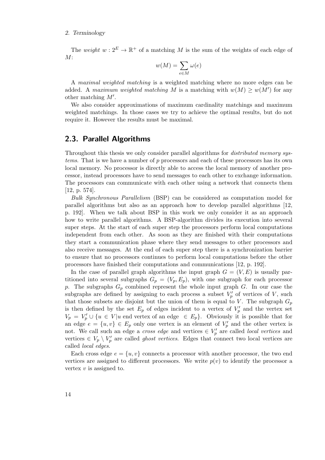#### 2. Terminology

The weight  $w: 2^E \to \mathbb{R}^+$  of a matching M is the sum of the weights of each edge of  $M$ :

$$
w(M) = \sum_{e \in M} \omega(e)
$$

A maximal weighted matching is a weighted matching where no more edges can be added. A maximum weighted matching M is a matching with  $w(M) \geq w(M')$  for any other matching  $M'$ .

We also consider approximations of maximum cardinality matchings and maximum weighted matchings. In those cases we try to achieve the optimal results, but do not require it. However the results must be maximal.

### <span id="page-13-0"></span>2.3. Parallel Algorithms

Throughout this thesis we only consider parallel algorithms for *distributed memory sys*tems. That is we have a number of p processors and each of these processors has its own local memory. No processor is directly able to access the local memory of another processor, instead processors have to send messages to each other to exchange information. The processors can communicate with each other using a network that connects them [\[12,](#page-122-6) p. 574].

Bulk Synchronous Parallelism (BSP) can be considered as computation model for parallel algorithms but also as an approach how to develop parallel algorithms [\[12,](#page-122-6) p. 192]. When we talk about BSP in this work we only consider it as an approach how to write parallel algorithms. A BSP-algorithm divides its execution into several super steps. At the start of each super step the processors perform local computations independent from each other. As soon as they are finished with their computations they start a communication phase where they send messages to other processors and also receive messages. At the end of each super step there is a synchronization barrier to ensure that no processors continues to perform local computations before the other processors have finished their computations and communications [\[12,](#page-122-6) p. 192].

In the case of parallel graph algorithms the input graph  $G = (V, E)$  is usually partitioned into several subgraphs  $G_p = (V_p, E_p)$ , with one subgraph for each processor p. The subgraphs  $G_p$  combined represent the whole input graph  $G$ . In our case the subgraphs are defined by assigning to each process a subset  $V'_p$  of vertices of V, such that those subsets are disjoint but the union of them is equal to V. The subgraph  $G_p$ is then defined by the set  $E_p$  of edges incident to a vertex of  $V'_p$  and the vertex set  $V_p = V_p' \cup \{u \in V | u$  end vertex of an edge  $\in E_p$ . Obviously it is possible that for an edge  $e = \{u, v\} \in E_p$  only one vertex is an element of  $V'_p$  and the other vertex is not. We call such an edge a *cross edge* and vertices  $\in V_p'$  are called *local vertices* and vertices  $\in V_p \setminus V_p'$  are called *ghost vertices*. Edges that connect two local vertices are called local edges.

Each cross edge  $e = \{u, v\}$  connects a processor with another processor, the two end vertices are assigned to different processors. We write  $p(v)$  to identify the processor a vertex  $v$  is assigned to.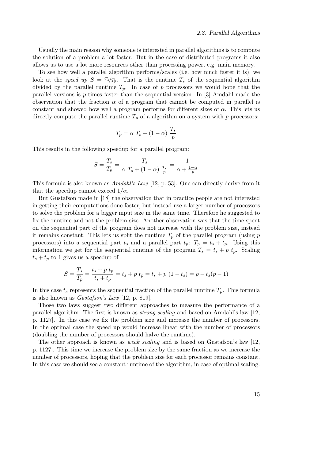Usually the main reason why someone is interested in parallel algorithms is to compute the solution of a problem a lot faster. But in the case of distributed programs it also allows us to use a lot more resources other than processing power, e.g. main memory.

To see how well a parallel algorithm performs/scales (i.e. how much faster it is), we look at the speed up  $S = T_s/T_p$ . That is the runtime  $T_s$  of the sequential algorithm divided by the parallel runtime  $T_p$ . In case of p processors we would hope that the parallel versions is p times faster than the sequential version. In [\[3\]](#page-122-7) Amdahl made the observation that the fraction  $\alpha$  of a program that cannot be computed in parallel is constant and showed how well a program performs for different sizes of  $\alpha$ . This lets us directly compute the parallel runtime  $T_p$  of a algorithm on a system with p processors:

$$
T_p = \alpha \ T_s + (1 - \alpha) \ \frac{T_s}{p}
$$

This results in the following speedup for a parallel program:

$$
S = \frac{T_s}{T_p} = \frac{T_s}{\alpha T_s + (1 - \alpha) \frac{T_s}{p}} = \frac{1}{\alpha + \frac{1 - \alpha}{p}}
$$

This formula is also known as Amdahl's Law [\[12,](#page-122-6) p. 53]. One can directly derive from it that the speedup cannot exceed  $1/\alpha$ .

But Gustafson made in [\[18\]](#page-123-9) the observation that in practice people are not interested in getting their computations done faster, but instead use a larger number of processors to solve the problem for a bigger input size in the same time. Therefore he suggested to fix the runtime and not the problem size. Another observation was that the time spent on the sequential part of the program does not increase with the problem size, instead it remains constant. This lets us split the runtime  $T_p$  of the parallel program (using p processors) into a sequential part  $t_s$  and a parallel part  $t_p$ :  $T_p = t_s + t_p$ . Using this information we get for the sequential runtime of the program  $T_s = t_s + p t_p$ . Scaling  $t_s + t_p$  to 1 gives us a speedup of

$$
S = \frac{T_s}{T_p} = \frac{t_s + p \ t_p}{t_s + t_p} = t_s + p \ t_p = t_s + p \ (1 - t_s) = p - t_s(p - 1)
$$

In this case  $t_s$  represents the sequential fraction of the parallel runtime  $T_p$ . This formula is also known as Gustafson's Law [\[12,](#page-122-6) p. 819].

Those two laws suggest two different approaches to measure the performance of a parallel algorithm. The first is known as strong scaling and based on Amdahl's law [\[12,](#page-122-6) p. 1127]. In this case we fix the problem size and increase the number of processors. In the optimal case the speed up would increase linear with the number of processors (doubling the number of processors should halve the runtime).

The other approach is known as weak scaling and is based on Gustafson's law [\[12,](#page-122-6) p. 1127]. This time we increase the problem size by the same fraction as we increase the number of processors, hoping that the problem size for each processor remains constant. In this case we should see a constant runtime of the algorithm, in case of optimal scaling.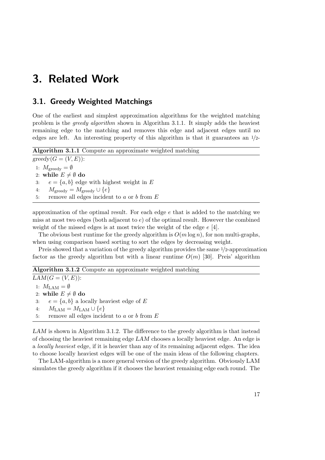## <span id="page-16-1"></span><span id="page-16-0"></span>3.1. Greedy Weighted Matchings

One of the earliest and simplest approximation algorithms for the weighted matching problem is the greedy algorithm shown in Algorithm [3.1.1.](#page-16-2) It simply adds the heaviest remaining edge to the matching and removes this edge and adjacent edges until no edges are left. An interesting property of this algorithm is that it guarantees an  $1/2$ -

<span id="page-16-2"></span>Algorithm 3.1.1 Compute an approximate weighted matching  $greedy(G = (V, E))$ : 1:  $M_{\text{greedy}} = \emptyset$ 2: while  $E \neq \emptyset$  do 3:  $e = \{a, b\}$  edge with highest weight in E 4:  $M_{\text{greedy}} = M_{\text{greedy}} \cup \{e\}$ 

approximation of the optimal result. For each edge  $e$  that is added to the matching we miss at most two edges (both adjacent to e) of the optimal result. However the combined weight of the missed edges is at most twice the weight of the edge  $e$  [\[4\]](#page-122-3).

The obvious best runtime for the greedy algorithm is  $O(m \log n)$ , for non multi-graphs, when using comparison based sorting to sort the edges by decreasing weight.

Preis showed that a variation of the greedy algorithm provides the same 1/2-approximation factor as the greedy algorithm but with a linear runtime  $O(m)$  [\[30\]](#page-124-0). Preis' algorithm

Algorithm 3.1.2 Compute an approximate weighted matching

<span id="page-16-3"></span> $LAM(G = (V, E))$ : 1:  $M_{\text{LAM}} = \emptyset$ 2: while  $E \neq \emptyset$  do 3:  $e = \{a, b\}$  a locally heaviest edge of E 4:  $M_{\text{LAM}} = M_{\text{LAM}} \cup \{e\}$ 5: remove all edges incident to  $a$  or  $b$  from  $E$ 

5: remove all edges incident to  $a$  or  $b$  from  $E$ 

LAM is shown in Algorithm [3.1.2.](#page-16-3) The difference to the greedy algorithm is that instead of choosing the heaviest remaining edge LAM chooses a locally heaviest edge. An edge is a locally heaviest edge, if it is heavier than any of its remaining adjacent edges. The idea to choose locally heaviest edges will be one of the main ideas of the following chapters.

The LAM-algorithm is a more general version of the greedy algorithm. Obviously LAM simulates the greedy algorithm if it chooses the heaviest remaining edge each round. The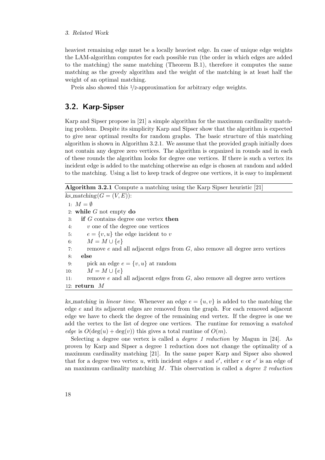heaviest remaining edge must be a locally heaviest edge. In case of unique edge weights the LAM-algorithm computes for each possible run (the order in which edges are added to the matching) the same matching (Theorem [B.1\)](#page-104-1), therefore it computes the same matching as the greedy algorithm and the weight of the matching is at least half the weight of an optimal matching.

Preis also showed this  $1/2$ -approximation for arbitrary edge weights.

## <span id="page-17-0"></span>3.2. Karp-Sipser

Karp and Sipser propose in [\[21\]](#page-123-0) a simple algorithm for the maximum cardinality matching problem. Despite its simplicity Karp and Sipser show that the algorithm is expected to give near optimal results for random graphs. The basic structure of this matching algorithm is shown in Algorithm [3.2.1.](#page-17-1) We assume that the provided graph initially does not contain any degree zero vertices. The algorithm is organized in rounds and in each of these rounds the algorithm looks for degree one vertices. If there is such a vertex its incident edge is added to the matching otherwise an edge is chosen at random and added to the matching. Using a list to keep track of degree one vertices, it is easy to implement

Algorithm 3.2.1 Compute a matching using the Karp Sipser heuristic [\[21\]](#page-123-0)

<span id="page-17-1"></span> $ks\_matching(G = (V, E))$ : 1:  $M = \emptyset$ 2: while  $G$  not empty do 3: if G contains degree one vertex then 4: v one of the degree one vertices 5:  $e = \{v, u\}$  the edge incident to v 6:  $M = M \cup \{e\}$ 7: remove  $e$  and all adjacent edges from  $G$ , also remove all degree zero vertices 8: else 9: pick an edge  $e = \{v, u\}$  at random 10:  $M = M \cup \{e\}$ 11: remove e and all adjacent edges from G, also remove all degree zero vertices 12: return M

ks matching in linear time. Whenever an edge  $e = \{u, v\}$  is added to the matching the edge e and its adjacent edges are removed from the graph. For each removed adjacent edge we have to check the degree of the remaining end vertex. If the degree is one we add the vertex to the list of degree one vertices. The runtime for removing a matched edge is  $O(\deg(u) + \deg(v))$  this gives a total runtime of  $O(m)$ .

Selecting a degree one vertex is called a degree 1 reduction by Magun in [\[24\]](#page-123-10). As proven by Karp and Sipser a degree 1 reduction does not change the optimality of a maximum cardinality matching [\[21\]](#page-123-0). In the same paper Karp and Sipser also showed that for a degree two vertex u, with incident edges  $e$  and  $e'$ , either  $e$  or  $e'$  is an edge of an maximum cardinality matching  $M$ . This observation is called a *degree 2 reduction*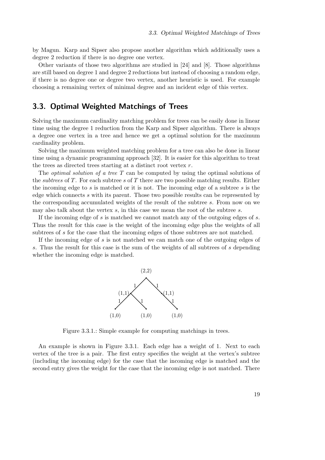by Magun. Karp and Sipser also propose another algorithm which additionally uses a degree 2 reduction if there is no degree one vertex.

Other variants of those two algorithms are studied in [\[24\]](#page-123-10) and [\[8\]](#page-122-8). Those algorithms are still based on degree 1 and degree 2 reductions but instead of choosing a random edge, if there is no degree one or degree two vertex, another heuristic is used. For example choosing a remaining vertex of minimal degree and an incident edge of this vertex.

## <span id="page-18-0"></span>3.3. Optimal Weighted Matchings of Trees

Solving the maximum cardinality matching problem for trees can be easily done in linear time using the degree 1 reduction from the Karp and Sipser algorithm. There is always a degree one vertex in a tree and hence we get a optimal solution for the maximum cardinality problem.

Solving the maximum weighted matching problem for a tree can also be done in linear time using a dynamic programming approach [\[32\]](#page-124-4). It is easier for this algorithm to treat the trees as directed trees starting at a distinct root vertex  $r$ .

The *optimal solution of a tree T* can be computed by using the optimal solutions of the *subtrees* of T. For each subtree s of T there are two possible matching results. Either the incoming edge to  $s$  is matched or it is not. The incoming edge of a subtree  $s$  is the edge which connects s with its parent. Those two possible results can be represented by the corresponding accumulated weights of the result of the subtree s. From now on we may also talk about the vertex  $s$ , in this case we mean the root of the subtree  $s$ .

If the incoming edge of  $s$  is matched we cannot match any of the outgoing edges of  $s$ . Thus the result for this case is the weight of the incoming edge plus the weights of all subtrees of s for the case that the incoming edges of those subtrees are not matched.

<span id="page-18-1"></span>If the incoming edge of s is not matched we can match one of the outgoing edges of s. Thus the result for this case is the sum of the weights of all subtrees of s depending whether the incoming edge is matched.



Figure 3.3.1.: Simple example for computing matchings in trees.

An example is shown in Figure [3.3.1.](#page-18-1) Each edge has a weight of 1. Next to each vertex of the tree is a pair. The first entry specifies the weight at the vertex's subtree (including the incoming edge) for the case that the incoming edge is matched and the second entry gives the weight for the case that the incoming edge is not matched. There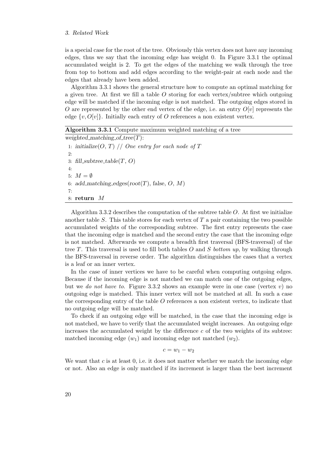is a special case for the root of the tree. Obviously this vertex does not have any incoming edges, thus we say that the incoming edge has weight 0. In Figure [3.3.1](#page-18-1) the optimal accumulated weight is 2. To get the edges of the matching we walk through the tree from top to bottom and add edges according to the weight-pair at each node and the edges that already have been added.

Algorithm [3.3.1](#page-19-0) shows the general structure how to compute an optimal matching for a given tree. At first we fill a table  $O$  storing for each vertex/subtree which outgoing edge will be matched if the incoming edge is not matched. The outgoing edges stored in O are represented by the other end vertex of the edge, i.e. an entry  $O[v]$  represents the edge  $\{v, O[v]\}$ . Initially each entry of O references a non existent vertex.

Algorithm 3.3.1 Compute maximum weighted matching of a tree

<span id="page-19-0"></span>weighted\_matching\_of\_tree $(T)$ : 1: initialize( $O, T$ ) // One entry for each node of T 2: 3: fill\_subtree\_table $(T, O)$ 4: 5:  $M = \emptyset$ 6: add\_matching\_edges( $root(T)$ , false, O, M) 7: 8: return M

Algorithm [3.3.2](#page-20-0) describes the computation of the subtree table O. At first we initialize another table  $S$ . This table stores for each vertex of  $T$  a pair containing the two possible accumulated weights of the corresponding subtree. The first entry represents the case that the incoming edge is matched and the second entry the case that the incoming edge is not matched. Afterwards we compute a breadth first traversal (BFS-traversal) of the tree T. This traversal is used to fill both tables O and S bottom up, by walking through the BFS-traversal in reverse order. The algorithm distinguishes the cases that a vertex is a leaf or an inner vertex.

In the case of inner vertices we have to be careful when computing outgoing edges. Because if the incoming edge is not matched we can match one of the outgoing edges, but we do not have to. Figure [3.3.2](#page-21-0) shows an example were in one case (vertex  $v$ ) no outgoing edge is matched. This inner vertex will not be matched at all. In such a case the corresponding entry of the table  $O$  references a non existent vertex, to indicate that no outgoing edge will be matched.

To check if an outgoing edge will be matched, in the case that the incoming edge is not matched, we have to verify that the accumulated weight increases. An outgoing edge increases the accumulated weight by the difference  $c$  of the two weights of its subtree: matched incoming edge  $(w_1)$  and incoming edge not matched  $(w_2)$ .

 $c = w_1 - w_2$ 

We want that  $c$  is at least  $0$ , i.e. it does not matter whether we match the incoming edge or not. Also an edge is only matched if its increment is larger than the best increment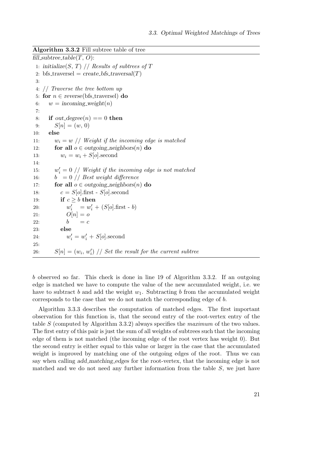#### Algorithm 3.3.2 Fill subtree table of tree

<span id="page-20-0"></span>fill\_subtree\_table $(T, O)$ : 1: initialize(S, T) // Results of subtrees of T 2: bfs\_traversel =  $create_bfs\_traversal(T)$ 3: 4: // Traverse the tree bottom up 5: for  $n \in \text{reverse}(\text{bfs\_traversel})$  do 6:  $w = incoming-weight(n)$ 7: 8: if out\_degree(n) == 0 then 9:  $S[n] = (w, 0)$ 10: else 11:  $w_i = w / W$ eight if the incoming edge is matched 12: for all  $o \in outgoing\_neighbors(n)$  do 13:  $w_i = w_i + S[o]$ . second 14: 15: w  $\mathbf{z}'_i = 0$  // Weight if the incoming edge is not matched 16:  $b = 0 \text{ // Best weight difference}$ 17: for all  $o \in outgoing\_neighbors(n)$  do 18:  $c = S[o]$ .first -  $S[o]$ .second 19: **if**  $c \geq b$  then 20:  $w'_i = w'_i + (S[o].\text{first - } b)$ 21:  $O[n] = o$ 22:  $b = c$ 23: else 24:  $w'_{i} = w'_{i} + S[o]$ . second 25: 26:  $S[n] = (w_i, w'_i)$  // Set the result for the current subtree

<span id="page-20-1"></span>b observed so far. This check is done in line [19](#page-20-1) of Algorithm [3.3.2.](#page-20-0) If an outgoing edge is matched we have to compute the value of the new accumulated weight, i.e. we have to subtract b and add the weight  $w_1$ . Subtracting b from the accumulated weight corresponds to the case that we do not match the corresponding edge of b.

Algorithm [3.3.3](#page-21-1) describes the computation of matched edges. The first important observation for this function is, that the second entry of the root-vertex entry of the table S (computed by Algorithm [3.3.2\)](#page-20-0) always specifies the maximum of the two values. The first entry of this pair is just the sum of all weights of subtrees such that the incoming edge of them is not matched (the incoming edge of the root vertex has weight 0). But the second entry is either equal to this value or larger in the case that the accumulated weight is improved by matching one of the outgoing edges of the root. Thus we can say when calling add matching edges for the root-vertex, that the incoming edge is not matched and we do not need any further information from the table  $S$ , we just have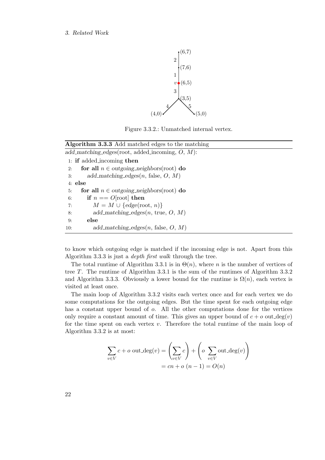<span id="page-21-0"></span>

Figure 3.3.2.: Unmatched internal vertex.

<span id="page-21-1"></span>

| <b>Algorithm 3.3.3</b> Add matched edges to the matching |  |  |  |  |
|----------------------------------------------------------|--|--|--|--|
| add_matching_edges(root, added_incoming, $O, M$ ):       |  |  |  |  |
| 1: if added incoming then                                |  |  |  |  |
| for all $n \in outgoing\_neighbors(root)$ do<br>2:       |  |  |  |  |
| add_matching_edges $(n, false, O, M)$<br>3:              |  |  |  |  |
| $4:$ else                                                |  |  |  |  |
| for all $n \in outgoing\_neighbors(root)$ do<br>5:       |  |  |  |  |
| if $n == O$ [root] then<br>6:                            |  |  |  |  |
| $M = M \cup \{edge(\text{root}, n)\}\$<br>7:             |  |  |  |  |
| add_matching_edges $(n, \text{ true}, O, M)$<br>8:       |  |  |  |  |
| else<br>9:                                               |  |  |  |  |
| add_matching_edges $(n, false, O, M)$<br>10:             |  |  |  |  |

to know which outgoing edge is matched if the incoming edge is not. Apart from this Algorithm [3.3.3](#page-21-1) is just a depth first walk through the tree.

The total runtime of Algorithm [3.3.1](#page-19-0) is in  $\Theta(n)$ , where n is the number of vertices of tree T. The runtime of Algorithm [3.3.1](#page-19-0) is the sum of the runtimes of Algorithm [3.3.2](#page-20-0) and Algorithm [3.3.3.](#page-21-1) Obviously a lower bound for the runtime is  $\Omega(n)$ , each vertex is visited at least once.

The main loop of Algorithm [3.3.2](#page-20-0) visits each vertex once and for each vertex we do some computations for the outgoing edges. But the time spent for each outgoing edge has a constant upper bound of  $\rho$ . All the other computations done for the vertices only require a constant amount of time. This gives an upper bound of  $c + o$  out  $deg(v)$ for the time spent on each vertex  $v$ . Therefore the total runtime of the main loop of Algorithm [3.3.2](#page-20-0) is at most:

$$
\sum_{v \in V} c + o \text{ out.deg}(v) = \left(\sum_{v \in V} c\right) + \left(o \sum_{v \in V} \text{out.deg}(v)\right)
$$

$$
= cn + o \ (n-1) = O(n)
$$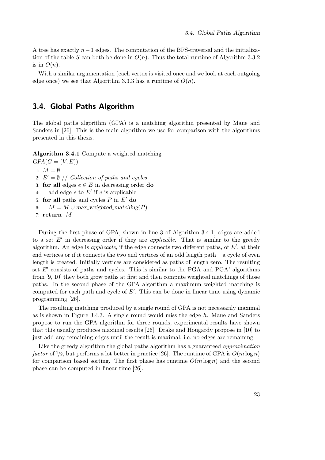A tree has exactly  $n-1$  edges. The computation of the BFS-traversal and the initialization of the table S can both be done in  $O(n)$ . Thus the total runtime of Algorithm [3.3.2](#page-20-0) is in  $O(n)$ .

With a similar argumentation (each vertex is visited once and we look at each outgoing edge once) we see that Algorithm [3.3.3](#page-21-1) has a runtime of  $O(n)$ .

## <span id="page-22-0"></span>3.4. Global Paths Algorithm

The global paths algorithm (GPA) is a matching algorithm presented by Maue and Sanders in [\[26\]](#page-123-6). This is the main algorithm we use for comparison with the algorithms presented in this thesis.

<span id="page-22-2"></span><span id="page-22-1"></span>

| <b>Algorithm 3.4.1</b> Compute a weighted matching    |
|-------------------------------------------------------|
| $GPA(G = (V, E))$ :                                   |
| 1: $M = \emptyset$                                    |
| 2: $E' = \emptyset$ // Collection of paths and cycles |
| 3: for all edges $e \in E$ in decreasing order do     |
| add edge $e$ to $E'$ if $e$ is applicable<br>4:       |
| 5: for all paths and cycles $P$ in $E'$ do            |
| $M = M \cup max$ -weighted_matching(P)<br>6:          |
| 7: return $M$                                         |
|                                                       |

During the first phase of GPA, shown in line [3](#page-22-1) of Algorithm [3.4.1,](#page-22-2) edges are added to a set  $E'$  in decreasing order if they are *applicable*. That is similar to the greedy algorithm. An edge is *applicable*, if the edge connects two different paths, of  $E'$ , at their end vertices or if it connects the two end vertices of an odd length path – a cycle of even length is created. Initially vertices are considered as paths of length zero. The resulting set  $E'$  consists of paths and cycles. This is similar to the PGA and PGA' algorithms from [\[9,](#page-122-9) [10\]](#page-122-4) they both grow paths at first and then compute weighted matchings of those paths. In the second phase of the GPA algorithm a maximum weighted matching is computed for each path and cycle of  $E'$ . This can be done in linear time using dynamic programming [\[26\]](#page-123-6).

The resulting matching produced by a single round of GPA is not necessarily maximal as is shown in Figure [3.4.3.](#page-23-1) A single round would miss the edge  $h$ . Maue and Sanders propose to run the GPA algorithm for three rounds, experimental results have shown that this usually produces maximal results [\[26\]](#page-123-6). Drake and Hougardy propose in [\[10\]](#page-122-4) to just add any remaining edges until the result is maximal, i.e. no edges are remaining.

Like the greedy algorithm the global paths algorithm has a guaranteed *approximation* factor of  $\frac{1}{2}$ , but performs a lot better in practice [\[26\]](#page-123-6). The runtime of GPA is  $O(m \log n)$ for comparison based sorting. The first phase has runtime  $O(m \log n)$  and the second phase can be computed in linear time [\[26\]](#page-123-6).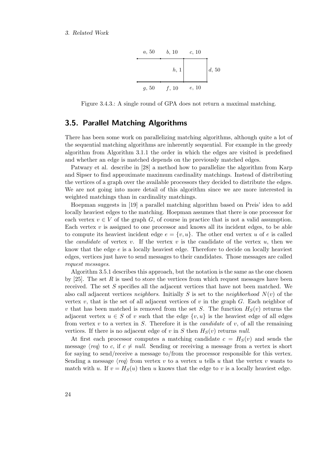

<span id="page-23-1"></span>Figure 3.4.3.: A single round of GPA does not return a maximal matching.

### <span id="page-23-0"></span>3.5. Parallel Matching Algorithms

There has been some work on parallelizing matching algorithms, although quite a lot of the sequential matching algorithms are inherently sequential. For example in the greedy algorithm from Algorithm [3.1.1](#page-16-2) the order in which the edges are visited is predefined and whether an edge is matched depends on the previously matched edges.

Patwary et al. describe in [\[28\]](#page-124-3) a method how to parallelize the algorithm from Karp and Sipser to find approximate maximum cardinality matchings. Instead of distributing the vertices of a graph over the available processors they decided to distribute the edges. We are not going into more detail of this algorithm since we are more interested in weighted matchings than in cardinality matchings.

Hoepman suggests in [\[19\]](#page-123-7) a parallel matching algorithm based on Preis' idea to add locally heaviest edges to the matching. Hoepman assumes that there is one processor for each vertex  $v \in V$  of the graph G, of course in practice that is not a valid assumption. Each vertex  $v$  is assigned to one processor and knows all its incident edges, to be able to compute its heaviest incident edge  $e = \{v, u\}$ . The other end vertex u of e is called the *candidate* of vertex v. If the vertex v is the candidate of the vertex u, then we know that the edge e is a locally heaviest edge. Therefore to decide on locally heaviest edges, vertices just have to send messages to their candidates. Those messages are called request messages.

Algorithm [3.5.1](#page-24-0) describes this approach, but the notation is the same as the one chosen by  $[25]$ . The set R is used to store the vertices from which request messages have been received. The set S specifies all the adjacent vertices that have not been matched. We also call adjacent vertices neighbors. Initially S is set to the neighborhood  $N(v)$  of the vertex  $v$ , that is the set of all adjacent vertices of  $v$  in the graph  $G$ . Each neighbor of v that has been matched is removed from the set S. The function  $H_S(v)$  returns the adjacent vertex  $u \in S$  of v such that the edge  $\{v, u\}$  is the heaviest edge of all edges from vertex v to a vertex in S. Therefore it is the *candidate* of v, of all the remaining vertices. If there is no adjacent edge of v in S then  $H_S(v)$  returns null.

At first each processor computes a matching candidate  $c = H<sub>S</sub>(v)$  and sends the message  $\langle \text{req} \rangle$  to c, if  $c \neq \text{null}$ . Sending or receiving a message from a vertex is short for saying to send/receive a message to/from the processor responsible for this vertex. Sending a message  $\langle \text{req} \rangle$  from vertex v to a vertex u tells u that the vertex v wants to match with u. If  $v = H<sub>S</sub>(u)$  then u knows that the edge to v is a locally heaviest edge.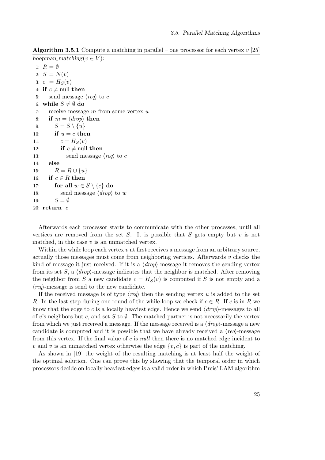| <b>Algorithm 3.5.1</b> Compute a matching in parallel – one processor for each vertex $v$ [25] |  |  |  |  |  |  |  |
|------------------------------------------------------------------------------------------------|--|--|--|--|--|--|--|
|------------------------------------------------------------------------------------------------|--|--|--|--|--|--|--|

<span id="page-24-0"></span>hoepman\_matching( $v \in V$ ): 1:  $R = \emptyset$ 2:  $S = N(v)$ 3:  $c = H_S(v)$ 4: if  $c \neq \text{null}$  then 5: send message  $\langle \textit{req} \rangle$  to c 6: while  $S \neq \emptyset$  do 7: receive message  $m$  from some vertex  $u$ 8: if  $m = \langle drop \rangle$  then 9:  $S = S \setminus \{u\}$ 10: if  $u = c$  then 11:  $c = H_S(v)$ 12: if  $c \neq \text{null}$  then 13: send message  $\langle \textit{req} \rangle$  to c 14: else 15:  $R = R \cup \{u\}$ 16: if  $c \in R$  then 17: for all  $w \in S \setminus \{c\}$  do 18: send message  $\langle drop\rangle$  to w 19:  $S = \emptyset$ 20:  $return c$ 

Afterwards each processor starts to communicate with the other processes, until all vertices are removed from the set S. It is possible that S gets empty but  $v$  is not matched, in this case  $v$  is an unmatched vertex.

Within the while loop each vertex  $v$  at first receives a message from an arbitrary source, actually those messages must come from neighboring vertices. Afterwards  $v$  checks the kind of message it just received. If it is a  $\langle drop\rangle$ -message it removes the sending vertex from its set S, a  $\langle drop\rangle$ -message indicates that the neighbor is matched. After removing the neighbor from S a new candidate  $c = H<sub>S</sub>(v)$  is computed if S is not empty and a  $\langle \textit{req} \rangle$ -message is send to the new candidate.

If the received message is of type  $\langle \text{req} \rangle$  then the sending vertex u is added to the set R. In the last step during one round of the while-loop we check if  $c \in R$ . If c is in R we know that the edge to c is a locally heaviest edge. Hence we send  $\langle drop\rangle$ -messages to all of v's neighbors but c, and set S to Ø. The matched partner is not necessarily the vertex from which we just received a message. If the message received is a  $\langle drop\rangle$ -message a new candidate is computed and it is possible that we have already received a  $\langle \textit{req} \rangle$ -message from this vertex. If the final value of  $c$  is *null* then there is no matched edge incident to v and v is an unmatched vertex otherwise the edge  $\{v, c\}$  is part of the matching.

As shown in [\[19\]](#page-123-7) the weight of the resulting matching is at least half the weight of the optimal solution. One can prove this by showing that the temporal order in which processors decide on locally heaviest edges is a valid order in which Preis' LAM algorithm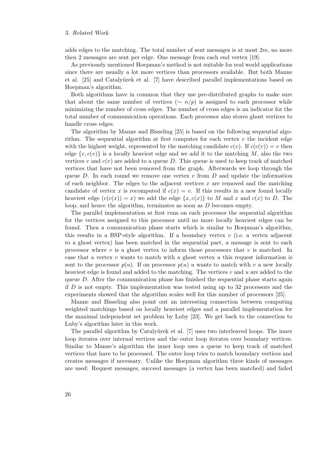adds edges to the matching. The total number of sent messages is at most  $2m$ , no more then 2 messages are sent per edge. One message from each end vertex [\[19\]](#page-123-7).

As previously mentioned Hoepman's method is not suitable for real world applications since there are usually a lot more vertices than processors available. But both Manne et al. [\[25\]](#page-123-8) and Catalyürek et al. [\[7\]](#page-122-5) have described parallel implementations based on Hoepman's algorithm.

Both algorithms have in common that they use pre-distributed graphs to make sure that about the same number of vertices ( $\sim n/p$ ) is assigned to each processor while minimizing the number of cross edges. The number of cross edges is an indicator for the total number of communication operations. Each processor also stores ghost vertices to handle cross edges.

The algorithm by Manne and Bisseling [\[25\]](#page-123-8) is based on the following sequential algorithm. The sequential algorithm at first computes for each vertex  $v$  the incident edge with the highest weight, represented by the matching candidate  $c(v)$ . If  $c(c(v)) = v$  then edge  $\{v, c(v)\}\$ is a locally heaviest edge and we add it to the matching M, also the two vertices v and  $c(v)$  are added to a queue D. This queue is used to keep track of matched vertices that have not been removed from the graph. Afterwards we loop through the queue D. In each round we remove one vertex  $v$  from D and update the information of each neighbor. The edges to the adjacent vertices  $x$  are removed and the matching candidate of vertex x is recomputed if  $c(x) = v$ . If this results in a new found locally heaviest edge  $(c(c(x)) = x)$  we add the edge  $\{x, c(x)\}\)$  to M and x and  $c(x)$  to D. The loop, and hence the algorithm, terminates as soon as D becomes empty.

The parallel implementation at first runs on each processor the sequential algorithm for the vertices assigned to this processor until no more locally heaviest edges can be found. Then a communication phase starts which is similar to Hoepman's algorithm, this results in a BSP-style algorithm. If a boundary vertex  $v$  (i.e. a vertex adjacent to a ghost vertex) has been matched in the sequential part, a message is sent to each processor where  $v$  is a ghost vertex to inform those processors that  $v$  is matched. In case that a vertex  $v$  wants to match with a ghost vertex  $u$  this request information is sent to the processor  $p(u)$ . If on processor  $p(u)$  u wants to match with v a new locally heaviest edge is found and added to the matching. The vertices  $v$  and  $u$  are added to the queue  $D$ . After the communication phase has finished the sequential phase starts again if  $D$  is not empty. This implementation was tested using up to 32 processors and the experiments showed that the algorithm scales well for this number of processors [\[25\]](#page-123-8).

Manne and Bisseling also point out an interesting connection between computing weighted matchings based on locally heaviest edges and a parallel implementation for the maximal independent set problem by Luby [\[23\]](#page-123-11). We get back to the connection to Luby's algorithm later in this work.

The parallel algorithm by Catalyürek et al. [\[7\]](#page-122-5) uses two interleaved loops. The inner loop iterates over internal vertices and the outer loop iterates over boundary vertices. Similar to Manne's algorithm the inner loop uses a queue to keep track of matched vertices that have to be processed. The outer loop tries to match boundary vertices and creates messages if necessary. Unlike the Hoepman algorithm three kinds of messages are used: Request messages, succeed messages (a vertex has been matched) and failed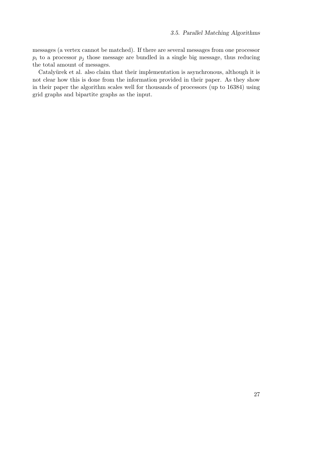messages (a vertex cannot be matched). If there are several messages from one processor  $p_i$  to a processor  $p_i$  those message are bundled in a single big message, thus reducing the total amount of messages.

Catalyürek et al. also claim that their implementation is asynchronous, although it is not clear how this is done from the information provided in their paper. As they show in their paper the algorithm scales well for thousands of processors (up to 16384) using grid graphs and bipartite graphs as the input.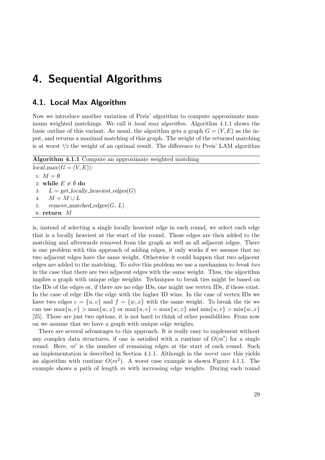## <span id="page-28-0"></span>4. Sequential Algorithms

### <span id="page-28-1"></span>4.1. Local Max Algorithm

Now we introduce another variation of Preis' algorithm to compute approximate maximum weighted matchings. We call it *local max algorithm*. Algorithm [4.1.1](#page-28-2) shows the basic outline of this variant. As usual, the algorithm gets a graph  $G = (V, E)$  as the input, and returns a maximal matching of this graph. The weight of the returned matching is at worst  $\frac{1}{2}$  the weight of an optimal result. The difference to Preis' LAM algorithm

```
Algorithm 4.1.1 Compute an approximate weighted matching
local_max(G = (V, E)):
 1: M = \emptyset2: while E \neq \emptyset do
 3: L = get\_locally\_heaviest\_edges(G)4: M = M \cup L5: remove_matched_edges(G, L)6: return M
```
is, instead of selecting a single locally heaviest edge in each round, we select each edge that is a locally heaviest at the start of the round. Those edges are then added to the matching and afterwards removed from the graph as well as all adjacent edges. There is one problem with this approach of adding edges, it only works if we assume that no two adjacent edges have the same weight. Otherwise it could happen that two adjacent edges are added to the matching. To solve this problem we use a mechanism to break ties in the case that there are two adjacent edges with the same weight. Thus, the algorithm implies a graph with unique edge weights. Techniques to break ties might be based on the IDs of the edges or, if there are no edge IDs, one might use vertex IDs, if those exist. In the case of edge IDs the edge with the higher ID wins. In the case of vertex IDs we have two edges  $e = \{u, v\}$  and  $f = \{w, x\}$  with the same weight. To break the tie we can use  $\max\{u, v\} > \max\{w, x\}$  or  $\max\{u, v\} = \max\{w, x\}$  and  $\min\{u, v\} > \min\{w, x\}$ [\[25\]](#page-123-8). Those are just two options, it is not hard to think of other possibilities. From now on we assume that we have a graph with unique edge weights.

There are several advantages to this approach. It is really easy to implement without any complex data structures, if one is satisfied with a runtime of  $O(m')$  for a single round. Here,  $m'$  is the number of remaining edges at the start of each round. Such an implementation is described in Section [4.1.1.](#page-30-0) Although in the worst case this yields an algorithm with runtime  $O(m^2)$ . A worst case example is shown Figure [4.1.1.](#page-29-0) The example shows a path of length  $m$  with increasing edge weights. During each round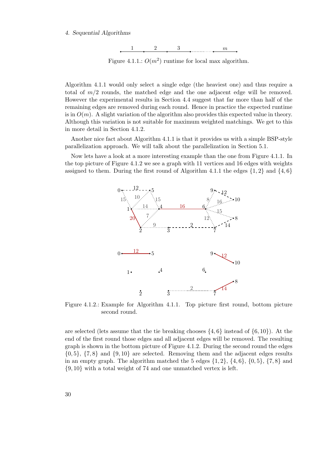#### <span id="page-29-0"></span>4. Sequential Algorithms



Figure 4.1.1.:  $O(m^2)$  runtime for local max algorithm.

Algorithm [4.1.1](#page-28-2) would only select a single edge (the heaviest one) and thus require a total of  $m/2$  rounds, the matched edge and the one adjacent edge will be removed. However the experimental results in Section [4.4](#page-47-0) suggest that far more than half of the remaining edges are removed during each round. Hence in practice the expected runtime is in  $O(m)$ . A slight variation of the algorithm also provides this expected value in theory. Although this variation is not suitable for maximum weighted matchings. We get to this in more detail in Section [4.1.2.](#page-31-0)

Another nice fact about Algorithm [4.1.1](#page-28-2) is that it provides us with a simple BSP-style parallelization approach. We will talk about the parallelization in Section [5.1.](#page-62-1)

<span id="page-29-1"></span>Now lets have a look at a more interesting example than the one from Figure [4.1.1.](#page-29-0) In the top picture of Figure [4.1.2](#page-29-1) we see a graph with 11 vertices and 16 edges with weights assigned to them. During the first round of Algorithm [4.1.1](#page-28-2) the edges  $\{1, 2\}$  and  $\{4, 6\}$ 



Figure 4.1.2.: Example for Algorithm [4.1.1.](#page-28-2) Top picture first round, bottom picture second round.

are selected (lets assume that the tie breaking chooses  $\{4, 6\}$  instead of  $\{6, 10\}$ ). At the end of the first round those edges and all adjacent edges will be removed. The resulting graph is shown in the bottom picture of Figure [4.1.2.](#page-29-1) During the second round the edges  $\{0, 5\}$ ,  $\{7, 8\}$  and  $\{9, 10\}$  are selected. Removing them and the adjacent edges results in an empty graph. The algorithm matched the 5 edges  $\{1, 2\}$ ,  $\{4, 6\}$ ,  $\{0, 5\}$ ,  $\{7, 8\}$  and {9, 10} with a total weight of 74 and one unmatched vertex is left.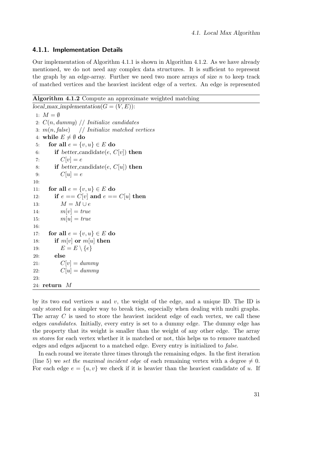#### <span id="page-30-0"></span>4.1.1. Implementation Details

Our implementation of Algorithm [4.1.1](#page-28-2) is shown in Algorithm [4.1.2.](#page-30-1) As we have already mentioned, we do not need any complex data structures. It is sufficient to represent the graph by an edge-array. Further we need two more arrays of size  $n$  to keep track of matched vertices and the heaviest incident edge of a vertex. An edge is represented

Algorithm 4.1.2 Compute an approximate weighted matching

```
local_max implementation(G = (V, E)):
 1: M = \emptyset2: C(n, dummy) // Initialize candidates
 3: m(n, false) // Initialize matched vertices
 4: while E \neq \emptyset do
 5: for all e = \{v, u\} \in E do
 6: if better_candidate(e, C[v]) then
 7: C[v] = e8: if better_candidate(e, C[u]) then
 9: C[u] = e10:
11: for all e = \{v, u\} \in E do
12: if e == C[v] and e == C[u] then
13: M = M \cup e14: m[v] = true15: m[u] = true16:
17: for all e = \{v, u\} \in E do
18: if m[v] or m[u] then
19: E = E \setminus \{e\}20: else
21: C[v] = dummy22: C[u] = dummy23:
24: return M
```
<span id="page-30-4"></span>by its two end vertices  $u$  and  $v$ , the weight of the edge, and a unique ID. The ID is only stored for a simpler way to break ties, especially when dealing with multi graphs. The array C is used to store the heaviest incident edge of each vertex, we call these edges candidates. Initially, every entry is set to a dummy edge. The dummy edge has the property that its weight is smaller than the weight of any other edge. The array m stores for each vertex whether it is matched or not, this helps us to remove matched edges and edges adjacent to a matched edge. Every entry is initialized to false.

In each round we iterate three times through the remaining edges. In the first iteration (line [5\)](#page-30-2) we set the maximal incident edge of each remaining vertex with a degree  $\neq 0$ . For each edge  $e = \{u, v\}$  we check if it is heavier than the heaviest candidate of u. If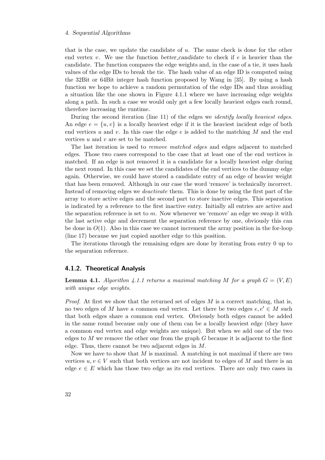#### 4. Sequential Algorithms

that is the case, we update the candidate of  $u$ . The same check is done for the other end vertex v. We use the function better-candidate to check if  $e$  is heavier than the candidate. The function compares the edge weights and, in the case of a tie, it uses hash values of the edge IDs to break the tie. The hash value of an edge ID is computed using the 32Bit or 64Bit integer hash function proposed by Wang in [\[35\]](#page-124-5). By using a hash function we hope to achieve a random permutation of the edge IDs and thus avoiding a situation like the one shown in Figure [4.1.1](#page-29-0) where we have increasing edge weights along a path. In such a case we would only get a few locally heaviest edges each round, therefore increasing the runtime.

During the second iteration (line [11\)](#page-30-3) of the edges we identify locally heaviest edges. An edge  $e = \{u, v\}$  is a locally heaviest edge if it is the heaviest incident edge of both end vertices u and v. In this case the edge e is added to the matching M and the end vertices u and v are set to be matched.

The last iteration is used to *remove matched edges* and edges adjacent to matched edges. Those two cases correspond to the case that at least one of the end vertices is matched. If an edge is not removed it is a candidate for a locally heaviest edge during the next round. In this case we set the candidates of the end vertices to the dummy edge again. Otherwise, we could have stored a candidate entry of an edge of heavier weight that has been removed. Although in our case the word 'remove' is technically incorrect. Instead of removing edges we deactivate them. This is done by using the first part of the array to store active edges and the second part to store inactive edges. This separation is indicated by a reference to the first inactive entry. Initially all entries are active and the separation reference is set to  $m$ . Now whenever we 'remove' an edge we swap it with the last active edge and decrement the separation reference by one, obviously this can be done in  $O(1)$ . Also in this case we cannot increment the array position in the for-loop (line [17\)](#page-30-4) because we just copied another edge to this position.

The iterations through the remaining edges are done by iterating from entry 0 up to the separation reference.

#### <span id="page-31-0"></span>4.1.2. Theoretical Analysis

**Lemma 4.1.** Algorithm [4.1.1](#page-28-2) returns a maximal matching M for a graph  $G = (V, E)$ with unique edge weights.

*Proof.* At first we show that the returned set of edges  $M$  is a correct matching, that is, no two edges of M have a common end vertex. Let there be two edges  $e, e' \in M$  such that both edges share a common end vertex. Obviously both edges cannot be added in the same round because only one of them can be a locally heaviest edge (they have a common end vertex and edge weights are unique). But when we add one of the two edges to M we remove the other one from the graph  $G$  because it is adjacent to the first edge. Thus, there cannot be two adjacent edges in M.

Now we have to show that  $M$  is maximal. A matching is not maximal if there are two vertices  $u, v \in V$  such that both vertices are not incident to edges of M and there is an edge  $e \in E$  which has those two edge as its end vertices. There are only two cases in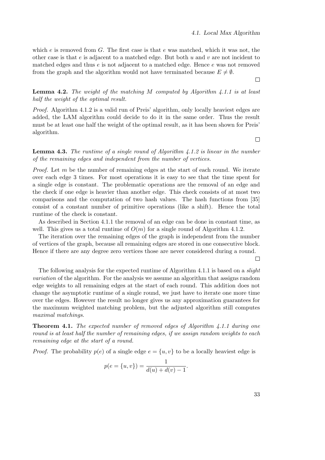which  $e$  is removed from  $G$ . The first case is that  $e$  was matched, which it was not, the other case is that e is adjacent to a matched edge. But both u and v are not incident to matched edges and thus e is not adjacent to a matched edge. Hence e was not removed from the graph and the algorithm would not have terminated because  $E \neq \emptyset$ .

#### **Lemma 4.2.** The weight of the matching M computed by Algorithm [4.1.1](#page-28-2) is at least half the weight of the optimal result.

Proof. Algorithm [4.1.2](#page-30-1) is a valid run of Preis' algorithm, only locally heaviest edges are added, the LAM algorithm could decide to do it in the same order. Thus the result must be at least one half the weight of the optimal result, as it has been shown for Preis' algorithm.

 $\Box$ 

### <span id="page-32-1"></span>**Lemma 4.3.** The runtime of a single round of Algorithm [4.1.2](#page-30-1) is linear in the number of the remaining edges and independent from the number of vertices.

*Proof.* Let  $m$  be the number of remaining edges at the start of each round. We iterate over each edge 3 times. For most operations it is easy to see that the time spent for a single edge is constant. The problematic operations are the removal of an edge and the check if one edge is heavier than another edge. This check consists of at most two comparisons and the computation of two hash values. The hash functions from [\[35\]](#page-124-5) consist of a constant number of primitive operations (like a shift). Hence the total runtime of the check is constant.

As described in Section [4.1.1](#page-30-0) the removal of an edge can be done in constant time, as well. This gives us a total runtime of  $O(m)$  for a single round of Algorithm [4.1.2.](#page-30-1)

The iteration over the remaining edges of the graph is independent from the number of vertices of the graph, because all remaining edges are stored in one consecutive block. Hence if there are any degree zero vertices those are never considered during a round.

The following analysis for the expected runtime of Algorithm [4.1.1](#page-28-2) is based on a *slight* variation of the algorithm. For the analysis we assume an algorithm that assigns random edge weights to all remaining edges at the start of each round. This addition does not change the asymptotic runtime of a single round, we just have to iterate one more time over the edges. However the result no longer gives us any approximation guarantees for the maximum weighted matching problem, but the adjusted algorithm still computes maximal matchings.

<span id="page-32-0"></span>Theorem 4.1. The expected number of removed edges of Algorithm [4.1.1](#page-28-2) during one round is at least half the number of remaining edges, if we assign random weights to each remaining edge at the start of a round.

*Proof.* The probability  $p(e)$  of a single edge  $e = \{u, v\}$  to be a locally heaviest edge is

$$
p(e = \{u, v\}) = \frac{1}{d(u) + d(v) - 1}.
$$

33

 $\Box$ 

 $\Box$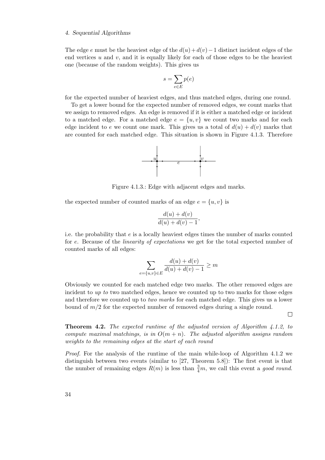#### 4. Sequential Algorithms

The edge e must be the heaviest edge of the  $d(u) + d(v) - 1$  distinct incident edges of the end vertices  $u$  and  $v$ , and it is equally likely for each of those edges to be the heaviest one (because of the random weights). This gives us

$$
s = \sum_{e \in E} p(e)
$$

for the expected number of heaviest edges, and thus matched edges, during one round.

<span id="page-33-0"></span>To get a lower bound for the expected number of removed edges, we count marks that we assign to removed edges. An edge is removed if it is either a matched edge or incident to a matched edge. For a matched edge  $e = \{u, v\}$  we count two marks and for each edge incident to e we count one mark. This gives us a total of  $d(u) + d(v)$  marks that are counted for each matched edge. This situation is shown in Figure [4.1.3.](#page-33-0) Therefore



Figure 4.1.3.: Edge with adjacent edges and marks.

the expected number of counted marks of an edge  $e = \{u, v\}$  is

$$
\frac{d(u) + d(v)}{d(u) + d(v) - 1},
$$

i.e. the probability that e is a locally heaviest edges times the number of marks counted for e. Because of the *linearity of expectations* we get for the total expected number of counted marks of all edges:

$$
\sum_{e=\{u,v\}\in E} \frac{d(u) + d(v)}{d(u) + d(v) - 1} \ge m
$$

Obviously we counted for each matched edge two marks. The other removed edges are incident to up to two matched edges, hence we counted up to two marks for those edges and therefore we counted up to *two marks* for each matched edge. This gives us a lower bound of  $m/2$  for the expected number of removed edges during a single round.

 $\Box$ 

**Theorem 4.2.** The expected runtime of the adjusted version of Algorithm [4.1.2,](#page-30-1) to compute maximal matchings, is in  $O(m + n)$ . The adjusted algorithm assigns random weights to the remaining edges at the start of each round

Proof. For the analysis of the runtime of the main while-loop of Algorithm [4.1.2](#page-30-1) we distinguish between two events (similar to [\[27,](#page-124-6) Theorem 5.8]): The first event is that the number of remaining edges  $R(m)$  is less than  $\frac{3}{4}m$ , we call this event a good round.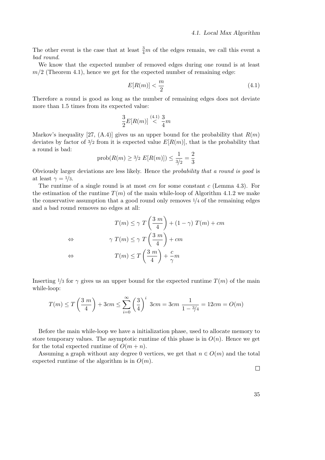The other event is the case that at least  $\frac{3}{4}m$  of the edges remain, we call this event a bad round.

We know that the expected number of removed edges during one round is at least  $m/2$  (Theorem [4.1\)](#page-32-0), hence we get for the expected number of remaining edge:

<span id="page-34-0"></span>
$$
E[R(m)] < \frac{m}{2} \tag{4.1}
$$

Therefore a round is good as long as the number of remaining edges does not deviate more than 1.5 times from its expected value:

$$
\frac{3}{2}E[R(m)] \stackrel{(4.1)}{<} \frac{3}{4}m
$$

Markov's inequality [\[27,](#page-124-6)  $(A.4)$ ] gives us an upper bound for the probability that  $R(m)$ deviates by factor of  $\frac{3}{2}$  from it is expected value  $E[R(m)]$ , that is the probability that a round is bad:

$$
prob(R(m) \ge 3/2 E[R(m)]) \le \frac{1}{3/2} = \frac{2}{3}
$$

Obviously larger deviations are less likely. Hence the probability that a round is good is at least  $\gamma = 1/3$ .

The runtime of a single round is at most cm for some constant c (Lemma [4.3\)](#page-32-1). For the estimation of the runtime  $T(m)$  of the main while-loop of Algorithm [4.1.2](#page-30-1) we make the conservative assumption that a good round only removes  $\frac{1}{4}$  of the remaining edges and a bad round removes no edges at all:

$$
T(m) \le \gamma T\left(\frac{3 m}{4}\right) + (1 - \gamma) T(m) + cm
$$
  
\n
$$
\gamma T(m) \le \gamma T\left(\frac{3 m}{4}\right) + cm
$$
  
\n
$$
\Leftrightarrow T(m) \le T\left(\frac{3 m}{4}\right) + \frac{c}{\gamma}m
$$

Inserting  $\frac{1}{3}$  for  $\gamma$  gives us an upper bound for the expected runtime  $T(m)$  of the main while-loop:

$$
T(m) \le T\left(\frac{3 m}{4}\right) + 3 cm \le \sum_{i=0}^{\infty} \left(\frac{3}{4}\right)^i 3 cm = 3 cm \frac{1}{1 - 3/4} = 12 cm = O(m)
$$

Before the main while-loop we have a initialization phase, used to allocate memory to store temporary values. The asymptotic runtime of this phase is in  $O(n)$ . Hence we get for the total expected runtime of  $O(m + n)$ .

Assuming a graph without any degree 0 vertices, we get that  $n \in O(m)$  and the total expected runtime of the algorithm is in  $O(m)$ .

 $\Box$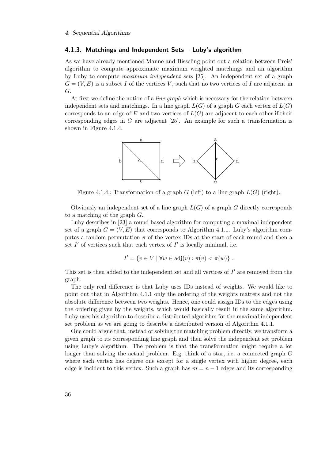#### <span id="page-35-0"></span>4.1.3. Matchings and Independent Sets – Luby's algorithm

As we have already mentioned Manne and Bisseling point out a relation between Preis' algorithm to compute approximate maximum weighted matchings and an algorithm by Luby to compute maximum independent sets [\[25\]](#page-123-8). An independent set of a graph  $G = (V, E)$  is a subset I of the vertices V, such that no two vertices of I are adjacent in G.

<span id="page-35-1"></span>At first we define the notion of a *line graph* which is necessary for the relation between independent sets and matchings. In a line graph  $L(G)$  of a graph G each vertex of  $L(G)$ corresponds to an edge of  $E$  and two vertices of  $L(G)$  are adjacent to each other if their corresponding edges in G are adjacent  $[25]$ . An example for such a transformation is shown in Figure [4.1.4.](#page-35-1)



Figure 4.1.4.: Transformation of a graph  $G$  (left) to a line graph  $L(G)$  (right).

Obviously an independent set of a line graph  $L(G)$  of a graph G directly corresponds to a matching of the graph  $G$ .

Luby describes in [\[23\]](#page-123-11) a round based algorithm for computing a maximal independent set of a graph  $G = (V, E)$  that corresponds to Algorithm [4.1.1.](#page-28-2) Luby's algorithm computes a random permutation  $\pi$  of the vertex IDs at the start of each round and then a set  $I'$  of vertices such that each vertex of  $I'$  is locally minimal, i.e.

$$
I' = \{ v \in V \mid \forall w \in adj(v) : \pi(v) < \pi(w) \} .
$$

This set is then added to the independent set and all vertices of  $I'$  are removed from the graph.

The only real difference is that Luby uses IDs instead of weights. We would like to point out that in Algorithm [4.1.1](#page-28-2) only the ordering of the weights matters and not the absolute difference between two weights. Hence, one could assign IDs to the edges using the ordering given by the weights, which would basically result in the same algorithm. Luby uses his algorithm to describe a distributed algorithm for the maximal independent set problem as we are going to describe a distributed version of Algorithm [4.1.1.](#page-28-2)

One could argue that, instead of solving the matching problem directly, we transform a given graph to its corresponding line graph and then solve the independent set problem using Luby's algorithm. The problem is that the transformation might require a lot longer than solving the actual problem. E.g. think of a star, i.e. a connected graph  $G$ where each vertex has degree one except for a single vertex with higher degree, each edge is incident to this vertex. Such a graph has  $m = n - 1$  edges and its corresponding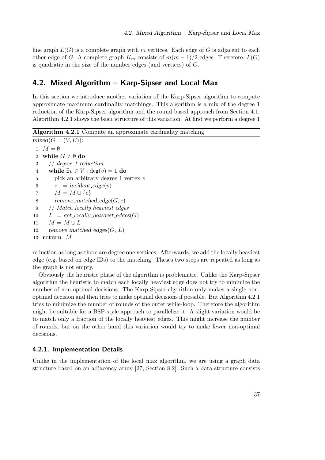line graph  $L(G)$  is a complete graph with m vertices. Each edge of G is adjacent to each other edge of G. A complete graph  $K_m$  consists of  $m(m-1)/2$  edges. Therefore,  $L(G)$ is quadratic in the size of the number edges (and vertices) of G.

## 4.2. Mixed Algorithm – Karp-Sipser and Local Max

In this section we introduce another variation of the Karp-Sipser algorithm to compute approximate maximum cardinality matchings. This algorithm is a mix of the degree 1 reduction of the Karp-Sipser algorithm and the round based approach from Section [4.1.](#page-28-0) Algorithm [4.2.1](#page-36-0) shows the basic structure of this variation. At first we perform a degree 1

Algorithm 4.2.1 Compute an approximate cardinality matching

<span id="page-36-0"></span> $mixed(G = (V, E))$ : 1:  $M = \emptyset$ 2: while  $G \neq \emptyset$  do 3: // degree 1 reduction 4: while  $\exists v \in V : \text{deg}(v) = 1$  do 5: pick an arbitrary degree 1 vertex v 6:  $e = incident\_edge(v)$ 7:  $M = M \cup \{e\}$ 8: remove\_matched\_edge $(G, e)$ 9: // Match locally heaviest edges 10:  $L = get\_locally\_heaviest\_edges(G)$ 11:  $M = M \cup L$ 12: remove\_matched\_edges $(G, L)$ 13: return  $M$ 

reduction as long as there are degree one vertices. Afterwards, we add the locally heaviest edge (e.g. based on edge IDs) to the matching. Theses two steps are repeated as long as the graph is not empty.

Obviously the heuristic phase of the algorithm is problematic. Unlike the Karp-Sipser algorithm the heuristic to match each locally heaviest edge does not try to minimize the number of non-optimal decisions. The Karp-Sipser algorithm only makes a single nonoptimal decision and then tries to make optimal decisions if possible. But Algorithm [4.2.1](#page-36-0) tries to minimize the number of rounds of the outer while-loop. Therefore the algorithm might be suitable for a BSP-style approach to parallelize it. A slight variation would be to match only a fraction of the locally heaviest edges. This might increase the number of rounds, but on the other hand this variation would try to make fewer non-optimal decisions.

## 4.2.1. Implementation Details

Unlike in the implementation of the local max algorithm, we are using a graph data structure based on an adjacency array [\[27,](#page-124-0) Section 8.2]. Such a data structure consists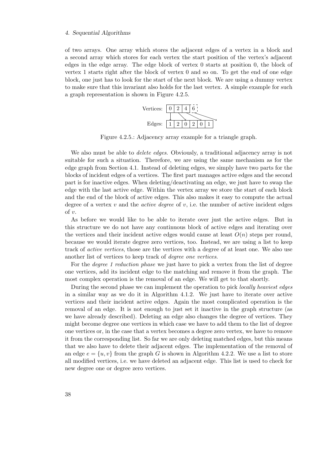of two arrays. One array which stores the adjacent edges of a vertex in a block and a second array which stores for each vertex the start position of the vertex's adjacent edges in the edge array. The edge block of vertex 0 starts at position 0, the block of vertex 1 starts right after the block of vertex 0 and so on. To get the end of one edge block, one just has to look for the start of the next block. We are using a dummy vertex to make sure that this invariant also holds for the last vertex. A simple example for such a graph representation is shown in Figure [4.2.5.](#page-37-0)



<span id="page-37-0"></span>Figure 4.2.5.: Adjacency array example for a triangle graph.

We also must be able to *delete edges*. Obviously, a traditional adjacency array is not suitable for such a situation. Therefore, we are using the same mechanism as for the edge graph from Section [4.1.](#page-28-0) Instead of deleting edges, we simply have two parts for the blocks of incident edges of a vertices. The first part manages active edges and the second part is for inactive edges. When deleting/deactivating an edge, we just have to swap the edge with the last active edge. Within the vertex array we store the start of each block and the end of the block of active edges. This also makes it easy to compute the actual degree of a vertex v and the *active degree* of v, i.e. the number of active incident edges of  $v$ .

As before we would like to be able to iterate over just the active edges. But in this structure we do not have any continuous block of active edges and iterating over the vertices and their incident active edges would cause at least  $O(n)$  steps per round, because we would iterate degree zero vertices, too. Instead, we are using a list to keep track of active vertices, those are the vertices with a degree of at least one. We also use another list of vertices to keep track of degree one vertices.

For the *degree 1 reduction phase* we just have to pick a vertex from the list of degree one vertices, add its incident edge to the matching and remove it from the graph. The most complex operation is the removal of an edge. We will get to that shortly.

During the second phase we can implement the operation to pick locally heaviest edges in a similar way as we do it in Algorithm [4.1.2.](#page-30-0) We just have to iterate over active vertices and their incident active edges. Again the most complicated operation is the removal of an edge. It is not enough to just set it inactive in the graph structure (as we have already described). Deleting an edge also changes the degree of vertices. They might become degree one vertices in which case we have to add them to the list of degree one vertices or, in the case that a vertex becomes a degree zero vertex, we have to remove it from the corresponding list. So far we are only deleting matched edges, but this means that we also have to delete their adjacent edges. The implementation of the removal of an edge  $e = \{u, v\}$  from the graph G is shown in Algorithm [4.2.2.](#page-38-0) We use a list to store all modified vertices, i.e. we have deleted an adjacent edge. This list is used to check for new degree one or degree zero vertices.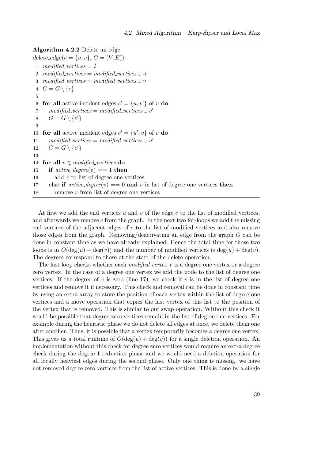Algorithm 4.2.2 Delete an edge

<span id="page-38-0"></span> $delete\_edge(e = \{u, v\}, G = (V, E))$ : 1:  $modified\_vertices = \emptyset$ 2: modified\_vertices = modified\_vertices  $\cup u$ 3: modified\_vertices = modified\_vertices  $\cup v$ 4:  $G = G \setminus \{e\}$ 5: 6: for all active incident edges  $e' = \{u, v'\}$  of u do 7: modified\_vertices = modified\_vertices  $\cup v'$ 8:  $G = G \setminus \{e'\}$ 9: 10: **for all** active incident edges  $e' = \{u', v\}$  of v **do** 11:  $modified\_vertices = modified\_vertices \cup u'$ 12:  $G = G \setminus \{e'\}$ 13: 14: for all  $v \in modified\_vertices$  do 15: if  $active\_degree(v) == 1$  then 16: add v to list of degree one vertices 17: else if  $active\_degree(v) == 0$  and v in list of degree one vertices then 18: remove  $v$  from list of degree one vertices

<span id="page-38-1"></span>At first we add the end vertices u and v of the edge e to the list of modified vertices. and afterwards we remove  $e$  from the graph. In the next two for-loops we add the missing end vertices of the adjacent edges of e to the list of modified vertices and also remove those edges from the graph. Removing/deactivating an edge from the graph G can be done in constant time as we have already explained. Hence the total time for those two loops is in  $O(\deg(u) + \deg(v))$  and the number of modified vertices is  $\deg(u) + \deg(v)$ . The degrees correspond to those at the start of the delete operation.

The last loop checks whether each *modified vertex v* is a degree one vertex or a degree zero vertex. In the case of a degree one vertex we add the node to the list of degree one vertices. If the degree of v is zero (line [17\)](#page-38-1), we check if v is in the list of degree one vertices and remove it if necessary. This check and removal can be done in constant time by using an extra array to store the position of each vertex within the list of degree one vertices and a move operation that copies the last vertex of this list to the position of the vertex that is removed. This is similar to our swap operation. Without this check it would be possible that degree zero vertices remain in the list of degree one vertices. For example during the heuristic phase we do not delete all edges at once, we delete them one after another. Thus, it is possible that a vertex temporarily becomes a degree one vertex. This gives us a total runtime of  $O(\deg(u) + \deg(v))$  for a single deletion operation. An implementation without this check for degree zero vertices would require an extra degree check during the degree 1 reduction phase and we would need a deletion operation for all locally heaviest edges during the second phase. Only one thing is missing, we have not removed degree zero vertices from the list of active vertices. This is done by a single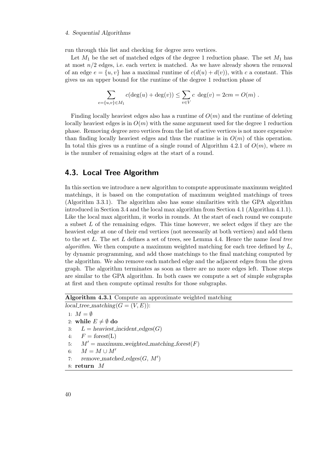run through this list and checking for degree zero vertices.

Let  $M_1$  be the set of matched edges of the degree 1 reduction phase. The set  $M_1$  has at most  $n/2$  edges, i.e. each vertex is matched. As we have already shown the removal of an edge  $e = \{u, v\}$  has a maximal runtime of  $c(d(u) + d(v))$ , with c a constant. This gives us an upper bound for the runtime of the degree 1 reduction phase of

$$
\sum_{e=\{u,v\}\in M_1} c(\deg(u) + \deg(v)) \le \sum_{v\in V} c \deg(v) = 2cm = O(m) .
$$

Finding locally heaviest edges also has a runtime of  $O(m)$  and the runtime of deleting locally heaviest edges is in  $O(m)$  with the same argument used for the degree 1 reduction phase. Removing degree zero vertices from the list of active vertices is not more expensive than finding locally heaviest edges and thus the runtime is in  $O(m)$  of this operation. In total this gives us a runtime of a single round of Algorithm [4.2.1](#page-36-0) of  $O(m)$ , where m is the number of remaining edges at the start of a round.

## 4.3. Local Tree Algorithm

In this section we introduce a new algorithm to compute approximate maximum weighted matchings, it is based on the computation of maximum weighted matchings of trees (Algorithm [3.3.1\)](#page-19-0). The algorithm also has some similarities with the GPA algorithm introduced in Section [3.4](#page-22-0) and the local max algorithm from Section [4.1](#page-28-0) (Algorithm [4.1.1\)](#page-28-1). Like the local max algorithm, it works in rounds. At the start of each round we compute a subset L of the remaining edges. This time however, we select edges if they are the heaviest edge at one of their end vertices (not necessarily at both vertices) and add them to the set  $L$ . The set  $L$  defines a set of trees, see Lemma [4.4.](#page-42-0) Hence the name *local tree* algorithm. We then compute a maximum weighted matching for each tree defined by  $L$ , by dynamic programming, and add those matchings to the final matching computed by the algorithm. We also remove each matched edge and the adjacent edges from the given graph. The algorithm terminates as soon as there are no more edges left. Those steps are similar to the GPA algorithm. In both cases we compute a set of simple subgraphs at first and then compute optimal results for those subgraphs.

## Algorithm 4.3.1 Compute an approximate weighted matching  $local\_tree\_matching(G = (V, E))$ :

<span id="page-39-0"></span>1:  $M = \emptyset$ 

- 2: while  $E \neq \emptyset$  do
- 3:  $L =$  heaviest\_incident\_edges $(G)$
- 4:  $F = forest(L)$
- 5:  $M' =$  maximum\_weighted\_matching\_forest(F)
- 6:  $M = M \cup M'$
- 7: remove\_matched\_edges $(G, M')$
- 8: return M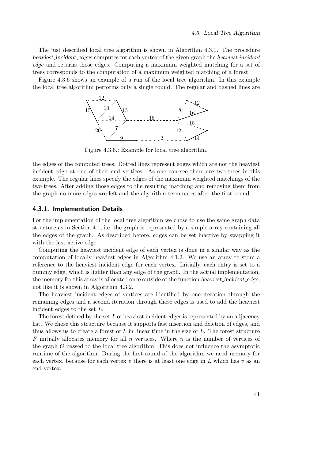The just described local tree algorithm is shown in Algorithm [4.3.1.](#page-39-0) The procedure heaviest incident edges computes for each vertex of the given graph the heaviest incident edge and returns those edges. Computing a maximum weighted matching for a set of trees corresponds to the computation of a maximum weighted matching of a forest.

<span id="page-40-0"></span>Figure [4.3.6](#page-40-0) shows an example of a run of the local tree algorithm. In this example the local tree algorithm performs only a single round. The regular and dashed lines are



Figure 4.3.6.: Example for local tree algorithm.

the edges of the computed trees. Dotted lines represent edges which are not the heaviest incident edge at one of their end vertices. As one can see there are two trees in this example. The regular lines specify the edges of the maximum weighted matchings of the two trees. After adding those edges to the resulting matching and removing them from the graph no more edges are left and the algorithm terminates after the first round.

## <span id="page-40-1"></span>4.3.1. Implementation Details

For the implementation of the local tree algorithm we chose to use the same graph data structure as in Section [4.1,](#page-28-0) i.e. the graph is represented by a simple array containing all the edges of the graph. As described before, edges can be set inactive by swapping it with the last active edge.

Computing the heaviest incident edge of each vertex is done in a similar way as the computation of locally heaviest edges in Algorithm [4.1.2.](#page-30-0) We use an array to store a reference to the heaviest incident edge for each vertex. Initially, each entry is set to a dummy edge, which is lighter than any edge of the graph. In the actual implementation, the memory for this array is allocated once outside of the function heaviest incident edge, not like it is shown in Algorithm [4.3.2.](#page-41-0)

The heaviest incident edges of vertices are identified by one iteration through the remaining edges and a second iteration through those edges is used to add the heaviest incident edges to the set L.

The forest defined by the set  $L$  of heaviest incident edges is represented by an adjacency list. We chose this structure because it supports fast insertion and deletion of edges, and thus allows us to create a forest of  $L$  in linear time in the size of  $L$ . The forest structure  $F$  initially allocates memory for all  $n$  vertices. Where  $n$  is the number of vertices of the graph G passed to the local tree algorithm. This does not influence the asymptotic runtime of the algorithm. During the first round of the algorithm we need memory for each vertex, because for each vertex  $v$  there is at least one edge in  $L$  which has  $v$  as an end vertex.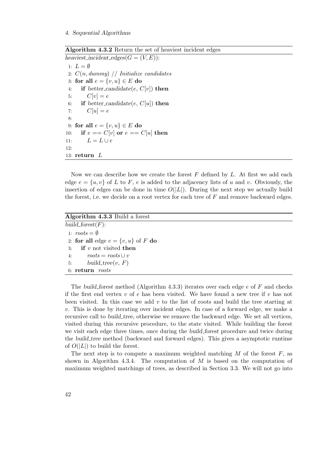Algorithm 4.3.2 Return the set of heaviest incident edges

```
heaviest_incident_edges(G = (V, E)):
 1: L = \emptyset2: C(n, dummy) // Initialize candidates
 3: for all e = \{v, u\} \in E do
 4: if better_candidate(e, C[v]) then
 5: C[v] = e6: if better_candidate(e, C[u]) then
 7: C[u] = e8:
 9: for all e = \{v, u\} \in E do
10: if e == C[v] or e == C[u] then
11: L = L \cup e12:
13: return L
```
Now we can describe how we create the forest  $F$  defined by  $L$ . At first we add each edge  $e = \{u, v\}$  of L to F, e is added to the adjacency lists of u and v. Obviously, the insertion of edges can be done in time  $O(|L|)$ . During the next step we actually build the forest, i.e. we decide on a root vertex for each tree of  $F$  and remove backward edges.

Algorithm 4.3.3 Build a forest

<span id="page-41-1"></span>build\_forest $(F)$ : 1:  $roots = \emptyset$ 2: for all edge  $e = \{v, u\}$  of F do 3: if  $v$  not visited then 4:  $roots = roots \cup v$ 5: build\_tree( $v, F$ ) 6: return roots

The build forest method (Algorithm [4.3.3\)](#page-41-1) iterates over each edge  $e$  of  $F$  and checks if the first end vertex  $v$  of e has been visited. We have found a new tree if  $v$  has not been visited. In this case we add  $v$  to the list of roots and build the tree starting at  $v$ . This is done by iterating over incident edges. In case of a forward edge, we make a recursive call to *build\_tree*, otherwise we remove the backward edge. We set all vertices, visited during this recursive procedure, to the state visited. While building the forest we visit each edge three times, once during the *build forest* procedure and twice during the build tree method (backward and forward edges). This gives a asymptotic runtime of  $O(|L|)$  to build the forest.

The next step is to compute a maximum weighted matching  $M$  of the forest  $F$ , as shown in Algorithm [4.3.4.](#page-42-1) The computation of  $M$  is based on the computation of maximum weighted matchings of trees, as described in Section [3.3.](#page-18-0) We will not go into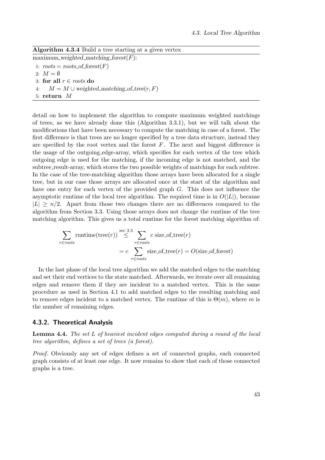Algorithm 4.3.4 Build a tree starting at a given vertex

<span id="page-42-1"></span>maximum\_weighted\_matching\_forest $(F)$ :

1:  $roots = roots\_of\_forest(F)$ 

2:  $M = \emptyset$ 

3: for all  $r \in roots$  do

4:  $M = M \cup weighted\_matching\_of\_tree(r, F)$ 

5: return M

detail on how to implement the algorithm to compute maximum weighted matchings of trees, as we have already done this (Algorithm [3.3.1\)](#page-19-0), but we will talk about the modifications that have been necessary to compute the matching in case of a forest. The first difference is that trees are no longer specified by a tree data structure, instead they are specified by the root vertex and the forest  $F$ . The next and biggest difference is the usage of the outgoing edge-array, which specifies for each vertex of the tree which outgoing edge is used for the matching, if the incoming edge is not matched, and the subtree\_result-array, which stores the two possible weights of matchings for each subtree. In the case of the tree-matching algorithm those arrays have been allocated for a single tree, but in our case those arrays are allocated once at the start of the algorithm and have one entry for each vertex of the provided graph G. This does not influence the asymptotic runtime of the local tree algorithm. The required time is in  $O(|L|)$ , because  $|L| \geq n/2$ . Apart from those two changes there are no differences compared to the algorithm from Section [3.3.](#page-18-0) Using those arrays does not change the runtime of the tree matching algorithm. This gives us a total runtime for the forest matching algorithm of:

$$
\sum_{r \in roots} \text{ runtime(tree}(r)) \stackrel{\text{sec } 3.3}{\leq} \sum_{r \in roots} c \text{ size_of-tree}(r)
$$

$$
= c \sum_{r \in roots} \text{size_of-tree}(r) = O(\text{size_of-force})
$$

In the last phase of the local tree algorithm we add the matched edges to the matching and set their end vertices to the state matched. Afterwards, we iterate over all remaining edges and remove them if they are incident to a matched vertex. This is the same procedure as used in Section [4.1](#page-28-0) to add matched edges to the resulting matching and to remove edges incident to a matched vertex. The runtime of this is  $\Theta(m)$ , where m is the number of remaining edges.

## 4.3.2. Theoretical Analysis

<span id="page-42-0"></span>Lemma 4.4. The set L of heaviest incident edges computed during a round of the local tree algorithm, defines a set of trees (a forest).

Proof. Obviously any set of edges defines a set of connected graphs, each connected graph consists of at least one edge. It now remains to show that each of those connected graphs is a tree.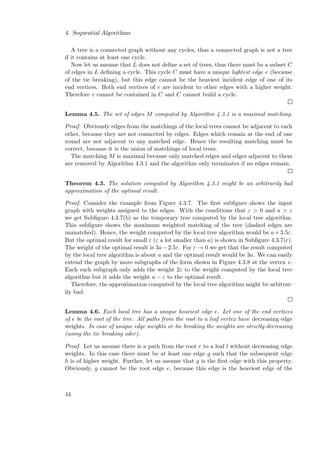A tree is a connected graph without any cycles, thus a connected graph is not a tree if it contains at least one cycle.

Now let us assume that  $L$  does not define a set of trees, thus there must be a subset  $C$ of edges in L defining a cycle. This cycle C must have a unique *lightest edge e* (because of the tie breaking), but this edge cannot be the heaviest incident edge of one of its end vertices. Both end vertices of e are incident to other edges with a higher weight. Therefore e cannot be contained in C and C cannot build a cycle.

 $\Box$ 

#### **Lemma 4.5.** The set of edges M computed by Algorithm  $\ddot{A}$ . As a maximal matching.

Proof. Obviously edges from the matchings of the local trees cannot be adjacent to each other, because they are not connected by edges. Edges which remain at the end of one round are not adjacent to any matched edge. Hence the resulting matching must be correct, because it is the union of matchings of local trees.

The matching M is maximal because only matched edges and edges adjacent to them are removed by Algorithm [4.3.1](#page-39-0) and the algorithm only terminates if no edges remain.

 $\Box$ 

## **Theorem 4.3.** The solution computed by Algorithm  $4.3.1$  might be an arbitrarily bad approximation of the optimal result.

Proof. Consider the example from Figure [4.3.7.](#page-44-0) The first subfigure shows the input graph with weights assigned to the edges. With the conditions that  $\varepsilon > 0$  and  $a > \varepsilon$ we get Subfigure [4.3.7\(b\)](#page-44-1) as the temporary tree computed by the local tree algorithm. This subfigure shows the maximum weighted matching of the tree (dashed edges are unmatched). Hence, the weight computed by the local tree algorithm would be  $a+3.5\varepsilon$ . But the optimal result for small  $\varepsilon$  ( $\varepsilon$  a lot smaller than a) is shown in Subfigure [4.3.7\(c\).](#page-44-2) The weight of the optimal result is  $3a-2.5\varepsilon$ . For  $\varepsilon \to 0$  we get that the result computed by the local tree algorithm is about  $a$  and the optimal result would be  $3a$ . We can easily extend the graph by more subgraphs of the form shown in Figure [4.3.8](#page-44-3) at the vertex  $v$ . Each such subgraph only adds the weight  $2\varepsilon$  to the weight computed by the local tree algorithm but it adds the weight  $a - \varepsilon$  to the optimal result.

Therefore, the approximation computed by the local tree algorithm might be arbitrarily bad.

 $\Box$ 

**Lemma 4.6.** Each local tree has a unique heaviest edge e. Let one of the end vertices of e be the root of the tree. All paths from the root to a leaf vertex have decreasing edge weights. In case of unique edge weights or tie breaking the weights are strictly decreasing (using the tie breaking oder).

*Proof.* Let us assume there is a path from the root r to a leaf l without decreasing edge weights. In this case there must be at least one edge  $q$  such that the subsequent edge h is of higher weight. Further, let us assume that  $q$  is the first edge with this property. Obviously,  $g$  cannot be the root edge  $e$ , because this edge is the heaviest edge of the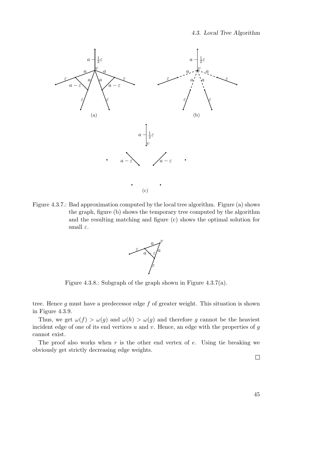<span id="page-44-4"></span><span id="page-44-1"></span><span id="page-44-0"></span>

<span id="page-44-3"></span>Figure 4.3.7.: Bad approximation computed by the local tree algorithm. Figure (a) shows the graph, figure (b) shows the temporary tree computed by the algorithm and the resulting matching and figure (c) shows the optimal solution for small  $\varepsilon$ .

<span id="page-44-2"></span>

Figure 4.3.8.: Subgraph of the graph shown in Figure [4.3.7\(a\).](#page-44-4)

tree. Hence  $g$  must have a predecessor edge  $f$  of greater weight. This situation is shown in Figure [4.3.9.](#page-45-0)

Thus, we get  $\omega(f) > \omega(g)$  and  $\omega(h) > \omega(g)$  and therefore g cannot be the heaviest incident edge of one of its end vertices  $u$  and  $v$ . Hence, an edge with the properties of  $g$ cannot exist.

The proof also works when  $r$  is the other end vertex of  $e$ . Using tie breaking we obviously get strictly decreasing edge weights.

 $\Box$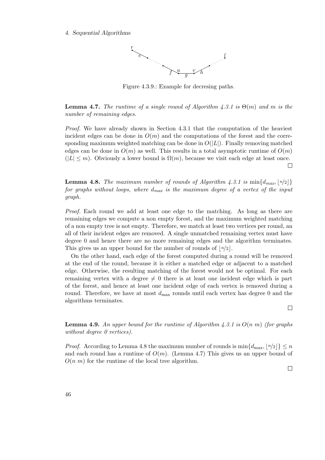<span id="page-45-0"></span>

Figure 4.3.9.: Example for decresing paths.

<span id="page-45-2"></span>**Lemma 4.7.** The runtime of a single round of Algorithm [4.3.1](#page-39-0) is  $\Theta(m)$  and m is the number of remaining edges.

Proof. We have already shown in Section [4.3.1](#page-40-1) that the computation of the heaviest incident edges can be done in  $O(m)$  and the computations of the forest and the corresponding maximum weighted matching can be done in  $O(|L|)$ . Finally removing matched edges can be done in  $O(m)$  as well. This results in a total asymptotic runtime of  $O(m)$  $(|L| \leq m)$ . Obviously a lower bound is  $\Omega(m)$ , because we visit each edge at least once.  $\Box$ 

<span id="page-45-1"></span>**Lemma 4.8.** The maximum number of rounds of Algorithm [4.3.1](#page-39-0) is  $\min\{d_{max}, |n/2|\}$ for graphs without loops, where  $d_{max}$  is the maximum degree of a vertex of the input graph.

Proof. Each round we add at least one edge to the matching. As long as there are remaining edges we compute a non empty forest, and the maximum weighted matching of a non empty tree is not empty. Therefore, we match at least two vertices per round, an all of their incident edges are removed. A single unmatched remaining vertex must have degree 0 and hence there are no more remaining edges and the algorithm terminates. This gives us an upper bound for the number of rounds of  $\lfloor n/2 \rfloor$ .

On the other hand, each edge of the forest computed during a round will be removed at the end of the round, because it is either a matched edge or adjacent to a matched edge. Otherwise, the resulting matching of the forest would not be optimal. For each remaining vertex with a degree  $\neq 0$  there is at least one incident edge which is part of the forest, and hence at least one incident edge of each vertex is removed during a round. Therefore, we have at most  $d_{\text{max}}$  rounds until each vertex has degree 0 and the algorithms terminates.

 $\Box$ 

**Lemma 4.9.** An upper bound for the runtime of Algorithm [4.3.1](#page-39-0) is  $O(n m)$  (for graphs without degree 0 vertices).

*Proof.* According to Lemma [4.8](#page-45-1) the maximum number of rounds is  $\min\{d_{\max}, |n/2|\} \leq n$ and each round has a runtime of  $O(m)$ . (Lemma [4.7\)](#page-45-2) This gives us an upper bound of  $O(n|m)$  for the runtime of the local tree algorithm.

 $\Box$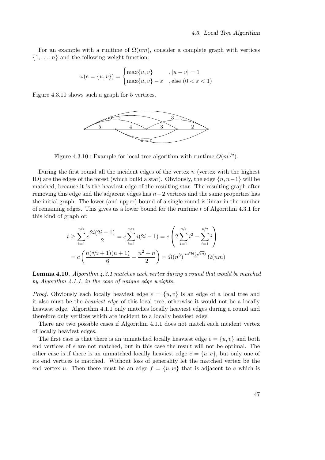For an example with a runtime of  $\Omega(nm)$ , consider a complete graph with vertices  $\{1, \ldots, n\}$  and the following weight function:

$$
\omega(e = \{u, v\}) = \begin{cases} \max\{u, v\} & , |u - v| = 1\\ \max\{u, v\} - \varepsilon & , \text{else } (0 < \varepsilon < 1) \end{cases}
$$

<span id="page-46-0"></span>Figure [4.3.10](#page-46-0) shows such a graph for 5 vertices.



Figure 4.3.10.: Example for local tree algorithm with runtime  $O(m^{3/2})$ .

During the first round all the incident edges of the vertex  $n$  (vertex with the highest ID) are the edges of the forest (which build a star). Obviously, the edge  $\{n, n-1\}$  will be matched, because it is the heaviest edge of the resulting star. The resulting graph after removing this edge and the adjacent edges has  $n-2$  vertices and the same properties has the initial graph. The lower (and upper) bound of a single round is linear in the number of remaining edges. This gives us a lower bound for the runtime  $t$  of Algorithm [4.3.1](#page-39-0) for this kind of graph of:

$$
t \geq \sum_{i=1}^{n/2} c \frac{2i(2i-1)}{2} = c \sum_{i=1}^{n/2} i(2i-1) = c \left( 2 \sum_{i=1}^{n/2} i^2 - \sum_{i=1}^{n/2} i \right)
$$
  
= 
$$
c \left( \frac{n(n/2+1)(n+1)}{6} - \frac{n^2+n}{2} \right) = \Omega(n^3) \stackrel{n \in \Theta(\sqrt{m})}{=} \Omega(nm)
$$

<span id="page-46-1"></span>**Lemma 4.10.** Algorithm  $\angle 4.3.1$  $\angle 4.3.1$  matches each vertex during a round that would be matched by Algorithm [4.1.1,](#page-28-1) in the case of unique edge weights.

*Proof.* Obviously each locally heaviest edge  $e = \{u, v\}$  is an edge of a local tree and it also must be the heaviest edge of this local tree, otherwise it would not be a locally heaviest edge. Algorithm [4.1.1](#page-28-1) only matches locally heaviest edges during a round and therefore only vertices which are incident to a locally heaviest edge.

There are two possible cases if Algorithm [4.1.1](#page-28-1) does not match each incident vertex of locally heaviest edges.

The first case is that there is an unmatched locally heaviest edge  $e = \{u, v\}$  and both end vertices of e are not matched, but in this case the result will not be optimal. The other case is if there is an unmatched locally heaviest edge  $e = \{u, v\}$ , but only one of its end vertices is matched. Without loss of generality let the matched vertex be the end vertex u. Then there must be an edge  $f = \{u, w\}$  that is adjacent to e which is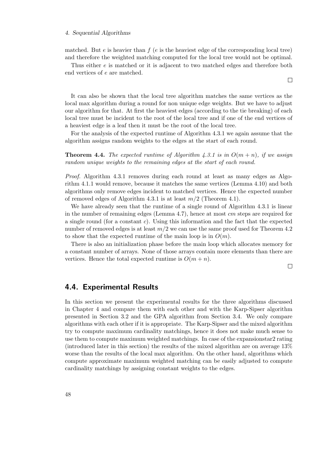matched. But  $e$  is heavier than  $f(e)$  is the heaviest edge of the corresponding local tree) and therefore the weighted matching computed for the local tree would not be optimal.

Thus either e is matched or it is adjacent to two matched edges and therefore both end vertices of e are matched.

It can also be shown that the local tree algorithm matches the same vertices as the local max algorithm during a round for non unique edge weights. But we have to adjust our algorithm for that. At first the heaviest edges (according to the tie breaking) of each local tree must be incident to the root of the local tree and if one of the end vertices of a heaviest edge is a leaf then it must be the root of the local tree.

For the analysis of the expected runtime of Algorithm [4.3.1](#page-39-0) we again assume that the algorithm assigns random weights to the edges at the start of each round.

<span id="page-47-0"></span>**Theorem 4.4.** The expected runtime of Algorithm [4.3.1](#page-39-0) is in  $O(m+n)$ , if we assign random unique weights to the remaining edges at the start of each round.

Proof. Algorithm [4.3.1](#page-39-0) removes during each round at least as many edges as Algorithm [4.1.1](#page-28-1) would remove, because it matches the same vertices (Lemma [4.10\)](#page-46-1) and both algorithms only remove edges incident to matched vertices. Hence the expected number of removed edges of Algorithm [4.3.1](#page-39-0) is at least  $m/2$  (Theorem [4.1\)](#page-32-0).

We have already seen that the runtime of a single round of Algorithm [4.3.1](#page-39-0) is linear in the number of remaining edges (Lemma [4.7\)](#page-45-2), hence at most cm steps are required for a single round (for a constant  $c$ ). Using this information and the fact that the expected number of removed edges is at least  $m/2$  we can use the same proof used for Theorem [4.2](#page-33-0) to show that the expected runtime of the main loop is in  $O(m)$ .

There is also an initialization phase before the main loop which allocates memory for a constant number of arrays. None of those arrays contain more elements than there are vertices. Hence the total expected runtime is  $O(m + n)$ .

 $\Box$ 

## <span id="page-47-1"></span>4.4. Experimental Results

In this section we present the experimental results for the three algorithms discussed in Chapter [4](#page-28-2) and compare them with each other and with the Karp-Sipser algorithm presented in Section [3.2](#page-17-0) and the GPA algorithm from Section [3.4.](#page-22-0) We only compare algorithms with each other if it is appropriate. The Karp-Sipser and the mixed algorithm try to compute maximum cardinality matchings, hence it does not make much sense to use them to compute maximum weighted matchings. In case of the expansionstar2 rating (introduced later in this section) the results of the mixed algorithm are on average 13% worse than the results of the local max algorithm. On the other hand, algorithms which compute approximate maximum weighted matching can be easily adjusted to compute cardinality matchings by assigning constant weights to the edges.

 $\Box$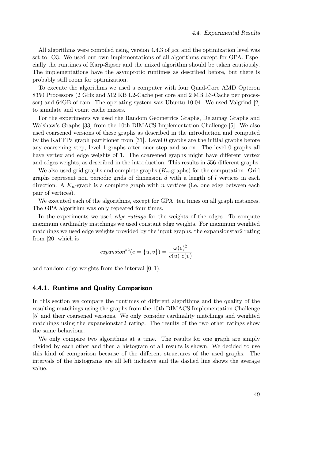All algorithms were compiled using version 4.4.3 of gcc and the optimization level was set to -O3. We used our own implementations of all algorithms except for GPA. Especially the runtimes of Karp-Sipser and the mixed algorithm should be taken cautiously. The implementations have the asymptotic runtimes as described before, but there is probably still room for optimization.

To execute the algorithms we used a computer with four Quad-Core AMD Opteron 8350 Processors (2 GHz and 512 KB L2-Cache per core and 2 MB L3-Cache per processor) and 64GB of ram. The operating system was Ubuntu 10.04. We used Valgrind [\[2\]](#page-122-0) to simulate and count cache misses.

For the experiments we used the Random Geometrics Graphs, Delaunay Graphs and Walshaw's Graphs [\[33\]](#page-124-1) from the 10th DIMACS Implementation Challenge [\[5\]](#page-122-1). We also used coarsened versions of these graphs as described in the introduction and computed by the KaFFPa graph partitioner from [\[31\]](#page-124-2). Level 0 graphs are the initial graphs before any coarsening step, level 1 graphs after oner step and so on. The level 0 graphs all have vertex and edge weights of 1. The coarsened graphs might have different vertex and edges weights, as described in the introduction. This results in 556 different graphs.

We also used grid graphs and complete graphs  $(K_n$ -graphs) for the computation. Grid graphs represent non periodic grids of dimension  $d$  with a length of  $l$  vertices in each direction. A  $K_n$ -graph is a complete graph with n vertices (i.e. one edge between each pair of vertices).

We executed each of the algorithms, except for GPA, ten times on all graph instances. The GPA algorithm was only repeated four times.

In the experiments we used *edge ratings* for the weights of the edges. To compute maximum cardinality matchings we used constant edge weights. For maximum weighted matchings we used edge weights provided by the input graphs, the expansionstar2 rating from [\[20\]](#page-123-0) which is

$$
expansion^{*2}(e = \{u, v\}) = \frac{\omega(e)^2}{c(u) c(v)}
$$

and random edge weights from the interval [0, 1).

## 4.4.1. Runtime and Quality Comparison

In this section we compare the runtimes of different algorithms and the quality of the resulting matchings using the graphs from the 10th DIMACS Implementation Challenge [\[5\]](#page-122-1) and their coarsened versions. We only consider cardinality matchings and weighted matchings using the expansionstar2 rating. The results of the two other ratings show the same behaviour.

We only compare two algorithms at a time. The results for one graph are simply divided by each other and then a histogram of all results is shown. We decided to use this kind of comparison because of the different structures of the used graphs. The intervals of the histograms are all left inclusive and the dashed line shows the average value.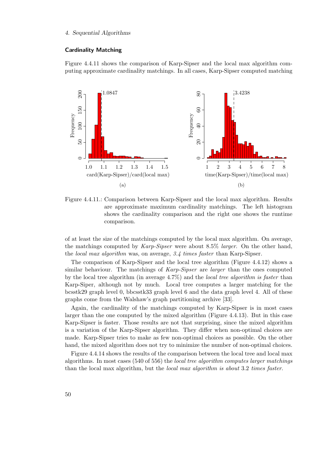## Cardinality Matching

Figure [4.4.11](#page-49-0) shows the comparison of Karp-Sipser and the local max algorithm computing approximate cardinality matchings. In all cases, Karp-Sipser computed matching

<span id="page-49-0"></span>

Figure 4.4.11.: Comparison between Karp-Sipser and the local max algorithm. Results are approximate maximum cardinality matchings. The left histogram shows the cardinality comparison and the right one shows the runtime comparison.

of at least the size of the matchings computed by the local max algorithm. On average, the matchings computed by  $Karp-Sipser$  were about 8.5% *larger*. On the other hand, the *local max algorithm* was, on average, 3.4 times faster than Karp-Sipser.

The comparison of Karp-Sipser and the local tree algorithm (Figure [4.4.12\)](#page-50-0) shows a similar behaviour. The matchings of *Karp-Sipser* are *larger* than the ones computed by the local tree algorithm (in average 4.7%) and the local tree algorithm is faster than Karp-Siper, although not by much. Local tree computes a larger matching for the bcsstk29 graph level 0, bbcsstk33 graph level 6 and the data graph level 4. All of these graphs come from the Walshaw's graph partitioning archive [\[33\]](#page-124-1).

Again, the cardinality of the matchings computed by Karp-Sipser is in most cases larger than the one computed by the mixed algorithm (Figure [4.4.13\)](#page-50-1). But in this case Karp-Sipser is faster. Those results are not that surprising, since the mixed algorithm is a variation of the Karp-Sipser algorithm. They differ when non-optimal choices are made. Karp-Sipser tries to make as few non-optimal choices as possible. On the other hand, the mixed algorithm does not try to minimize the number of non-optimal choices.

Figure [4.4.14](#page-51-0) shows the results of the comparison between the local tree and local max algorithms. In most cases (540 of 556) the local tree algorithm computes larger matchings than the local max algorithm, but the *local max algorithm is about* 3.2 times faster.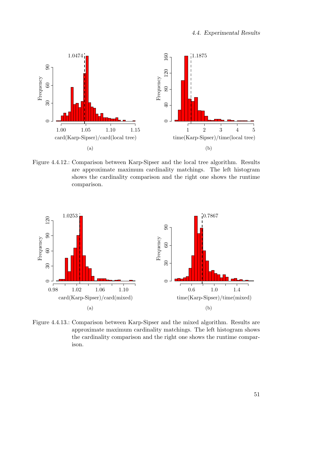<span id="page-50-0"></span>

Figure 4.4.12.: Comparison between Karp-Sipser and the local tree algorithm. Results are approximate maximum cardinality matchings. The left histogram shows the cardinality comparison and the right one shows the runtime comparison.

<span id="page-50-1"></span>

Figure 4.4.13.: Comparison between Karp-Sipser and the mixed algorithm. Results are approximate maximum cardinality matchings. The left histogram shows the cardinality comparison and the right one shows the runtime comparison.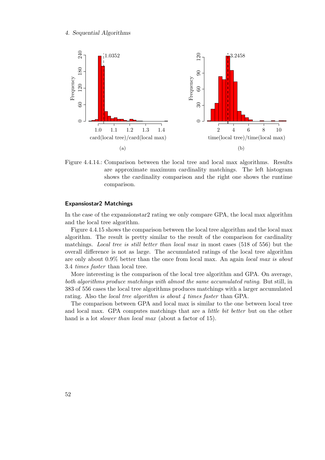<span id="page-51-0"></span>

Figure 4.4.14.: Comparison between the local tree and local max algorithms. Results are approximate maximum cardinality matchings. The left histogram shows the cardinality comparison and the right one shows the runtime comparison.

#### Expansiostar2 Matchings

In the case of the expansionstar2 rating we only compare GPA, the local max algorithm and the local tree algorithm.

Figure [4.4.15](#page-52-0) shows the comparison between the local tree algorithm and the local max algorithm. The result is pretty similar to the result of the comparison for cardinality matchings. *Local tree is still better than local max in most cases* (518 of 556) but the overall difference is not as large. The accumulated ratings of the local tree algorithm are only about 0.9% better than the once from local max. An again local max is about 3.4 times faster than local tree.

More interesting is the comparison of the local tree algorithm and GPA. On average, both algorithms produce matchings with almost the same accumulated rating. But still, in 383 of 556 cases the local tree algorithms produces matchings with a larger accumulated rating. Also the *local tree algorithm is about 4 times faster* than GPA.

The comparison between GPA and local max is similar to the one between local tree and local max. GPA computes matchings that are a *little bit better* but on the other hand is a lot *slower than local max* (about a factor of 15).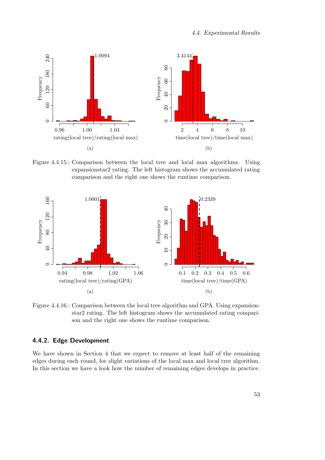<span id="page-52-0"></span>

Figure 4.4.15.: Comparison between the local tree and local max algorithms. Using expansionstar2 rating. The left histogram shows the accumulated rating comparison and the right one shows the runtime comparison.



Figure 4.4.16.: Comparison between the local tree algorithm and GPA. Using expansionstar2 rating. The left histogram shows the accumulated rating comparison and the right one shows the runtime comparison.

## 4.4.2. Edge Development

We have shown in Section [4](#page-28-2) that we expect to remove at least half of the remaining edges during each round, for slight variations of the local max and local tree algorithm. In this section we have a look how the number of remaining edges develops in practice.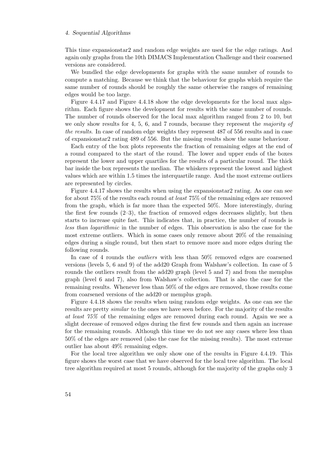This time expansionstar2 and random edge weights are used for the edge ratings. And again only graphs from the 10th DIMACS Implementation Challenge and their coarsened versions are considered.

We bundled the edge developments for graphs with the same number of rounds to compute a matching. Because we think that the behaviour for graphs which require the same number of rounds should be roughly the same otherwise the ranges of remaining edges would be too large.

Figure [4.4.17](#page-54-0) and Figure [4.4.18](#page-55-0) show the edge developments for the local max algorithm. Each figure shows the development for results with the same number of rounds. The number of rounds observed for the local max algorithm ranged from 2 to 10, but we only show results for 4, 5, 6, and 7 rounds, because they represent the *majority of* the results. In case of random edge weights they represent 487 of 556 results and in case of expansionstar2 rating 489 of 556. But the missing results show the same behaviour.

Each entry of the box plots represents the fraction of remaining edges at the end of a round compared to the start of the round. The lower and upper ends of the boxes represent the lower and upper quartiles for the results of a particular round. The thick bar inside the box represents the median. The whiskers represent the lowest and highest values which are within 1.5 times the interquartile range. And the most extreme outliers are represented by circles.

Figure [4.4.17](#page-54-0) shows the results when using the expansionstar2 rating. As one can see for about 75% of the results each round at least 75% of the remaining edges are removed from the graph, which is far more than the expected 50%. More interestingly, during the first few rounds  $(2-3)$ , the fraction of removed edges decreases slightly, but then starts to increase quite fast. This indicates that, in practice, the number of rounds is less than logarithmic in the number of edges. This observation is also the case for the most extreme outliers. Which in some cases only remove about 20% of the remaining edges during a single round, but then start to remove more and more edges during the following rounds.

In case of 4 rounds the outliers with less than 50% removed edges are coarsened versions (levels 5, 6 and 9) of the add20 Graph from Walshaw's collection. In case of 5 rounds the outliers result from the add20 graph (level 5 and 7) and from the memplus graph (level 6 and 7), also from Walshaw's collection. That is also the case for the remaining results. Whenever less than 50% of the edges are removed, those results come from coarsened versions of the add20 or memplus graph.

Figure [4.4.18](#page-55-0) shows the results when using random edge weights. As one can see the results are pretty *similar* to the ones we have seen before. For the majority of the results at least 75% of the remaining edges are removed during each round. Again we see a slight decrease of removed edges during the first few rounds and then again an increase for the remaining rounds. Although this time we do not see any cases where less than 50% of the edges are removed (also the case for the missing results). The most extreme outlier has about 49% remaining edges.

For the local tree algorithm we only show one of the results in Figure [4.4.19.](#page-55-1) This figure shows the worst case that we have observed for the local tree algorithm. The local tree algorithm required at most 5 rounds, although for the majority of the graphs only 3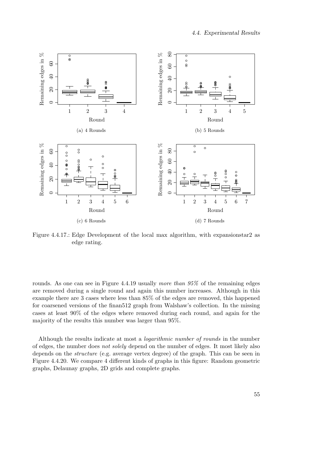<span id="page-54-0"></span>

Figure 4.4.17.: Edge Development of the local max algorithm, with expansionstar2 as edge rating.

rounds. As one can see in Figure [4.4.19](#page-55-1) usually more than  $95\%$  of the remaining edges are removed during a single round and again this number increases. Although in this example there are 3 cases where less than 85% of the edges are removed, this happened for coarsened versions of the finan512 graph from Walshaw's collection. In the missing cases at least 90% of the edges where removed during each round, and again for the majority of the results this number was larger than 95%.

Although the results indicate at most a logarithmic number of rounds in the number of edges, the number does not solely depend on the number of edges. It most likely also depends on the structure (e.g. average vertex degree) of the graph. This can be seen in Figure [4.4.20.](#page-56-0) We compare 4 different kinds of graphs in this figure: Random geometric graphs, Delaunay graphs, 2D grids and complete graphs.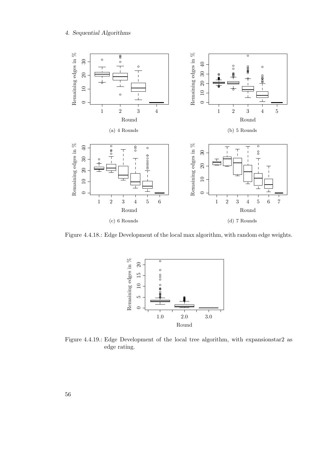<span id="page-55-0"></span>

<span id="page-55-1"></span>Figure 4.4.18.: Edge Development of the local max algorithm, with random edge weights.



Figure 4.4.19.: Edge Development of the local tree algorithm, with expansionstar2 as edge rating.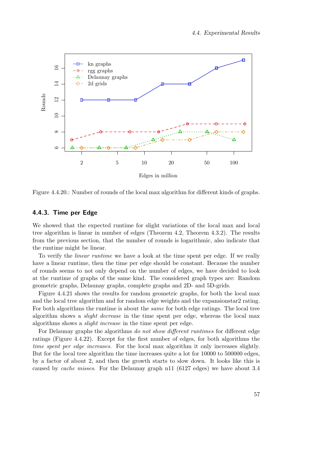<span id="page-56-0"></span>

Figure 4.4.20.: Number of rounds of the local max algorithm for different kinds of graphs.

## 4.4.3. Time per Edge

We showed that the expected runtime for slight variations of the local max and local tree algorithm is linear in number of edges (Theorem [4.2,](#page-33-0) Theorem [4.3.2\)](#page-47-0). The results from the previous section, that the number of rounds is logarithmic, also indicate that the runtime might be linear.

To verify the linear runtime we have a look at the time spent per edge. If we really have a linear runtime, then the time per edge should be constant. Because the number of rounds seems to not only depend on the number of edges, we have decided to look at the runtime of graphs of the same kind. The considered graph types are: Random geometric graphs, Delaunay graphs, complete graphs and 2D- and 5D-grids.

Figure [4.4.21](#page-57-0) shows the results for random geometric graphs, for both the local max and the local tree algorithm and for random edge weights and the expansionstar2 rating. For both algorithms the runtime is about the *same* for both edge ratings. The local tree algorithm shows a slight decrease in the time spent per edge, whereas the local max algorithms shows a slight increase in the time spent per edge.

For Delaunay graphs the algorithms do not show different runtimes for different edge ratings (Figure [4.4.22\)](#page-58-0). Except for the first number of edges, for both algorithms the time spent per edge increases. For the local max algorithm it only increases slightly. But for the local tree algorithm the time increases quite a lot for 10000 to 500000 edges, by a factor of about 2, and then the growth starts to slow down. It looks like this is caused by cache misses. For the Delaunay graph n11 (6127 edges) we have about 3.4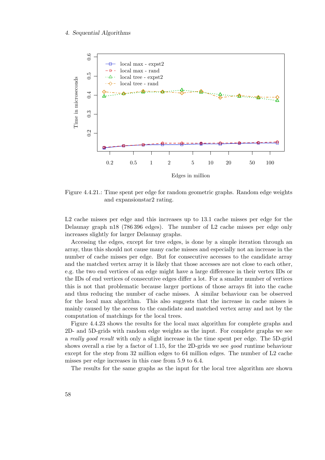<span id="page-57-0"></span>

Figure 4.4.21.: Time spent per edge for random geometric graphs. Random edge weights and expansionstar2 rating.

L2 cache misses per edge and this increases up to 13.1 cache misses per edge for the Delaunay graph n18 (786 396 edges). The number of L2 cache misses per edge only increases slightly for larger Delaunay graphs.

Accessing the edges, except for tree edges, is done by a simple iteration through an array, thus this should not cause many cache misses and especially not an increase in the number of cache misses per edge. But for consecutive accesses to the candidate array and the matched vertex array it is likely that those accesses are not close to each other, e.g. the two end vertices of an edge might have a large difference in their vertex IDs or the IDs of end vertices of consecutive edges differ a lot. For a smaller number of vertices this is not that problematic because larger portions of those arrays fit into the cache and thus reducing the number of cache misses. A similar behaviour can be observed for the local max algorithm. This also suggests that the increase in cache misses is mainly caused by the access to the candidate and matched vertex array and not by the computation of matchings for the local trees.

Figure [4.4.23](#page-59-0) shows the results for the local max algorithm for complete graphs and 2D- and 5D-grids with random edge weights as the input. For complete graphs we see a really good result with only a slight increase in the time spent per edge. The 5D-grid shows overall a rise by a factor of 1.15, for the 2D-grids we see good runtime behaviour except for the step from 32 million edges to 64 million edges. The number of L2 cache misses per edge increases in this case from 5.9 to 6.4.

The results for the same graphs as the input for the local tree algorithm are shown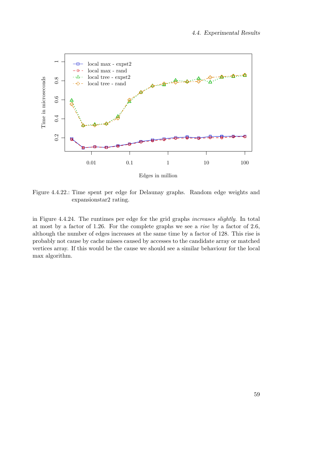<span id="page-58-0"></span>

Figure 4.4.22.: Time spent per edge for Delaunay graphs. Random edge weights and expansionstar2 rating.

in Figure [4.4.24.](#page-59-1) The runtimes per edge for the grid graphs increases slightly. In total at most by a factor of 1.26. For the complete graphs we see a rise by a factor of 2.6, although the number of edges increases at the same time by a factor of 128. This rise is probably not cause by cache misses caused by accesses to the candidate array or matched vertices array. If this would be the cause we should see a similar behaviour for the local max algorithm.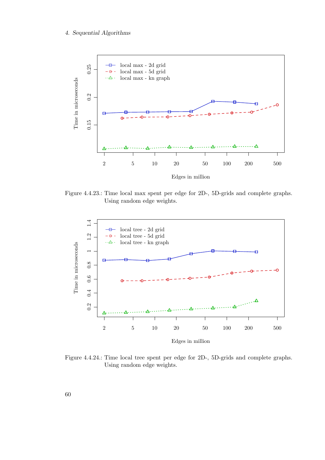<span id="page-59-0"></span>

Figure 4.4.23.: Time local max spent per edge for 2D-, 5D-grids and complete graphs. Using random edge weights.

<span id="page-59-1"></span>

Figure 4.4.24.: Time local tree spent per edge for 2D-, 5D-grids and complete graphs. Using random edge weights.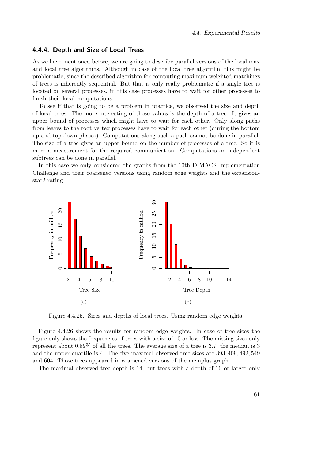## 4.4.4. Depth and Size of Local Trees

As we have mentioned before, we are going to describe parallel versions of the local max and local tree algorithms. Although in case of the local tree algorithm this might be problematic, since the described algorithm for computing maximum weighted matchings of trees is inherently sequential. But that is only really problematic if a single tree is located on several processes, in this case processes have to wait for other processes to finish their local computations.

To see if that is going to be a problem in practice, we observed the size and depth of local trees. The more interesting of those values is the depth of a tree. It gives an upper bound of processes which might have to wait for each other. Only along paths from leaves to the root vertex processes have to wait for each other (during the bottom up and top down phases). Computations along such a path cannot be done in parallel. The size of a tree gives an upper bound on the number of processes of a tree. So it is more a measurement for the required communication. Computations on independent subtrees can be done in parallel.

In this case we only considered the graphs from the 10th DIMACS Implementation Challenge and their coarsened versions using random edge weights and the expansionstar2 rating.



Figure 4.4.25.: Sizes and depths of local trees. Using random edge weights.

Figure [4.4.26](#page-61-0) shows the results for random edge weights. In case of tree sizes the figure only shows the frequencies of trees with a size of 10 or less. The missing sizes only represent about 0.89% of all the trees. The average size of a tree is 3.7, the median is 3 and the upper quartile is 4. The five maximal observed tree sizes are 393, 409, 492, 549 and 604. Those trees appeared in coarsened versions of the memplus graph.

The maximal observed tree depth is 14, but trees with a depth of 10 or larger only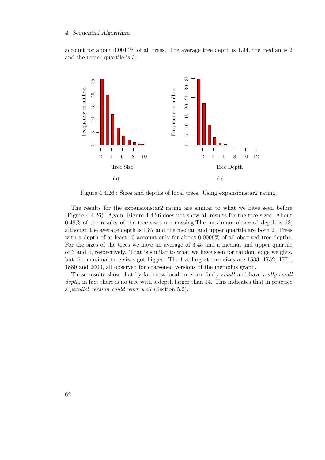account for about 0.0014% of all trees. The average tree depth is 1.94, the median is 2 and the upper quartile is 3.

<span id="page-61-0"></span>

Figure 4.4.26.: Sizes and depths of local trees. Using expansionstar2 rating.

The results for the expansionstar2 rating are similar to what we have seen before (Figure [4.4.26\)](#page-61-0). Again, Figure [4.4.26](#page-61-0) does not show all results for the tree sizes. About 0.49% of the results of the tree sizes are missing.The maximum observed depth is 13, although the average depth is 1.87 and the median and upper quartile are both 2. Trees with a depth of at least 10 account only for about 0.0009% of all observed tree depths. For the sizes of the trees we have an average of 3.45 and a median and upper quartile of 3 and 4, respectively. That is similar to what we have seen for random edge weights, but the maximal tree sizes got bigger. The five largest tree sizes are 1533, 1752, 1771, 1880 and 2000, all observed for coarsened versions of the memplus graph.

Those results show that by far most local trees are fairly small and have really small depth, in fact there is no tree with a depth larger than 14. This indicates that in practice a parallel version could work well (Section [5.2\)](#page-69-0).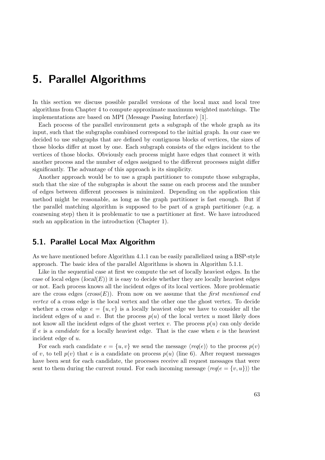# 5. Parallel Algorithms

In this section we discuss possible parallel versions of the local max and local tree algorithms from Chapter [4](#page-28-2) to compute approximate maximum weighted matchings. The implementations are based on MPI (Message Passing Interface) [\[1\]](#page-122-2).

Each process of the parallel environment gets a subgraph of the whole graph as its input, such that the subgraphs combined correspond to the initial graph. In our case we decided to use subgraphs that are defined by contiguous blocks of vertices, the sizes of those blocks differ at most by one. Each subgraph consists of the edges incident to the vertices of those blocks. Obviously each process might have edges that connect it with another process and the number of edges assigned to the different processes might differ significantly. The advantage of this approach is its simplicity.

Another approach would be to use a graph partitioner to compute those subgraphs, such that the size of the subgraphs is about the same on each process and the number of edges between different processes is minimized. Depending on the application this method might be reasonable, as long as the graph partitioner is fast enough. But if the parallel matching algorithm is supposed to be part of a graph partitioner (e.g. a coarsening step) then it is problematic to use a partitioner at first. We have introduced such an application in the introduction (Chapter [1\)](#page-8-0).

## <span id="page-62-0"></span>5.1. Parallel Local Max Algorithm

As we have mentioned before Algorithm [4.1.1](#page-28-1) can be easily parallelized using a BSP-style approach. The basic idea of the parallel Algorithms is shown in Algorithm [5.1.1.](#page-63-0)

Like in the sequential case at first we compute the set of locally heaviest edges. In the case of local edges  $(local(E))$  it is easy to decide whether they are locally heaviest edges or not. Each process knows all the incident edges of its local vertices. More problematic are the cross edges  $(cross(E))$ . From now on we assume that the first mentioned end vertex of a cross edge is the local vertex and the other one the ghost vertex. To decide whether a cross edge  $e = \{u, v\}$  is a locally heaviest edge we have to consider all the incident edges of u and v. But the process  $p(u)$  of the local vertex u most likely does not know all the incident edges of the ghost vertex v. The process  $p(u)$  can only decide if  $e$  is a *candidate* for a locally heaviest edge. That is the case when  $e$  is the heaviest incident edge of u.

For each such candidate  $e = \{u, v\}$  we send the message  $\langle req(e) \rangle$  to the process  $p(v)$ of v, to tell  $p(v)$  that e is a candidate on process  $p(u)$  (line [6\)](#page-63-1). After request messages have been sent for each candidate, the processes receive all request messages that were sent to them during the current round. For each incoming message  $\langle \text{req}(e = \{v, u\}) \rangle$  the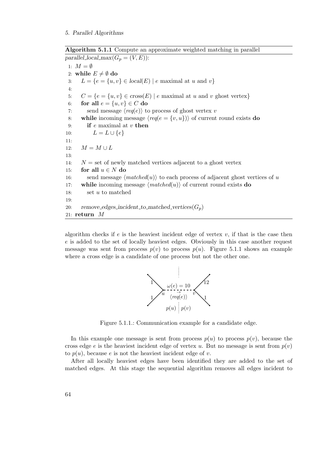Algorithm 5.1.1 Compute an approximate weighted matching in parallel parallel\_local\_max $(G_p = (V, E))$ :

<span id="page-63-1"></span><span id="page-63-0"></span>1:  $M = \emptyset$ 2: while  $E \neq \emptyset$  do 3:  $L = \{e = \{u, v\} \in local(E) \mid e \text{ maximal at } u \text{ and } v\}$ 4: 5:  $C = \{e = \{u, v\} \in \text{cross}(E) \mid e \text{ maximal at } u \text{ and } v \text{ ghost vertex}\}\$ 6: for all  $e = \{u, v\} \in C$  do 7: send message  $\langle \text{req}(e) \rangle$  to process of ghost vertex v 8: while incoming message  $\langle \text{req}(e = \{v, u\}) \rangle$  of current round exists do 9: if  $e$  maximal at  $v$  then 10:  $L = L \cup \{e\}$ 11: 12:  $M = M \cup L$ 13: 14:  $N =$  set of newly matched vertices adjacent to a ghost vertex 15: for all  $u \in N$  do 16: send message  $\langle matched(u)\rangle$  to each process of adjacent ghost vertices of u 17: while incoming message  $\langle matched(u)\rangle$  of current round exists do 18: set u to matched 19: 20: remove\_edges\_incident\_to\_matched\_vertices $(G_n)$ 21: return M

<span id="page-63-2"></span>algorithm checks if  $e$  is the heaviest incident edge of vertex  $v$ , if that is the case then e is added to the set of locally heaviest edges. Obviously in this case another request message was sent from process  $p(v)$  to process  $p(u)$ . Figure [5.1.1](#page-63-2) shows an example where a cross edge is a candidate of one process but not the other one.

<span id="page-63-3"></span>

Figure 5.1.1.: Communication example for a candidate edge.

In this example one message is sent from process  $p(u)$  to process  $p(v)$ , because the cross edge e is the heaviest incident edge of vertex u. But no message is sent from  $p(v)$ to  $p(u)$ , because e is not the heaviest incident edge of v.

After all locally heaviest edges have been identified they are added to the set of matched edges. At this stage the sequential algorithm removes all edges incident to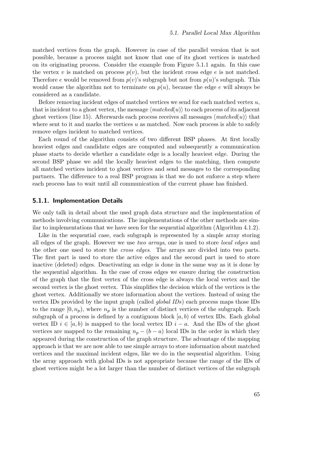matched vertices from the graph. However in case of the parallel version that is not possible, because a process might not know that one of its ghost vertices is matched on its originating process. Consider the example from Figure [5.1.1](#page-63-2) again. In this case the vertex v is matched on process  $p(v)$ , but the incident cross edge e is not matched. Therefore e would be removed from  $p(v)$ 's subgraph but not from  $p(u)$ 's subgraph. This would cause the algorithm not to terminate on  $p(u)$ , because the edge e will always be considered as a candidate.

Before removing incident edges of matched vertices we send for each matched vertex  $u$ , that is incident to a ghost vertex, the message  $\langle matched(u)\rangle$  to each process of its adjacent ghost vertices (line [15\)](#page-63-3). Afterwards each process receives all messages  $\langle matched(u)\rangle$  that where sent to it and marks the vertices  $u$  as matched. Now each process is able to safely remove edges incident to matched vertices.

Each round of the algorithm consists of two different BSP phases. At first locally heaviest edges and candidate edges are computed and subsequently a communication phase starts to decide whether a candidate edge is a locally heaviest edge. During the second BSP phase we add the locally heaviest edges to the matching, then compute all matched vertices incident to ghost vertices and send messages to the corresponding partners. The difference to a real BSP program is that we do not enforce a step where each process has to wait until all communication of the current phase has finished.

## 5.1.1. Implementation Details

We only talk in detail about the used graph data structure and the implementation of methods involving communications. The implementations of the other methods are similar to implementations that we have seen for the sequential algorithm (Algorithm [4.1.2\)](#page-30-0).

Like in the sequential case, each subgraph is represented by a simple array storing all edges of the graph. However we use two arrays, one is used to store local edges and the other one used to store the cross edges. The arrays are divided into two parts. The first part is used to store the active edges and the second part is used to store inactive (deleted) edges. Deactivating an edge is done in the same way as it is done by the sequential algorithm. In the case of cross edges we ensure during the construction of the graph that the first vertex of the cross edge is always the local vertex and the second vertex is the ghost vertex. This simplifies the decision which of the vertices is the ghost vertex. Additionally we store information about the vertices. Instead of using the vertex IDs provided by the input graph (called global IDs) each process maps those IDs to the range  $[0, n_p)$ , where  $n_p$  is the number of distinct vertices of the subgraph. Each subgraph of a process is defined by a contiguous block  $(a, b)$  of vertex IDs. Each global vertex ID  $i \in [a, b)$  is mapped to the local vertex ID  $i - a$ . And the IDs of the ghost vertices are mapped to the remaining  $n_p - (b - a)$  local IDs in the order in which they appeared during the construction of the graph structure. The advantage of the mapping approach is that we are now able to use simple arrays to store information about matched vertices and the maximal incident edges, like we do in the sequential algorithm. Using the array approach with global IDs is not appropriate because the range of the IDs of ghost vertices might be a lot larger than the number of distinct vertices of the subgraph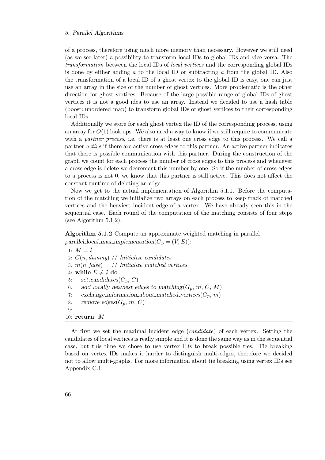#### 5. Parallel Algorithms

of a process, therefore using much more memory than necessary. However we still need (as we see later) a possibility to transform local IDs to global IDs and vice versa. The transformation between the local IDs of local vertices and the corresponding global IDs is done by either adding  $\alpha$  to the local ID or subtracting  $\alpha$  from the global ID. Also the transformation of a local ID of a ghost vertex to the global ID is easy, one can just use an array in the size of the number of ghost vertices. More problematic is the other direction for ghost vertices. Because of the large possible range of global IDs of ghost vertices it is not a good idea to use an array. Instead we decided to use a hash table (boost::unordered map) to transform global IDs of ghost vertices to their corresponding local IDs.

Additionally we store for each ghost vertex the ID of the corresponding process, using an array for  $O(1)$  look ups. We also need a way to know if we still require to communicate with a *partner process*, i.e. there is at least one cross edge to this process. We call a partner active if there are active cross edges to this partner. An active partner indicates that there is possible communication with this partner. During the construction of the graph we count for each process the number of cross edges to this process and whenever a cross edge is delete we decrement this number by one. So if the number of cross edges to a process is not 0, we know that this partner is still active. This does not affect the constant runtime of deleting an edge.

Now we get to the actual implementation of Algorithm [5.1.1.](#page-63-0) Before the computation of the matching we initialize two arrays on each process to keep track of matched vertices and the heaviest incident edge of a vertex. We have already seen this in the sequential case. Each round of the computation of the matching consists of four steps (see Algorithm [5.1.2\)](#page-65-0).

# Algorithm 5.1.2 Compute an approximate weighted matching in parallel

<span id="page-65-0"></span>parallel\_local\_max\_implementation( $G_p = (V, E)$ ): 1:  $M = \emptyset$ 2:  $C(n, dummy)$  // Initialize candidates 3:  $m(n, false)$  // Initialize matched vertices 4: while  $E \neq \emptyset$  do 5: set\_candidates $(G_p, C)$ 6: add\_locally\_heaviest\_edges\_to\_matching $(G_p, m, C, M)$ 7: exchange information about matched vertices  $(G_p, m)$ 8: remove\_edges $(G_p, m, C)$  $9:$ 10: return M

At first we set the maximal incident edge (candidate) of each vertex. Setting the candidates of local vertices is really simple and it is done the same way as in the sequential case, but this time we chose to use vertex IDs to break possible ties. Tie breaking based on vertex IDs makes it harder to distinguish multi-edges, therefore we decided not to allow multi-graphs. For more information about tie breaking using vertex IDs see Appendix [C.1.](#page-106-0)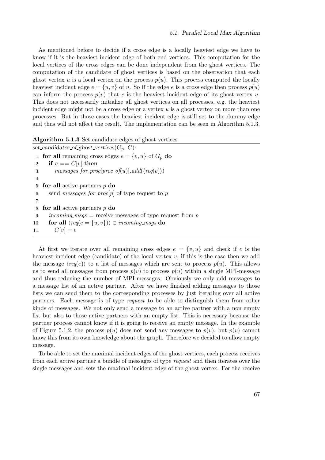As mentioned before to decide if a cross edge is a locally heaviest edge we have to know if it is the heaviest incident edge of both end vertices. This computation for the local vertices of the cross edges can be done independent from the ghost vertices. The computation of the candidate of ghost vertices is based on the observation that each ghost vertex u is a local vertex on the process  $p(u)$ . This process computed the locally heaviest incident edge  $e = \{u, v\}$  of u. So if the edge e is a cross edge then process  $p(u)$ can inform the process  $p(v)$  that e is the heaviest incident edge of its ghost vertex u. This does not necessarily initialize all ghost vertices on all processes, e.g. the heaviest incident edge might not be a cross edge or a vertex  $u$  is a ghost vertex on more than one processes. But in those cases the heaviest incident edge is still set to the dummy edge and thus will not affect the result. The implementation can be seen in Algorithm [5.1.3.](#page-66-0)

```
Algorithm 5.1.3 Set candidate edges of ghost vertices
set_candidates_of_ghost_vertices(G_p, C):
 1: for all remaining cross edges e = \{v, u\} of G_p do
 2: if e == C[v] then
 3: messages_for_proc[proc_of(u)].add(\langle req(e) \rangle)
 4:
 5: for all active partners p do
 6: send messages for proc[p] of type request to p
 7:
 8: for all active partners p do
 9: incoming\_msgs = receive messages of type request from p10: for all \langle \text{req}(e = \{u, v\}) \rangle \in \text{incoming} \text{--} \text{msgs do}11: C[v] = e
```
At first we iterate over all remaining cross edges  $e = \{v, u\}$  and check if e is the heaviest incident edge (candidate) of the local vertex  $v$ , if this is the case then we add the message  $\langle \text{req}(e) \rangle$  to a list of messages which are sent to process  $p(u)$ . This allows us to send all messages from process  $p(v)$  to process  $p(u)$  within a single MPI-message and thus reducing the number of MPI-messages. Obviously we only add messages to a message list of an active partner. After we have finished adding messages to those lists we can send them to the corresponding processes by just iterating over all active partners. Each message is of type request to be able to distinguish them from other kinds of messages. We not only send a message to an active partner with a non empty list but also to those active partners with an empty list. This is necessary because the partner process cannot know if it is going to receive an empty message. In the example of Figure [5.1.2,](#page-67-0) the process  $p(u)$  does not send any messages to  $p(v)$ , but  $p(v)$  cannot know this from its own knowledge about the graph. Therefore we decided to allow empty message.

To be able to set the maximal incident edges of the ghost vertices, each process receives from each active partner a bundle of messages of type request and then iterates over the single messages and sets the maximal incident edge of the ghost vertex. For the receive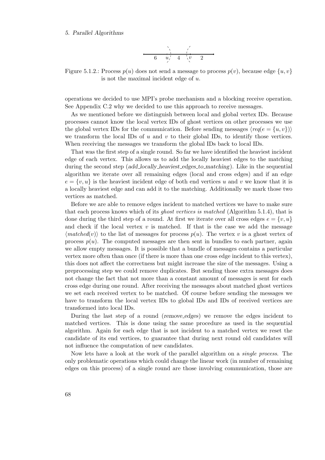#### <span id="page-67-0"></span>5. Parallel Algorithms

$$
\begin{array}{c|c}\n\cdot & \cdot \\
\hline\n6 & u^{\prime} & 4 & v^{\prime} & 2\n\end{array}
$$

Figure 5.1.2.: Process  $p(u)$  does not send a message to process  $p(v)$ , because edge  $\{u, v\}$ is not the maximal incident edge of u.

operations we decided to use MPI's probe mechanism and a blocking receive operation. See Appendix [C.2](#page-107-0) why we decided to use this approach to receive messages.

As we mentioned before we distinguish between local and global vertex IDs. Because processes cannot know the local vertex IDs of ghost vertices on other processes we use the global vertex IDs for the communication. Before sending messages  $\langle \text{req}(e = \{u, v\}) \rangle$ we transform the local IDs of  $u$  and  $v$  to their global IDs, to identify those vertices. When receiving the messages we transform the global IDs back to local IDs.

That was the first step of a single round. So far we have identified the heaviest incident edge of each vertex. This allows us to add the locally heaviest edges to the matching during the second step (add locally heaviest edges to matching). Like in the sequential algorithm we iterate over all remaining edges (local and cross edges) and if an edge  $e = \{v, u\}$  is the heaviest incident edge of both end vertices u and v we know that it is a locally heaviest edge and can add it to the matching. Additionally we mark those two vertices as matched.

Before we are able to remove edges incident to matched vertices we have to make sure that each process knows which of its ghost vertices is matched (Algorithm [5.1.4\)](#page-68-0), that is done during the third step of a round. At first we iterate over all cross edges  $e = \{v, u\}$ and check if the local vertex  $v$  is matched. If that is the case we add the message  $\langle matched(v)\rangle$  to the list of messages for process  $p(u)$ . The vertex v is a ghost vertex of process  $p(u)$ . The computed messages are then sent in bundles to each partner, again we allow empty messages. It is possible that a bundle of messages contains a particular vertex more often than once (if there is more than one cross edge incident to this vertex), this does not affect the correctness but might increase the size of the messages. Using a preprocessing step we could remove duplicates. But sending those extra messages does not change the fact that not more than a constant amount of messages is sent for each cross edge during one round. After receiving the messages about matched ghost vertices we set each received vertex to be matched. Of course before sending the messages we have to transform the local vertex IDs to global IDs and IDs of received vertices are transformed into local IDs.

During the last step of a round (remove edges) we remove the edges incident to matched vertices. This is done using the same procedure as used in the sequential algorithm. Again for each edge that is not incident to a matched vertex we reset the candidate of its end vertices, to guarantee that during next round old candidates will not influence the computation of new candidates.

Now lets have a look at the work of the parallel algorithm on a single process. The only problematic operations which could change the linear work (in number of remaining edges on this process) of a single round are those involving communication, those are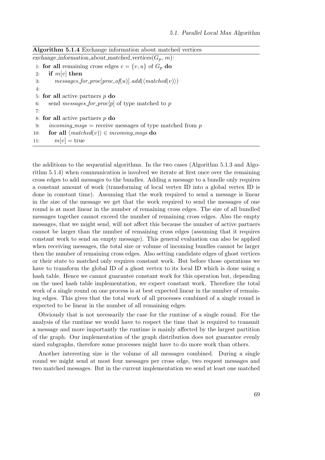| <b>Algorithm 5.1.4</b> Exchange information about matched vertices |  |  |  |  |
|--------------------------------------------------------------------|--|--|--|--|
|--------------------------------------------------------------------|--|--|--|--|

```
exchange_information_about_matched_vertices(G_p, m):
 1: for all remaining cross edges e = \{v, u\} of G_p do
 2: if m[v] then
 3: messages_for_proc[proc_of(u)].add(\langle matched(v)\rangle)
 4:
 5: for all active partners p do
 6: send messages_for_proc[p] of type matched to p
 7:
 8: for all active partners p do
 9: incoming msgs = receive messages of type matched from p
10: for all \langle matched(v)\rangle \in incoming_msgs do
11: m[v] = \text{true}
```
the additions to the sequential algorithms. In the two cases (Algorithm [5.1.3](#page-66-0) and Algorithm [5.1.4\)](#page-68-0) when communication is involved we iterate at first once over the remaining cross edges to add messages to the bundles. Adding a message to a bundle only requires a constant amount of work (transforming of local vertex ID into a global vertex ID is done in constant time). Assuming that the work required to send a message is linear in the size of the message we get that the work required to send the messages of one round is at most linear in the number of remaining cross edges. The size of all bundled messages together cannot exceed the number of remaining cross edges. Also the empty messages, that we might send, will not affect this because the number of active partners cannot be larger than the number of remaining cross edges (assuming that it requires constant work to send an empty message). This general evaluation can also be applied when receiving messages, the total size or volume of incoming bundles cannot be larger then the number of remaining cross edges. Also setting candidate edges of ghost vertices or their state to matched only requires constant work. But before those operations we have to transform the global ID of a ghost vertex to its local ID which is done using a hash table. Hence we cannot guarantee constant work for this operation but, depending on the used hash table implementation, we expect constant work. Therefore the total work of a single round on one process is at best expected linear in the number of remaining edges. This gives that the total work of all processes combined of a single round is expected to be linear in the number of all remaining edges.

Obviously that is not necessarily the case for the runtime of a single round. For the analysis of the runtime we would have to respect the time that is required to transmit a message and more importantly the runtime is mainly affected by the largest partition of the graph. Our implementation of the graph distribution does not guarantee evenly sized subgraphs, therefore some processes might have to do more work than others.

Another interesting size is the volume of all messages combined. During a single round we might send at most four messages per cross edge, two request messages and two matched messages. But in the current implementation we send at least one matched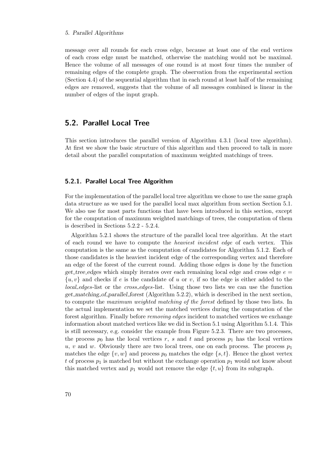#### 5. Parallel Algorithms

message over all rounds for each cross edge, because at least one of the end vertices of each cross edge must be matched, otherwise the matching would not be maximal. Hence the volume of all messages of one round is at most four times the number of remaining edges of the complete graph. The observation from the experimental section (Section [4.4\)](#page-47-1) of the sequential algorithm that in each round at least half of the remaining edges are removed, suggests that the volume of all messages combined is linear in the number of edges of the input graph.

## <span id="page-69-0"></span>5.2. Parallel Local Tree

This section introduces the parallel version of Algorithm [4.3.1](#page-39-0) (local tree algorithm). At first we show the basic structure of this algorithm and then proceed to talk in more detail about the parallel computation of maximum weighted matchings of trees.

## 5.2.1. Parallel Local Tree Algorithm

For the implementation of the parallel local tree algorithm we chose to use the same graph data structure as we used for the parallel local max algorithm from section Section [5.1.](#page-62-0) We also use for most parts functions that have been introduced in this section, except for the computation of maximum weighted matchings of trees, the computation of them is described in Sections [5.2.2](#page-70-0) - [5.2.4.](#page-74-0)

Algorithm [5.2.1](#page-70-1) shows the structure of the parallel local tree algorithm. At the start of each round we have to compute the *heaviest incident edge* of each vertex. This computation is the same as the computation of candidates for Algorithm [5.1.2.](#page-65-0) Each of those candidates is the heaviest incident edge of the corresponding vertex and therefore an edge of the forest of the current round. Adding those edges is done by the function get tree edges which simply iterates over each remaining local edge and cross edge  $e =$  $\{u, v\}$  and checks if e is the candidate of u or v, if so the edge is either added to the local edges-list or the cross-edges-list. Using those two lists we can use the function get matching of parallel forest (Algorithm [5.2.2\)](#page-71-0), which is described in the next section, to compute the maximum weighted matching of the forest defined by those two lists. In the actual implementation we set the matched vertices during the computation of the forest algorithm. Finally before *removing edges* incident to matched vertices we exchange information about matched vertices like we did in Section [5.1](#page-62-0) using Algorithm [5.1.4.](#page-68-0) This is still necessary, e.g. consider the example from Figure [5.2.3.](#page-70-2) There are two processes, the process  $p_0$  has the local vertices r, s and t and process  $p_1$  has the local vertices u, v and w. Obviously there are two local trees, one on each process. The process  $p_1$ matches the edge  $\{v, w\}$  and process  $p_0$  matches the edge  $\{s, t\}$ . Hence the ghost vertex t of process  $p_1$  is matched but without the exchange operation  $p_1$  would not know about this matched vertex and  $p_1$  would not remove the edge  $\{t, u\}$  from its subgraph.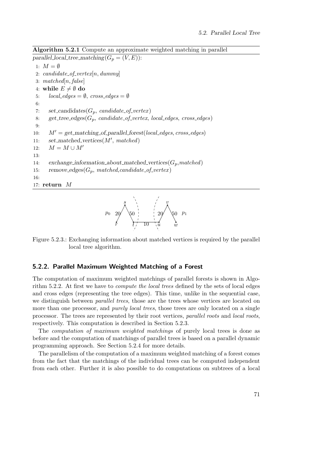Algorithm 5.2.1 Compute an approximate weighted matching in parallel

```
parallel_local_tree_matching(G_p = (V, E)):
 1: M = \emptyset2: candidate_of_vertex[n, dummy]
 3: matched[n, false]
 4: while E \neq \emptyset do
 5: local_{-edges} = \emptyset, cross_{-edges} = \emptyset6:
 7: set_candidates(G_p, \text{ candidate\_of\_vertex})8: get_tree_edges(G_p, \text{ candidate\_of\_vertex}, \text{ local\_edges}, \text{cross\_edges})9:
10: M' = get\_matching\_of\_parallel\_forest(local\_edges, cross\_edges)11: set\_matched\_vertices(M', matched)12: M = M \cup M'13:
14: exchange_information_about_matched_vertices(G_p,matched)
15: remove_edges(G_p, \text{matched}, \text{candidate\_of\_vertex})16:
17: return M
```


<span id="page-70-2"></span>Figure 5.2.3.: Exchanging information about matched vertices is required by the parallel local tree algorithm.

## <span id="page-70-0"></span>5.2.2. Parallel Maximum Weighted Matching of a Forest

The computation of maximum weighted matchings of parallel forests is shown in Algorithm [5.2.2.](#page-71-0) At first we have to compute the local trees defined by the sets of local edges and cross edges (representing the tree edges). This time, unlike in the sequential case, we distinguish between parallel trees, those are the trees whose vertices are located on more than one processor, and *purely local trees*, those trees are only located on a single processor. The trees are represented by their root vertices, parallel roots and local roots, respectively. This computation is described in Section [5.2.3.](#page-71-1)

The computation of maximum weighted matchings of purely local trees is done as before and the computation of matchings of parallel trees is based on a parallel dynamic programming approach. See Section [5.2.4](#page-74-0) for more details.

The parallelism of the computation of a maximum weighted matching of a forest comes from the fact that the matchings of the individual trees can be computed independent from each other. Further it is also possible to do computations on subtrees of a local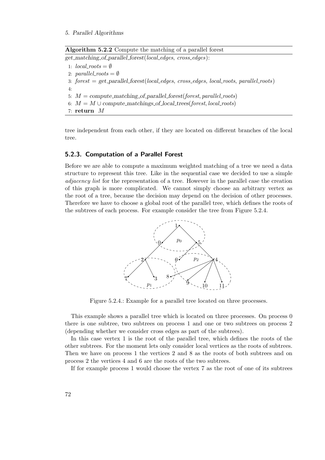5. Parallel Algorithms

Algorithm 5.2.2 Compute the matching of a parallel forest

<span id="page-71-0"></span>get matching of parallel forest(local edges, cross edges):

1:  $local\_roots = \emptyset$ 2: parallel\_roots  $=\emptyset$ 3:  $forest = get\_parallel\_forest(local\_edges, cross\_edges, local\_roots, parallel\_roots)$ 4: 5:  $M = compute\_matching\_of\_parallel\_forest(fonest, parallel\_roots)$ 6:  $M = M \cup compute\_matchings_of\_local\_trees(fonest, local\_roots)$ 7: return M

tree independent from each other, if they are located on different branches of the local tree.

## <span id="page-71-1"></span>5.2.3. Computation of a Parallel Forest

Before we are able to compute a maximum weighted matching of a tree we need a data structure to represent this tree. Like in the sequential case we decided to use a simple adjacency list for the representation of a tree. However in the parallel case the creation of this graph is more complicated. We cannot simply choose an arbitrary vertex as the root of a tree, because the decision may depend on the decision of other processes. Therefore we have to choose a global root of the parallel tree, which defines the roots of the subtrees of each process. For example consider the tree from Figure [5.2.4.](#page-71-2)

<span id="page-71-2"></span>

Figure 5.2.4.: Example for a parallel tree located on three processes.

This example shows a parallel tree which is located on three processes. On process 0 there is one subtree, two subtrees on process 1 and one or two subtrees on process 2 (depending whether we consider cross edges as part of the subtrees).

In this case vertex 1 is the root of the parallel tree, which defines the roots of the other subtrees. For the moment lets only consider local vertices as the roots of subtrees. Then we have on process 1 the vertices 2 and 8 as the roots of both subtrees and on process 2 the vertices 4 and 6 are the roots of the two subtrees.

If for example process 1 would choose the vertex 7 as the root of one of its subtrees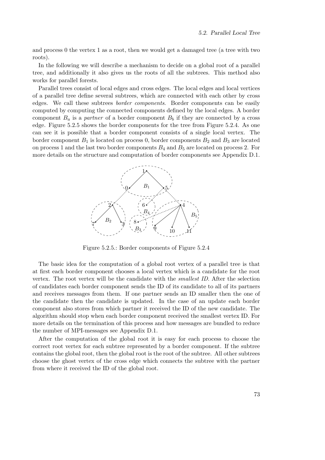and process 0 the vertex 1 as a root, then we would get a damaged tree (a tree with two roots).

In the following we will describe a mechanism to decide on a global root of a parallel tree, and additionally it also gives us the roots of all the subtrees. This method also works for parallel forests.

Parallel trees consist of local edges and cross edges. The local edges and local vertices of a parallel tree define several subtrees, which are connected with each other by cross edges. We call these subtrees border components. Border components can be easily computed by computing the connected components defined by the local edges. A border component  $B_a$  is a partner of a border component  $B_b$  if they are connected by a cross edge. Figure [5.2.5](#page-72-0) shows the border components for the tree from Figure [5.2.4.](#page-71-0) As one can see it is possible that a border component consists of a single local vertex. The border component  $B_1$  is located on process 0, border components  $B_2$  and  $B_3$  are located on process 1 and the last two border components  $B_4$  and  $B_5$  are located on process 2. For more details on the structure and computation of border components see Appendix [D.1.](#page-110-0)

<span id="page-72-0"></span>

Figure 5.2.5.: Border components of Figure [5.2.4](#page-71-0)

The basic idea for the computation of a global root vertex of a parallel tree is that at first each border component chooses a local vertex which is a candidate for the root vertex. The root vertex will be the candidate with the smallest ID. After the selection of candidates each border component sends the ID of its candidate to all of its partners and receives messages from them. If one partner sends an ID smaller then the one of the candidate then the candidate is updated. In the case of an update each border component also stores from which partner it received the ID of the new candidate. The algorithm should stop when each border component received the smallest vertex ID. For more details on the termination of this process and how messages are bundled to reduce the number of MPI-messages see Appendix [D.1.](#page-110-0)

After the computation of the global root it is easy for each process to choose the correct root vertex for each subtree represented by a border component. If the subtree contains the global root, then the global root is the root of the subtree. All other subtrees choose the ghost vertex of the cross edge which connects the subtree with the partner from where it received the ID of the global root.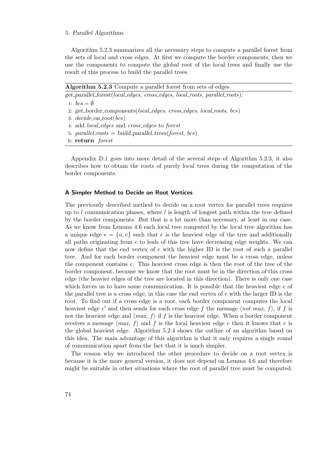#### 5. Parallel Algorithms

Algorithm [5.2.3](#page-73-0) summarizes all the necessary steps to compute a parallel forest from the sets of local and cross edges. At first we compute the border components, then we use the components to compute the global root of the local trees and finally use the result of this process to build the parallel trees.

Algorithm 5.2.3 Compute a parallel forest from sets of edges

<span id="page-73-0"></span>get parallel forest(local edges, cross edges, local roots, parallel roots):

1:  $bcs = \emptyset$ 

- 2: get border components(local edges, cross edges, local roots, bcs)
- 3: decide on root(bcs)
- 4: add *local\_edges* and *cross\_edges* to *forest*
- 5: parallel\_roots = build\_parallel\_trees(forest, bcs)
- 6: return forest

Appendix [D.1](#page-110-0) goes into more detail of the several steps of Algorithm [5.2.3,](#page-73-0) it also describes how to obtain the roots of purely local trees during the computation of the border components.

### A Simpler Method to Decide on Root Vertices

The previously described method to decide on a root vertex for parallel trees requires up to l communication phases, where l is length of longest path within the tree defined by the border components. But that is a lot more than necessary, at least in our case. As we know from Lemma [4.6](#page-43-0) each local tree computed by the local tree algorithm has a unique edge  $e = \{u, v\}$  such that e is the heaviest edge of the tree and additionally all paths originating from  $e$  to leafs of this tree have decreasing edge weights. We can now define that the end vertex of e with the higher ID is the root of such a parallel tree. And for each border component the heaviest edge must be a cross edge, unless the component contains e. This heaviest cross edge is then the root of the tree of the border component, because we know that the root must be in the direction of this cross edge (the heavier edges of the tree are located in this direction). There is only one case which forces us to have some communication. It is possible that the heaviest edge  $e$  of the parallel tree is a cross edge, in this case the end vertex of  $e$  with the larger ID is the root. To find out if a cross edge is a root, each border component computes the local heaviest edge e' and then sends for each cross edge f the message  $\langle not\;max,\;f\rangle$ , if f is not the heaviest edge and  $\langle max, f \rangle$  if f is the heaviest edge. When a border component receives a message  $\langle max, f \rangle$  and f is the local heaviest edge e then it knows that e is the global heaviest edge. Algorithm [5.2.4](#page-74-0) shows the outline of an algorithm based on this idea. The main advantage of this algorithm is that it only requires a single round of communication apart from the fact that it is much simpler.

The reason why we introduced the other procedure to decide on a root vertex is because it is the more general version, it does not depend on Lemma [4.6](#page-43-0) and therefore might be suitable in other situations where the root of parallel tree must be computed.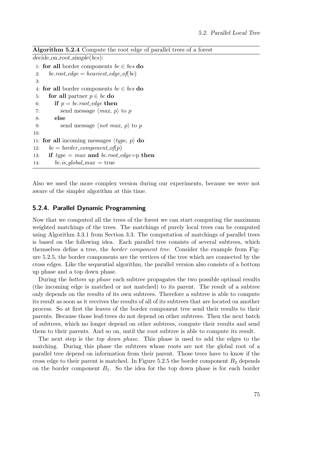| <b>Algorithm 5.2.4</b> Compute the root edge of parallel trees of a forest |  |  |  |  |  |  |  |
|----------------------------------------------------------------------------|--|--|--|--|--|--|--|
|----------------------------------------------------------------------------|--|--|--|--|--|--|--|

```
decide\_on\_root\_simple(bcs):1: for all border components bc \in bcs do
 2: bc.root_edge = heaviest_edge_of(bc)
 3:
 4: for all border components bc \in bcs do
 5: for all partner p \in bc do
 6: if p = bc root edge then
 7: send message \langle max, p \rangle to p
 8: else
 9: send message \langle not \; max, \; p \rangle to p
10:
11: for all incoming messages \langle type, p \rangle do
12: bc = border\_component\_of(p)13: if type = max and bc.root_edge=p then
14: bc.is\_global\_max = true
```
Also we used the more complex version during our experiments, because we were not aware of the simpler algorithm at this time.

## 5.2.4. Parallel Dynamic Programming

Now that we computed all the trees of the forest we can start computing the maximum weighted matchings of the trees. The matchings of purely local trees can be computed using Algorithm [3.3.1](#page-19-0) from Section [3.3.](#page-18-0) The computation of matchings of parallel trees is based on the following idea. Each parallel tree consists of several subtrees, which themselves define a tree, the border component tree. Consider the example from Figure [5.2.5,](#page-72-0) the border components are the vertices of the tree which are connected by the cross edges. Like the sequential algorithm, the parallel version also consists of a bottom up phase and a top down phase.

During the bottom up phase each subtree propagates the two possible optimal results (the incoming edge is matched or not matched) to its parent. The result of a subtree only depends on the results of its own subtrees. Therefore a subtree is able to compute its result as soon as it receives the results of all of its subtrees that are located on another process. So at first the leaves of the border component tree send their results to their parents. Because those leaf-trees do not depend on other subtrees. Then the next batch of subtrees, which no longer depend on other subtrees, compute their results and send them to their parents. And so on, until the root subtree is able to compute its result.

The next step is the top down phase. This phase is used to add the edges to the matching. During this phase the subtrees whose roots are not the global root of a parallel tree depend on information from their parent. Those trees have to know if the cross edge to their parent is matched. In Figure [5.2.5](#page-72-0) the border component  $B_2$  depends on the border component  $B_1$ . So the idea for the top down phase is for each border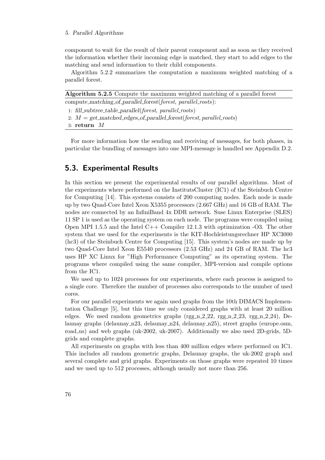#### 5. Parallel Algorithms

component to wait for the result of their parent component and as soon as they received the information whether their incoming edge is matched, they start to add edges to the matching and send information to their child components.

Algorithm [5.2.2](#page-71-1) summarizes the computation a maximum weighted matching of a parallel forest.

| Algorithm 5.2.5 Compute the maximum weighted matching of a parallel forest |
|----------------------------------------------------------------------------|
| $compute\_matching_of\_parallel\_forest(forest, parallel\_roots):$         |
| 1: fill_subtree_table_parallel(forest, parallel_roots)                     |
| 2: $M = get\_matched\_edges_of\_parallel\_forest(fonest, parallel\_roots)$ |
| 3: return $M$                                                              |
|                                                                            |

For more information how the sending and receiving of messages, for both phases, in particular the bundling of messages into one MPI-message is handled see Appendix [D.2.](#page-117-0)

## 5.3. Experimental Results

In this section we present the experimental results of our parallel algorithms. Most of the experiments where performed on the InstitutsCluster (IC1) of the Steinbuch Centre for Computing [\[14\]](#page-123-0). This systems consists of 200 computing nodes. Each node is made up by two Quad-Core Intel Xeon X5355 processors (2.667 GHz) and 16 GB of RAM. The nodes are connected by an InfiniBand 4x DDR network. Suse Linux Enterprise (SLES) 11 SP 1 is used as the operating system on each node. The programs were compiled using Open MPI 1.5.5 and the Intel C++ Compiler 12.1.3 with optimization -O3. The other system that we used for the experiments is the KIT-Hochleistungsrechner HP XC3000 (hc3) of the Steinbuch Centre for Computing [\[15\]](#page-123-1). This system's nodes are made up by two Quad-Core Intel Xeon E5540 processors (2.53 GHz) and 24 GB of RAM. The hc3 uses HP XC Linux for "High Performance Computing" as its operating system. The programs where compiled using the same compiler, MPI-version and compile options from the IC1.

We used up to 1024 processes for our experiments, where each process is assigned to a single core. Therefore the number of processes also corresponds to the number of used cores.

For our parallel experiments we again used graphs from the 10th DIMACS Implementation Challenge [\[5\]](#page-122-0), but this time we only considered graphs with at least 20 million edges. We used random geometrics graphs  $(rgg_n_2_2_2_2, rgg_n_2_2_3, rgg_n_2_2_4),$  Delaunay graphs (delaunay n23, delaunay n24, delaunay n25), street graphs (europe.osm, road us) and web graphs (uk-2002, uk-2007). Additionally we also used 2D-grids, 5Dgrids and complete graphs.

All experiments on graphs with less than 400 million edges where performed on IC1. This includes all random geometric graphs, Delaunay graphs, the uk-2002 graph and several complete and grid graphs. Experiments on those graphs were repeated 10 times and we used up to 512 processes, although usually not more than 256.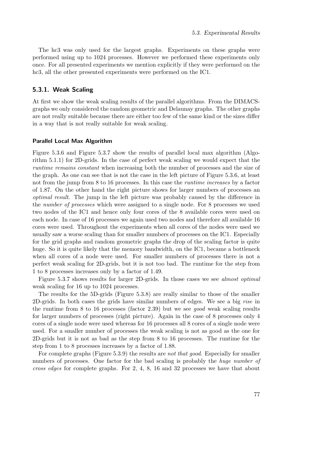The hc3 was only used for the largest graphs. Experiments on these graphs were performed using up to 1024 processes. However we performed these experiments only once. For all presented experiments we mention explicitly if they were performed on the hc3, all the other presented experiments were performed on the IC1.

## <span id="page-76-0"></span>5.3.1. Weak Scaling

At first we show the weak scaling results of the parallel algorithms. From the DIMACSgraphs we only considered the random geometric and Delaunay graphs. The other graphs are not really suitable because there are either too few of the same kind or the sizes differ in a way that is not really suitable for weak scaling.

## Parallel Local Max Algorithm

Figure [5.3.6](#page-77-0) and Figure [5.3.7](#page-77-1) show the results of parallel local max algorithm (Algorithm [5.1.1\)](#page-63-0) for 2D-grids. In the case of perfect weak scaling we would expect that the runtime remains constant when increasing both the number of processes and the size of the graph. As one can see that is not the case in the left picture of Figure [5.3.6,](#page-77-0) at least not from the jump from 8 to 16 processes. In this case the *runtime increases* by a factor of 1.87. On the other hand the right picture shows for larger numbers of processes an optimal result. The jump in the left picture was probably caused by the difference in the number of processes which were assigned to a single node. For 8 processes we used two nodes of the IC1 and hence only four cores of the 8 available cores were used on each node. In case of 16 processes we again used two nodes and therefore all available 16 cores were used. Throughout the experiments when all cores of the nodes were used we usually saw a worse scaling than for smaller numbers of processes on the IC1. Especially for the grid graphs and random geometric graphs the drop of the scaling factor is quite huge. So it is quite likely that the memory bandwidth, on the IC1, became a bottleneck when all cores of a node were used. For smaller numbers of processes there is not a perfect weak scaling for 2D-grids, but it is not too bad. The runtime for the step from 1 to 8 processes increases only by a factor of 1.49.

Figure [5.3.7](#page-77-1) shows results for larger 2D-grids. In those cases we see almost optimal weak scaling for 16 up to 1024 processes.

The results for the 5D-grids (Figure [5.3.8\)](#page-78-0) are really similar to those of the smaller 2D-grids. In both cases the grids have similar numbers of edges. We see a big rise in the runtime from 8 to 16 processes (factor 2.39) but we see good weak scaling results for larger numbers of processes (right picture). Again in the case of 8 processes only 4 cores of a single node were used whereas for 16 processes all 8 cores of a single node were used. For a smaller number of processes the weak scaling is not as good as the one for 2D-grids but it is not as bad as the step from 8 to 16 processes. The runtime for the step from 1 to 8 processes increases by a factor of 1.88.

For complete graphs (Figure [5.3.9\)](#page-78-1) the results are *not that good*. Especially for smaller numbers of processes. One factor for the bad scaling is probably the huge number of cross edges for complete graphs. For 2, 4, 8, 16 and 32 processes we have that about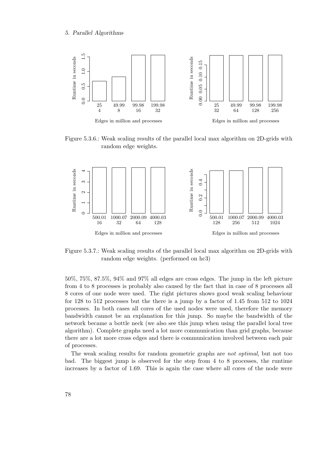<span id="page-77-0"></span>

Figure 5.3.6.: Weak scaling results of the parallel local max algorithm on 2D-grids with random edge weights.

<span id="page-77-1"></span>

Figure 5.3.7.: Weak scaling results of the parallel local max algorithm on 2D-grids with random edge weights. (performed on hc3)

50%, 75%, 87.5%, 94% and 97% all edges are cross edges. The jump in the left picture from 4 to 8 processes is probably also caused by the fact that in case of 8 processes all 8 cores of one node were used. The right pictures shows good weak scaling behaviour for 128 to 512 processes but the there is a jump by a factor of 1.45 from 512 to 1024 processes. In both cases all cores of the used nodes were used, therefore the memory bandwidth cannot be an explanation for this jump. So maybe the bandwidth of the network became a bottle neck (we also see this jump when using the parallel local tree algorithm). Complete graphs need a lot more communication than grid graphs, because there are a lot more cross edges and there is communication involved between each pair of processes.

The weak scaling results for random geometric graphs are not optimal, but not too bad. The biggest jump is observed for the step from 4 to 8 processes, the runtime increases by a factor of 1.69. This is again the case where all cores of the node were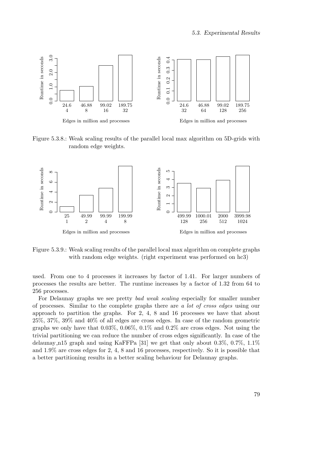<span id="page-78-0"></span>

Figure 5.3.8.: Weak scaling results of the parallel local max algorithm on 5D-grids with random edge weights.

<span id="page-78-1"></span>

Figure 5.3.9.: Weak scaling results of the parallel local max algorithm on complete graphs with random edge weights. (right experiment was performed on hc3)

used. From one to 4 processes it increases by factor of 1.41. For larger numbers of processes the results are better. The runtime increases by a factor of 1.32 from 64 to 256 processes.

For Delaunay graphs we see pretty bad weak scaling especially for smaller number of processes. Similar to the complete graphs there are a lot of cross edges using our approach to partition the graphs. For 2, 4, 8 and 16 processes we have that about 25%, 37%, 39% and 40% of all edges are cross edges. In case of the random geometric graphs we only have that 0.03%, 0.06%, 0.1% and 0.2% are cross edges. Not using the trivial partitioning we can reduce the number of cross edges significantly. In case of the delaunay  $\mu$ 15 graph and using KaFFPa [\[31\]](#page-124-0) we get that only about 0.3%, 0.7%, 1.1% and 1.9% are cross edges for 2, 4, 8 and 16 processes, respectively. So it is possible that a better partitioning results in a better scaling behaviour for Delaunay graphs.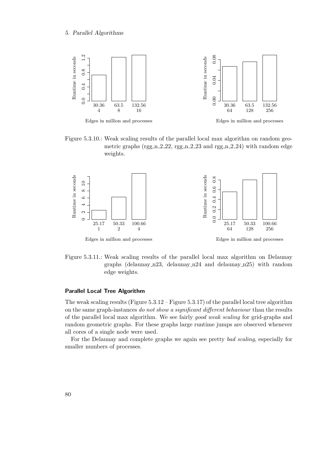

Figure 5.3.10.: Weak scaling results of the parallel local max algorithm on random geometric graphs ( $\text{rgg n } 2.22$ ,  $\text{rgg n } 2.23$  and  $\text{rgg n } 2.24$ ) with random edge weights.



Edges in million and processes

Edges in million and processes

Figure 5.3.11.: Weak scaling results of the parallel local max algorithm on Delaunay graphs (delaunay n23, delaunay n24 and delaunay n25) with random edge weights.

## Parallel Local Tree Algorithm

The weak scaling results (Figure [5.3.12](#page-80-0) – Figure [5.3.17\)](#page-81-0) of the parallel local tree algorithm on the same graph-instances do not show a significant different behaviour than the results of the parallel local max algorithm. We see fairly good weak scaling for grid-graphs and random geometric graphs. For these graphs large runtime jumps are observed whenever all cores of a single node were used.

For the Delaunay and complete graphs we again see pretty bad scaling, especially for smaller numbers of processes.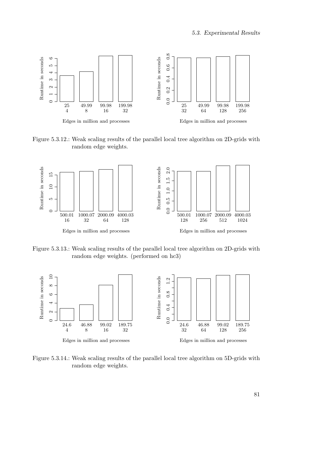<span id="page-80-0"></span>

Figure 5.3.12.: Weak scaling results of the parallel local tree algorithm on 2D-grids with random edge weights.



Figure 5.3.13.: Weak scaling results of the parallel local tree algorithm on 2D-grids with random edge weights. (performed on hc3)



Figure 5.3.14.: Weak scaling results of the parallel local tree algorithm on 5D-grids with random edge weights.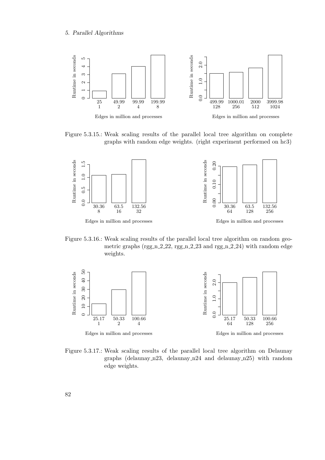

Figure 5.3.15.: Weak scaling results of the parallel local tree algorithm on complete graphs with random edge weights. (right experiment performed on hc3)



Figure 5.3.16.: Weak scaling results of the parallel local tree algorithm on random geometric graphs (rgg\_n\_2\_22, rgg\_n\_2\_23 and rgg\_n\_2\_24) with random edge weights.

<span id="page-81-0"></span>

Figure 5.3.17.: Weak scaling results of the parallel local tree algorithm on Delaunay graphs (delaunay n23, delaunay n24 and delaunay n25) with random edge weights.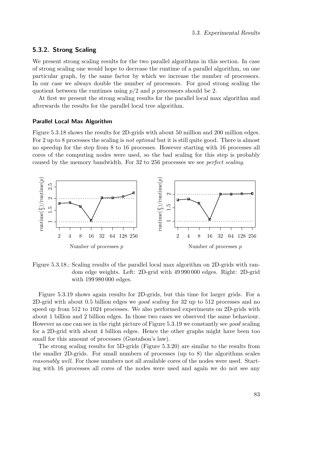## 5.3.2. Strong Scaling

We present strong scaling results for the two parallel algorithms in this section. In case of strong scaling one would hope to decrease the runtime of a parallel algorithm, on one particular graph, by the same factor by which we increase the number of processors. In our case we always double the number of processors. For good strong scaling the quotient between the runtimes using  $p/2$  and p processors should be 2.

At first we present the strong scaling results for the parallel local max algorithm and afterwards the results for the parallel local tree algorithm.

### Parallel Local Max Algorithm

Figure [5.3.18](#page-82-0) shows the results for 2D-grids with about 50 million and 200 million edges. For 2 up to 8 processes the scaling is *not optimal* but it is still quite good. There is almost no speedup for the step from 8 to 16 processes. However starting with 16 processes all cores of the computing nodes were used, so the bad scaling for this step is probably caused by the memory bandwidth. For 32 to 256 processes we see perfect scaling.

<span id="page-82-0"></span>

Figure 5.3.18.: Scaling results of the parallel local max algorithm on 2D-grids with random edge weights. Left: 2D-grid with 49 990 000 edges. Right: 2D-grid with 199 980 000 edges.

Figure [5.3.19](#page-83-0) shows again results for 2D-grids, but this time for larger grids. For a 2D-grid with about 0.5 billion edges we good scaling for 32 up to 512 processes and no speed up from 512 to 1024 processes. We also performed experiments on 2D-grids with about 1 billion and 2 billion edges. In those two cases we observed the same behaviour. However as one can see in the right picture of Figure [5.3.19](#page-83-0) we constantly see good scaling for a 2D-grid with about 4 billion edges. Hence the other graphs might have been too small for this amount of processes (Gustafson's law).

The strong scaling results for 5D-grids (Figure [5.3.20\)](#page-83-1) are similar to the results from the smaller 2D-grids. For small numbers of processes (up to 8) the algorithms scales reasonably well. For those numbers not all available cores of the nodes were used. Starting with 16 processes all cores of the nodes were used and again we do not see any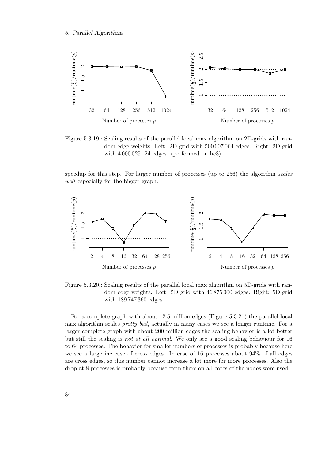<span id="page-83-0"></span>

Figure 5.3.19.: Scaling results of the parallel local max algorithm on 2D-grids with random edge weights. Left: 2D-grid with 500 007 064 edges. Right: 2D-grid with  $4000025124$  edges. (performed on hc3)

speedup for this step. For larger number of processes (up to 256) the algorithm scales well especially for the bigger graph.

<span id="page-83-1"></span>

Figure 5.3.20.: Scaling results of the parallel local max algorithm on 5D-grids with random edge weights. Left: 5D-grid with 46 875 000 edges. Right: 5D-grid with 189 747 360 edges.

For a complete graph with about 12.5 million edges (Figure [5.3.21\)](#page-84-0) the parallel local max algorithm scales *pretty bad*, actually in many cases we see a longer runtime. For a larger complete graph with about 200 million edges the scaling behavior is a lot better but still the scaling is not at all optimal. We only see a good scaling behaviour for 16 to 64 processes. The behavior for smaller numbers of processes is probably because here we see a large increase of cross edges. In case of 16 processes about 94% of all edges are cross edges, so this number cannot increase a lot more for more processes. Also the drop at 8 processes is probably because from there on all cores of the nodes were used.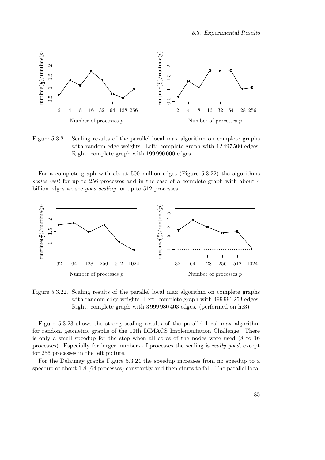<span id="page-84-0"></span>

Figure 5.3.21.: Scaling results of the parallel local max algorithm on complete graphs with random edge weights. Left: complete graph with 12 497 500 edges. Right: complete graph with 199 990 000 edges.

For a complete graph with about 500 million edges (Figure [5.3.22\)](#page-84-1) the algorithms scales well for up to 256 processes and in the case of a complete graph with about 4 billion edges we see *good scaling* for up to 512 processes.

<span id="page-84-1"></span>

Figure 5.3.22.: Scaling results of the parallel local max algorithm on complete graphs with random edge weights. Left: complete graph with 499 991 253 edges. Right: complete graph with 3 999 980 403 edges. (performed on hc3)

Figure [5.3.23](#page-85-0) shows the strong scaling results of the parallel local max algorithm for random geometric graphs of the 10th DIMACS Implementation Challenge. There is only a small speedup for the step when all cores of the nodes were used (8 to 16 processes). Especially for larger numbers of processes the scaling is really good, except for 256 processes in the left picture.

For the Delaunay graphs Figure [5.3.24](#page-85-1) the speedup increases from no speedup to a speedup of about 1.8 (64 processes) constantly and then starts to fall. The parallel local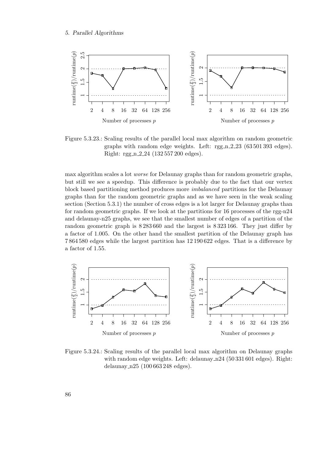<span id="page-85-0"></span>

Figure 5.3.23.: Scaling results of the parallel local max algorithm on random geometric graphs with random edge weights. Left: rgg n 2 23 (63 501 393 edges). Right: rgg\_n\_2\_24 (132 557 200 edges).

max algorithm scales a lot worse for Delaunay graphs than for random geometric graphs, but still we see a speedup. This difference is probably due to the fact that our vertex block based partitioning method produces more imbalanced partitions for the Delaunay graphs than for the random geometric graphs and as we have seen in the weak scaling section (Section [5.3.1\)](#page-76-0) the number of cross edges is a lot larger for Delaunay graphs than for random geometric graphs. If we look at the partitions for 16 processes of the rgg-n24 and delaunay-n25 graphs, we see that the smallest number of edges of a partition of the random geometric graph is 8 283 660 and the largest is 8 323 166. They just differ by a factor of 1.005. On the other hand the smallest partition of the Delaunay graph has 7 864 580 edges while the largest partition has 12 190 622 edges. That is a difference by a factor of 1.55.

<span id="page-85-1"></span>

Figure 5.3.24.: Scaling results of the parallel local max algorithm on Delaunay graphs with random edge weights. Left: delaunay  $n24$  (50 331 601 edges). Right: delaunay n25 (100 663 248 edges).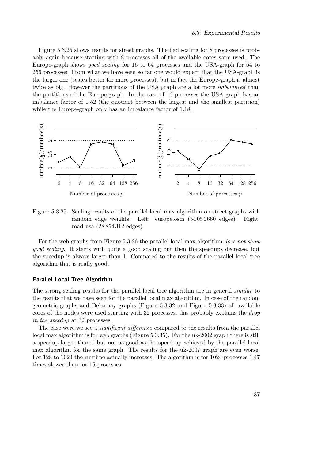Figure [5.3.25](#page-86-0) shows results for street graphs. The bad scaling for 8 processes is probably again because starting with 8 processes all of the available cores were used. The Europe-graph shows good scaling for 16 to 64 processes and the USA-graph for 64 to 256 processes. From what we have seen so far one would expect that the USA-graph is the larger one (scales better for more processes), but in fact the Europe-graph is almost twice as big. However the partitions of the USA graph are a lot more imbalanced than the partitions of the Europe-graph. In the case of 16 processes the USA graph has an imbalance factor of 1.52 (the quotient between the largest and the smallest partition) while the Europe-graph only has an imbalance factor of 1.18.

<span id="page-86-0"></span>

Figure 5.3.25.: Scaling results of the parallel local max algorithm on street graphs with random edge weights. Left: europe.osm (54 054 660 edges). Right: road usa (28 854 312 edges).

For the web-graphs from Figure [5.3.26](#page-87-0) the parallel local max algorithm does not show good scaling. It starts with quite a good scaling but then the speedups decrease, but the speedup is always larger than 1. Compared to the results of the parallel local tree algorithm that is really good.

## Parallel Local Tree Algorithm

The strong scaling results for the parallel local tree algorithm are in general similar to the results that we have seen for the parallel local max algorithm. In case of the random geometric graphs and Delaunay graphs (Figure [5.3.32](#page-90-0) and Figure [5.3.33\)](#page-90-1) all available cores of the nodes were used starting with 32 processes, this probably explains the *drop* in the speedup at 32 processes.

The case were we see a *significant difference* compared to the results from the parallel local max algorithm is for web graphs (Figure [5.3.35\)](#page-91-0). For the uk-2002 graph there is still a speedup larger than 1 but not as good as the speed up achieved by the parallel local max algorithm for the same graph. The results for the uk-2007 graph are even worse. For 128 to 1024 the runtime actually increases. The algorithm is for 1024 processes 1.47 times slower than for 16 processes.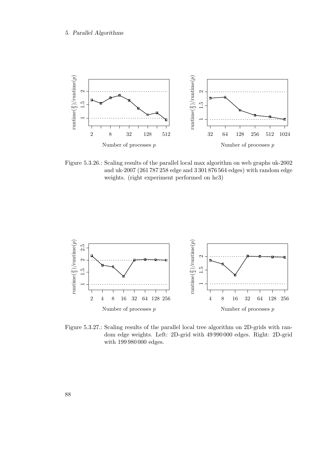<span id="page-87-0"></span>

Figure 5.3.26.: Scaling results of the parallel local max algorithm on web graphs uk-2002 and uk-2007 (261 787 258 edge and 3 301 876 564 edges) with random edge weights. (right experiment performed on hc3)



Figure 5.3.27.: Scaling results of the parallel local tree algorithm on 2D-grids with random edge weights. Left: 2D-grid with 49 990 000 edges. Right: 2D-grid with 199 980 000 edges.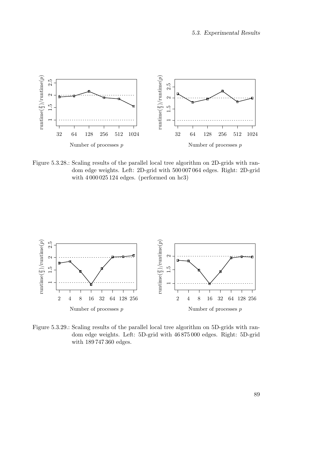

Figure 5.3.28.: Scaling results of the parallel local tree algorithm on 2D-grids with random edge weights. Left: 2D-grid with 500 007 064 edges. Right: 2D-grid with 4 000 025 124 edges. (performed on hc3)



Figure 5.3.29.: Scaling results of the parallel local tree algorithm on 5D-grids with random edge weights. Left: 5D-grid with 46 875 000 edges. Right: 5D-grid with 189 747 360 edges.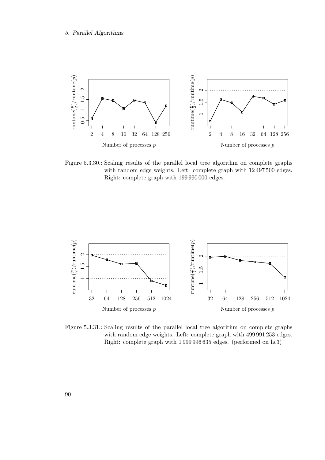

Figure 5.3.30.: Scaling results of the parallel local tree algorithm on complete graphs with random edge weights. Left: complete graph with 12 497 500 edges. Right: complete graph with 199 990 000 edges.



Figure 5.3.31.: Scaling results of the parallel local tree algorithm on complete graphs with random edge weights. Left: complete graph with 499 991 253 edges. Right: complete graph with 1 999 996 635 edges. (performed on hc3)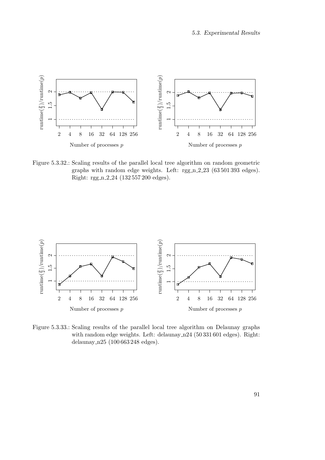<span id="page-90-0"></span>

Figure 5.3.32.: Scaling results of the parallel local tree algorithm on random geometric graphs with random edge weights. Left: rgg n 2 23 (63 501 393 edges). Right: rgg n 2 24 (132 557 200 edges).

<span id="page-90-1"></span>

Figure 5.3.33.: Scaling results of the parallel local tree algorithm on Delaunay graphs with random edge weights. Left: delaunay n24 (50 331 601 edges). Right: delaunay n25 (100 663 248 edges).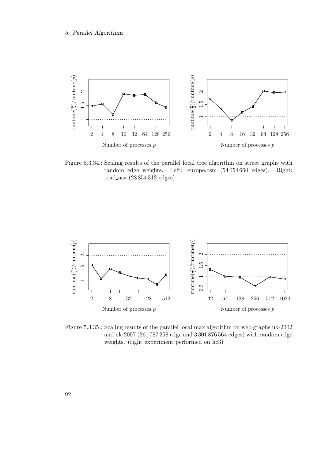

Figure 5.3.34.: Scaling results of the parallel local tree algorithm on street graphs with random edge weights. Left: europe.osm (54 054 660 edges). Right: road usa (28 854 312 edges).

<span id="page-91-0"></span>

Figure 5.3.35.: Scaling results of the parallel local max algorithm on web graphs uk-2002 and uk-2007 (261 787 258 edge and 3 301 876 564 edges) with random edge weights. (right experiment performed on hc3)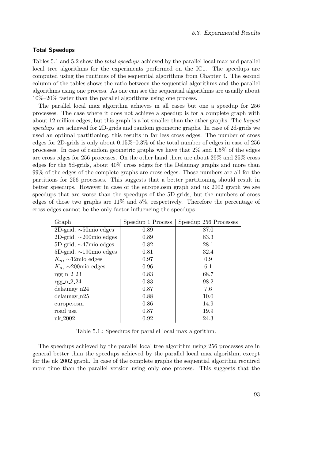## Total Speedups

Tables [5.1](#page-92-0) and [5.2](#page-93-0) show the *total speedups* achieved by the parallel local max and parallel local tree algorithms for the experiments performed on the IC1. The speedups are computed using the runtimes of the sequential algorithms from Chapter [4.](#page-28-0) The second column of the tables shows the ratio between the sequential algorithms and the parallel algorithms using one process. As one can see the sequential algorithms are usually about 10%–20% faster than the parallel algorithms using one process.

The parallel local max algorithm achieves in all cases but one a speedup for 256 processes. The case where it does not achieve a speedup is for a complete graph with about 12 million edges, but this graph is a lot smaller than the other graphs. The largest speedups are achieved for 2D-grids and random geometric graphs. In case of 2d-grids we used an optimal partitioning, this results in far less cross edges. The number of cross edges for 2D-grids is only about 0.15%–0.3% of the total number of edges in case of 256 processes. In case of random geometric graphs we have that  $2\%$  and  $1.5\%$  of the edges are cross edges for 256 processes. On the other hand there are about 29% and 25% cross edges for the 5d-grids, about 40% cross edges for the Delaunay graphs and more than 99% of the edges of the complete graphs are cross edges. Those numbers are all for the partitions for 256 processes. This suggests that a better partitioning should result in better speedups. However in case of the europe.osm graph and uk 2002 graph we see speedups that are worse than the speedups of the 5D-grids, but the numbers of cross edges of those two graphs are 11% and 5%, respectively. Therefore the percentage of cross edges cannot be the only factor influencing the speedups.

<span id="page-92-0"></span>

| Graph                         | Speedup 1 Process | Speedup 256 Processes |
|-------------------------------|-------------------|-----------------------|
| 2D-grid, $\sim 50$ mio edges  | 0.89              | 87.0                  |
| 2D-grid, $\sim$ 200 mio edges | 0.89              | 83.3                  |
| 5D-grid, $\sim$ 47mio edges   | 0.82              | 28.1                  |
| 5D-grid, $\sim$ 190 mio edges | 0.81              | 32.4                  |
| $K_n$ , ~12mio edges          | 0.97              | 0.9                   |
| $K_n$ , ~200 mio edges        | 0.96              | 6.1                   |
| $rgg_n_2_2_3$                 | 0.83              | 68.7                  |
| $rgg_n_2_2_4$                 | 0.83              | 98.2                  |
| $delaunay_n24$                | 0.87              | 7.6                   |
| $delaunay_n25$                | 0.88              | 10.0                  |
| europe.osm                    | 0.86              | 14.9                  |
| road_usa                      | 0.87              | 19.9                  |
| uk <sub>-2002</sub>           | 0.92              | 24.3                  |

Table 5.1.: Speedups for parallel local max algorithm.

The speedups achieved by the parallel local tree algorithm using 256 processes are in general better than the speedups achieved by the parallel local max algorithm, except for the uk 2002 graph. In case of the complete graphs the sequential algorithm required more time than the parallel version using only one process. This suggests that the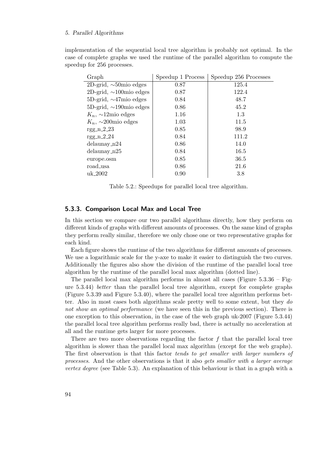### 5. Parallel Algorithms

implementation of the sequential local tree algorithm is probably not optimal. In the case of complete graphs we used the runtime of the parallel algorithm to compute the speedup for 256 processes.

<span id="page-93-0"></span>

| Graph                                  | Speedup 1 Process | Speedup 256 Processes |
|----------------------------------------|-------------------|-----------------------|
| 2D-grid, $\sim 50$ mio edges           | 0.87              | 125.4                 |
| 2D-grid, $\sim$ 100 mio edges          | 0.87              | 122.4                 |
| 5D-grid, $\sim$ 47mio edges            | 0.84              | 48.7                  |
| 5D-grid, $\sim$ 190 $\text{mio edges}$ | 0.86              | 45.2                  |
| $K_n$ , ~12mio edges                   | 1.16              | 1.3                   |
| $K_n$ , ~200 mio edges                 | 1.03              | 11.5                  |
| $rgg_n_2_2_3$                          | 0.85              | 98.9                  |
| $rgg_n_2_2_4$                          | 0.84              | 111.2                 |
| $delaunay_n24$                         | 0.86              | 14.0                  |
| $delaunay_n25$                         | 0.84              | 16.5                  |
| europe.osm                             | 0.85              | 36.5                  |
| road_usa                               | 0.86              | 21.6                  |
| uk <sub>-2002</sub>                    | 0.90              | 3.8                   |

Table 5.2.: Speedups for parallel local tree algorithm.

## 5.3.3. Comparison Local Max and Local Tree

In this section we compare our two parallel algorithms directly, how they perform on different kinds of graphs with different amounts of processes. On the same kind of graphs they perform really similar, therefore we only chose one or two representative graphs for each kind.

Each figure shows the runtime of the two algorithms for different amounts of processes. We use a logarithmic scale for the y-axe to make it easier to distinguish the two curves. Additionally the figures also show the division of the runtime of the parallel local tree algorithm by the runtime of the parallel local max algorithm (dotted line).

The parallel local max algorithm performs in almost all cases (Figure  $5.3.36$  – Figure [5.3.44\)](#page-98-0) better than the parallel local tree algorithm, except for complete graphs (Figure [5.3.39](#page-96-0) and Figure [5.3.40\)](#page-96-1), where the parallel local tree algorithm performs better. Also in most cases both algorithms scale pretty well to some extent, but they do not show an optimal performance (we have seen this in the previous section). There is one exception to this observation, in the case of the web graph uk-2007 (Figure [5.3.44\)](#page-98-0) the parallel local tree algorithm performs really bad, there is actually no acceleration at all and the runtime gets larger for more processes.

There are two more observations regarding the factor  $f$  that the parallel local tree algorithm is slower than the parallel local max algorithm (except for the web graphs). The first observation is that this factor *tends to get smaller with larger numbers of* processes. And the other observations is that it also gets smaller with a larger average vertex degree (see Table [5.3\)](#page-94-1). An explanation of this behaviour is that in a graph with a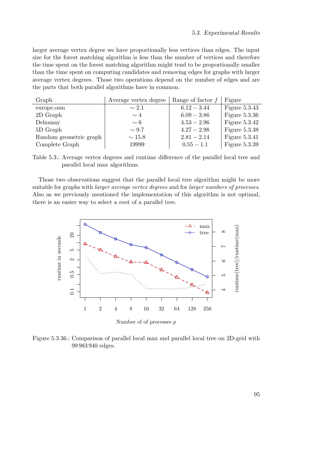larger average vertex degree we have proportionally less vertices than edges. The input size for the forest matching algorithm is less than the number of vertices and therefore the time spent on the forest matching algorithm might tend to be proportionally smaller than the time spent on computing candidates and removing edges for graphs with larger average vertex degrees. Those two operations depend on the number of edges and are the parts that both parallel algorithms have in common.

<span id="page-94-1"></span>

| Graph                  | Average vertex degree | Range of factor $f$ | Figure          |
|------------------------|-----------------------|---------------------|-----------------|
| europe.osm             | $\sim 2.1$            | $6.12 - 3.44$       | Figure $5.3.43$ |
| 2D Graph               | $\sim 4$              | $6.09 - 3.86$       | Figure $5.3.36$ |
| Delaunay               | $\sim 6$              | $4.53 - 2.96$       | Figure $5.3.42$ |
| 5D Graph               | $\sim 9.7$            | $4.27 - 2.98$       | Figure $5.3.38$ |
| Random geometric graph | $\sim$ 15.8           | $2.81 - 2.14$       | Figure $5.3.41$ |
| Complete Graph         | 19999                 | $0.55 - 1.1$        | Figure $5.3.39$ |



Those two observations suggest that the parallel local tree algorithm might be more suitable for graphs with larger average vertex degrees and for larger numbers of processes. Also as we previously mentioned the implementation of this algorithm is not optimal, there is an easier way to select a root of a parallel tree.

<span id="page-94-0"></span>

Figure 5.3.36.: Comparison of parallel local max and parallel local tree on 2D-grid with 99 983 940 edges.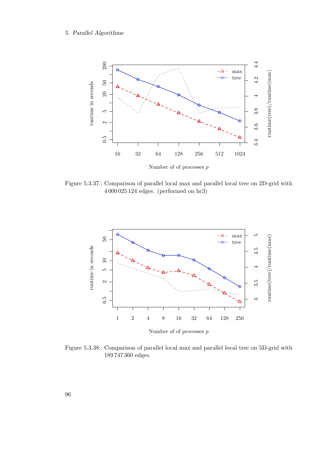## 5. Parallel Algorithms



Figure 5.3.37.: Comparison of parallel local max and parallel local tree on 2D-grid with 4 000 025 124 edges. (performed on hc3)

<span id="page-95-0"></span>

Figure 5.3.38.: Comparison of parallel local max and parallel local tree on 5D-grid with 189 747 360 edges.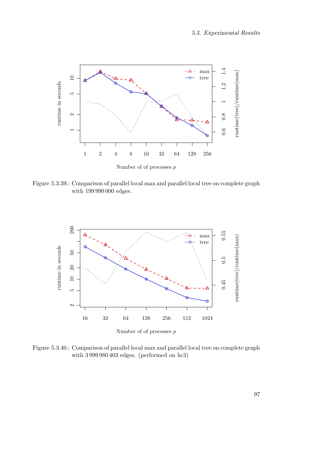<span id="page-96-0"></span>

Figure 5.3.39.: Comparison of parallel local max and parallel local tree on complete graph with 199 990 000 edges.

<span id="page-96-1"></span>

Figure 5.3.40.: Comparison of parallel local max and parallel local tree on complete graph with 3 999 980 403 edges. (performed on hc3)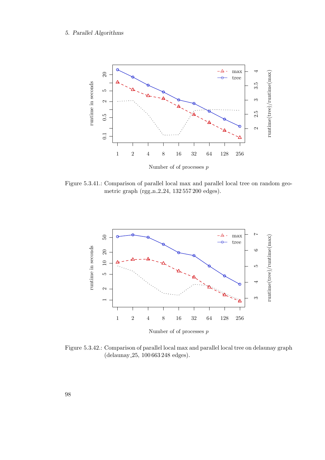<span id="page-97-1"></span>

Figure 5.3.41.: Comparison of parallel local max and parallel local tree on random geometric graph (rgg\_n\_2\_24, 132 557 200 edges).

<span id="page-97-0"></span>

Figure 5.3.42.: Comparison of parallel local max and parallel local tree on delaunay graph (delaunay 25, 100 663 248 edges).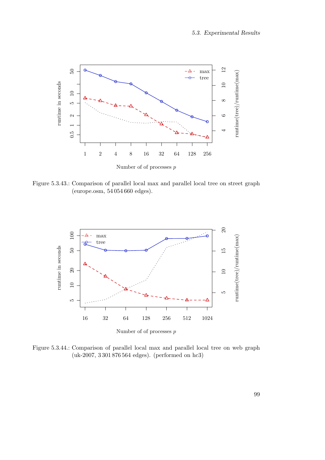<span id="page-98-1"></span>

Figure 5.3.43.: Comparison of parallel local max and parallel local tree on street graph (europe.osm, 54 054 660 edges).

<span id="page-98-0"></span>

Figure 5.3.44.: Comparison of parallel local max and parallel local tree on web graph (uk-2007, 3 301 876 564 edges). (performed on hc3)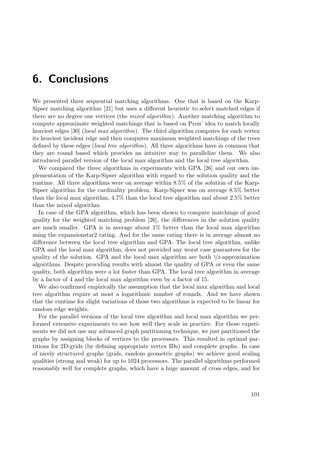# 6. Conclusions

We presented three sequential matching algorithms. One that is based on the Karp-Sipser matching algorithm [\[21\]](#page-123-2) but uses a different heuristic to select matched edges if there are no degree one vertices (the mixed algorithm). Another matching algorithm to compute approximate weighted matchings that is based on Preis' idea to match locally heaviest edges [\[30\]](#page-124-1) (*local max algorithm*). The third algorithm computes for each vertex its heaviest incident edge and then computes maximum weighted matchings of the trees defined by these edges (local tree algorithm). All three algorithms have in common that they are round based which provides an intuitive way to parallelize them. We also introduced parallel version of the local max algorithm and the local tree algorithm.

We compared the three algorithms in experiments with GPA [\[26\]](#page-123-3) and our own implementation of the Karp-Sipser algorithm with regard to the solution quality and the runtime. All three algorithms were on average within 8.5% of the solution of the Karp-Sipser algorithm for the cardinality problem. Karp-Sipser was on average 8.5% better than the local max algorithm, 4.7% than the local tree algorithm and about 2.5% better than the mixed algorithm.

In case of the GPA algorithm, which has been shown to compute matchings of good quality for the weighted matching problem [\[26\]](#page-123-3), the differences in the solution quality are much smaller. GPA is in average about 1% better than the local max algorithm using the expansionstar2 rating. And for the same rating there is in average almost no difference between the local tree algorithm and GPA. The local tree algorithm, unlike GPA and the local max algorithm, does not provided any worst case guarantees for the quality of the solution. GPA and the local max algorithm are both  $\frac{1}{2}$ -approximation algorithms. Despite providing results with almost the quality of GPA or even the same quality, both algorithm were a lot faster than GPA. The local tree algorithm in average by a factor of 4 and the local max algorithm even by a factor of 15.

We also confirmed empirically the assumption that the local max algorithm and local tree algorithm require at most a logarithmic number of rounds. And we have shown that the runtime for slight variations of those two algorithms is expected to be linear for random edge weights.

For the parallel versions of the local tree algorithm and local max algorithm we performed extensive experiments to see how well they scale in practice. For those experiments we did not use any advanced graph partitioning technique, we just partitioned the graphs by assigning blocks of vertices to the processors. This resulted in optimal partitions for 2D-grids (by defining appropriate vertex IDs) and complete graphs. In case of nicely structured graphs (grids, random geometric graphs) we achieve good scaling qualities (strong and weak) for up to 1024 processors. The parallel algorithms performed reasonably well for complete graphs, which have a huge amount of cross edges, and for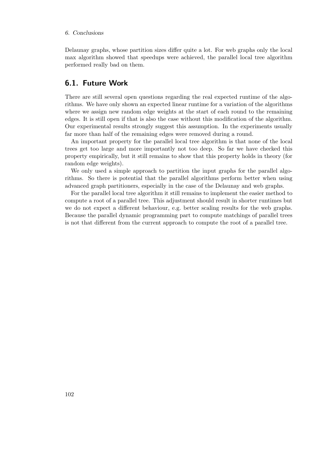## 6. Conclusions

Delaunay graphs, whose partition sizes differ quite a lot. For web graphs only the local max algorithm showed that speedups were achieved, the parallel local tree algorithm performed really bad on them.

## 6.1. Future Work

There are still several open questions regarding the real expected runtime of the algorithms. We have only shown an expected linear runtime for a variation of the algorithms where we assign new random edge weights at the start of each round to the remaining edges. It is still open if that is also the case without this modification of the algorithm. Our experimental results strongly suggest this assumption. In the experiments usually far more than half of the remaining edges were removed during a round.

An important property for the parallel local tree algorithm is that none of the local trees get too large and more importantly not too deep. So far we have checked this property empirically, but it still remains to show that this property holds in theory (for random edge weights).

We only used a simple approach to partition the input graphs for the parallel algorithms. So there is potential that the parallel algorithms perform better when using advanced graph partitioners, especially in the case of the Delaunay and web graphs.

For the parallel local tree algorithm it still remains to implement the easier method to compute a root of a parallel tree. This adjustment should result in shorter runtimes but we do not expect a different behaviour, e.g. better scaling results for the web graphs. Because the parallel dynamic programming part to compute matchings of parallel trees is not that different from the current approach to compute the root of a parallel tree.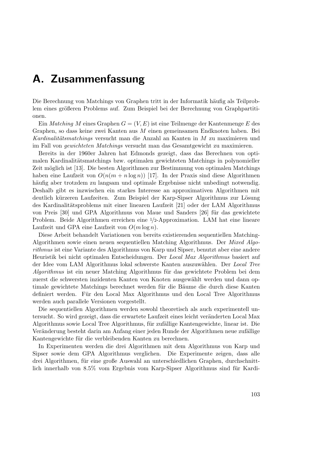# A. Zusammenfassung

Die Berechnung von Matchings von Graphen tritt in der Informatik häufig als Teilproblem eines größeren Problems auf. Zum Beispiel bei der Berechnung von Graphpartitionen.

Ein Matching M eines Graphen  $G = (V, E)$  ist eine Teilmenge der Kantenmenge E des Graphen, so dass keine zwei Kanten aus M einen gemeinsamen Endknoten haben. Bei Kardinalitätsmatchings versucht man die Anzahl an Kanten in M zu maximieren und im Fall von gewichteten Matchings versucht man das Gesamtgewicht zu maximieren.

Bereits in der 1960er Jahren hat Edmonds gezeigt, dass das Berechnen von optimalen Kardinalitätsmatchings bzw. optimalen gewichteten Matchings in polynomieller Zeit möglich ist [\[13\]](#page-123-4). Die besten Algorithmen zur Bestimmung von optimalen Matchings haben eine Laufzeit von  $O(n(m + n \log n))$  [\[17\]](#page-123-5). In der Praxis sind diese Algorithmen häufig aber trotzdem zu langsam und optimale Ergebnisse nicht unbedingt notwendig. Deshalb gibt es inzwischen ein starkes Interesse an approximativen Algorithmen mit deutlich kürzeren Laufzeiten. Zum Beispiel der Karp-Sipser Algorithmus zur Lösung des Kardinalitätsproblems mit einer linearen Laufzeit [\[21\]](#page-123-2) oder der LAM Algorithmus von Preis [\[30\]](#page-124-1) und GPA Algorithmus von Maue und Sanders [\[26\]](#page-123-3) für das gewichtete Problem. Beide Algorithmen erreichen eine 1/2-Approximation. LAM hat eine lineare Laufzeit und GPA eine Laufzeit von  $O(m \log n)$ .

Diese Arbeit behandelt Variationen von bereits existierenden sequentiellen Matching-Algorithmen sowie einen neuen sequentiellen Matching Algorithmus. Der Mixed Algorithmus ist eine Variante des Algorithmus von Karp und Sipser, benutzt aber eine andere Heuristik bei nicht optimalen Entscheidungen. Der Local Max Algorithmus basiert auf der Idee vom LAM Algorithmus lokal schwerste Kanten auszuwählen. Der Local Tree Algorithmus ist ein neuer Matching Algorithmus für das gewichtete Problem bei dem zuerst die schwersten inzidenten Kanten von Knoten ausgewählt werden und dann optimale gewichtete Matchings berechnet werden für die Bäume die durch diese Kanten definiert werden. Für den Local Max Algorithmus und den Local Tree Algorithmus werden auch parallele Versionen vorgestellt.

Die sequentiellen Algorithmen werden sowohl theoretisch als auch experimentell untersucht. So wird gezeigt, dass die erwartete Laufzeit eines leicht veränderten Local Max Algorithmus sowie Local Tree Algorithmus, für zufällige Kantengewichte, linear ist. Die Veränderung besteht darin am Anfang einer jeden Runde der Algorithmen neue zufällige Kantengewichte für die verbleibenden Kanten zu berechnen.

In Experimenten werden die drei Algorithmen mit dem Algorithmus von Karp und Sipser sowie dem GPA Algorithmus verglichen. Die Experimente zeigen, dass alle drei Algorithmen, für eine große Auswahl an unterschiedlichen Graphen, durchschnittlich innerhalb von 8.5% vom Ergebnis vom Karp-Sipser Algorithmus sind für Kardi-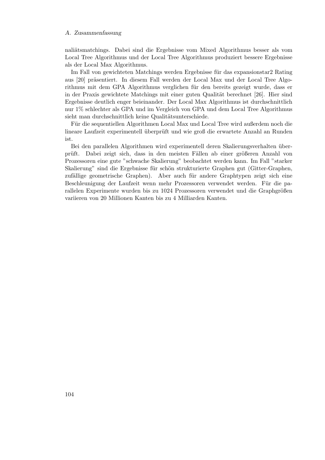### A. Zusammenfassung

naliätsmatchings. Dabei sind die Ergebnisse vom Mixed Algorithmus besser als vom Local Tree Algorithmus und der Local Tree Algorithmus produziert bessere Ergebnisse als der Local Max Algorithmus.

Im Fall von gewichteten Matchings werden Ergebnisse für das expansionstar2 Rating aus [\[20\]](#page-123-6) präsentiert. In diesem Fall werden der Local Max und der Local Tree Algorithmus mit dem GPA Algorithmus verglichen für den bereits gezeigt wurde, dass er in der Praxis gewichtete Matchings mit einer guten Qualität berechnet [\[26\]](#page-123-3). Hier sind Ergebnisse deutlich enger beieinander. Der Local Max Algorithmus ist durchschnittlich nur 1% schlechter als GPA und im Vergleich von GPA und dem Local Tree Algorithmus sieht man durchschnittlich keine Qualitätsunterschiede.

Für die sequentiellen Algorithmen Local Max und Local Tree wird außerdem noch die lineare Laufzeit experimentell überprüft und wie groß die erwartete Anzahl an Runden ist.

Bei den parallelen Algorithmen wird experimentell deren Skalierungsverhalten überprüft. Dabei zeigt sich, dass in den meisten Fällen ab einer größeren Anzahl von Prozessoren eine gute "schwache Skalierung" beobachtet werden kann. Im Fall "starker Skalierung" sind die Ergebnisse für schön strukturierte Graphen gut (Gitter-Graphen, zufällige geometrische Graphen). Aber auch für andere Graphtypen zeigt sich eine Beschleunigung der Laufzeit wenn mehr Prozessoren verwendet werden. Für die parallelen Experimente wurden bis zu 1024 Prozessoren verwendet und die Graphgrößen variieren von 20 Millionen Kanten bis zu 4 Milliarden Kanten.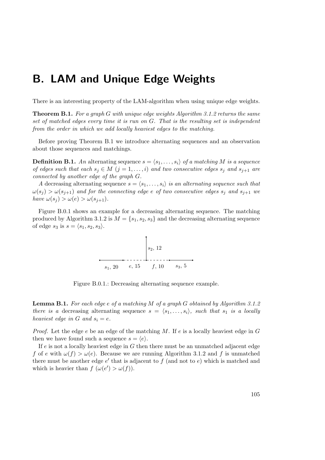# B. LAM and Unique Edge Weights

<span id="page-104-0"></span>There is an interesting property of the LAM-algorithm when using unique edge weights.

**Theorem B.1.** For a graph G with unique edge weights Algorithm [3.1.2](#page-16-0) returns the same set of matched edges every time it is run on G. That is the resulting set is independent from the order in which we add locally heaviest edges to the matching.

Before proving Theorem [B.1](#page-104-0) we introduce alternating sequences and an observation about those sequences and matchings.

**Definition B.1.** An alternating sequence  $s = \langle s_1, \ldots, s_i \rangle$  of a matching M is a sequence of edges such that each  $s_j \in M$   $(j = 1, ..., i)$  and two consecutive edges  $s_j$  and  $s_{j+1}$  are connected by another edge of the graph G.

A decreasing alternating sequence  $s = \langle s_1, \ldots, s_i \rangle$  is an alternating sequence such that  $\omega(s_i) > \omega(s_{i+1})$  and for the connecting edge e of two consecutive edges  $s_i$  and  $s_{i+1}$  we have  $\omega(s_j) > \omega(e) > \omega(s_{j+1}).$ 

<span id="page-104-1"></span>Figure [B.0.1](#page-104-1) shows an example for a decreasing alternating sequence. The matching produced by Algorithm [3.1.2](#page-16-0) is  $M = \{s_1, s_2, s_3\}$  and the decreasing alternating sequence of edge  $s_3$  is  $s = \langle s_1, s_2, s_3 \rangle$ .



Figure B.0.1.: Decreasing alternating sequence example.

<span id="page-104-2"></span>**Lemma B.1.** For each edge e of a matching M of a graph G obtained by Algorithm [3.1.2](#page-16-0) there is a decreasing alternating sequence  $s = \langle s_1, \ldots, s_i \rangle$ , such that  $s_1$  is a locally heaviest edge in G and  $s_i = e$ .

*Proof.* Let the edge e be an edge of the matching M. If e is a locally heaviest edge in  $G$ then we have found such a sequence  $s = \langle e \rangle$ .

If  $e$  is not a locally heaviest edge in  $G$  then there must be an unmatched adjacent edge f of e with  $\omega(f) > \omega(e)$ . Because we are running Algorithm [3.1.2](#page-16-0) and f is unmatched there must be another edge  $e'$  that is adjacent to f (and not to  $e$ ) which is matched and which is heavier than  $f(\omega(e') > \omega(f)).$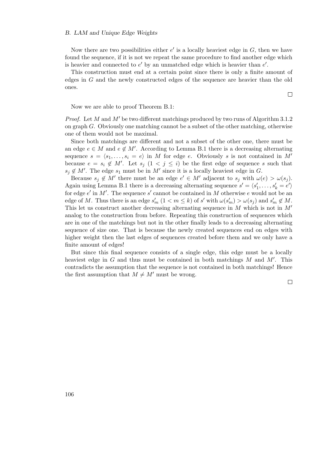#### B. LAM and Unique Edge Weights

Now there are two possibilities either  $e'$  is a locally heaviest edge in  $G$ , then we have found the sequence, if it is not we repeat the same procedure to find another edge which is heavier and connected to  $e'$  by an unmatched edge which is heavier than  $e'$ .

This construction must end at a certain point since there is only a finite amount of edges in G and the newly constructed edges of the sequence are heavier than the old ones.

Now we are able to proof Theorem [B.1:](#page-104-0)

*Proof.* Let M and M' be two different matchings produced by two runs of Algorithm [3.1.2](#page-16-0) on graph  $G$ . Obviously one matching cannot be a subset of the other matching, otherwise one of them would not be maximal.

Since both matchings are different and not a subset of the other one, there must be an edge  $e \in M$  and  $e \notin M'$ . According to Lemma [B.1](#page-104-2) there is a decreasing alternating sequence  $s = \langle s_1, \ldots, s_i = e \rangle$  in M for edge e. Obviously s is not contained in M' because  $e = s_i \notin M'$ . Let  $s_j$   $(1 \lt j \leq i)$  be the first edge of sequence s such that  $s_j \notin M'$ . The edge  $s_1$  must be in M' since it is a locally heaviest edge in G.

Because  $s_j \notin M'$  there must be an edge  $e' \in M'$  adjacent to  $s_j$  with  $\omega(e) > \omega(s_j)$ . Again using Lemma [B.1](#page-104-2) there is a decreasing alternating sequence  $s' = \langle s'_1, \ldots, s'_k = e' \rangle$ for edge  $e'$  in M'. The sequence s' cannot be contained in M otherwise e would not be an edge of M. Thus there is an edge  $s'_m$   $(1 < m \le k)$  of s' with  $\omega(s'_m) > \omega(s_j)$  and  $s'_m \notin M$ . This let us construct another decreasing alternating sequence in  $M$  which is not in  $M'$ analog to the construction from before. Repeating this construction of sequences which are in one of the matchings but not in the other finally leads to a decreasing alternating sequence of size one. That is because the newly created sequences end on edges with higher weight then the last edges of sequences created before them and we only have a finite amount of edges!

But since this final sequence consists of a single edge, this edge must be a locally heaviest edge in  $G$  and thus must be contained in both matchings  $M$  and  $M'$ . This contradicts the assumption that the sequence is not contained in both matchings! Hence the first assumption that  $M \neq M'$  must be wrong.

 $\Box$ 

 $\Box$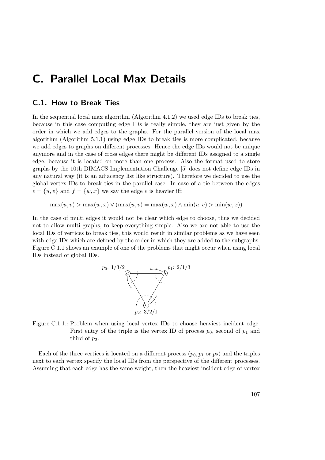# C. Parallel Local Max Details

## C.1. How to Break Ties

In the sequential local max algorithm (Algorithm [4.1.2\)](#page-30-0) we used edge IDs to break ties, because in this case computing edge IDs is really simple, they are just given by the order in which we add edges to the graphs. For the parallel version of the local max algorithm (Algorithm [5.1.1\)](#page-63-0) using edge IDs to break ties is more complicated, because we add edges to graphs on different processes. Hence the edge IDs would not be unique anymore and in the case of cross edges there might be different IDs assigned to a single edge, because it is located on more than one process. Also the format used to store graphs by the 10th DIMACS Implementation Challenge [\[5\]](#page-122-0) does not define edge IDs in any natural way (it is an adjacency list like structure). Therefore we decided to use the global vertex IDs to break ties in the parallel case. In case of a tie between the edges  $e = \{u, v\}$  and  $f = \{w, x\}$  we say the edge e is heavier iff:

 $\max(u, v) > \max(w, x) \vee (\max(u, v) = \max(w, x) \wedge \min(u, v) > \min(w, x))$ 

<span id="page-106-0"></span>In the case of multi edges it would not be clear which edge to choose, thus we decided not to allow multi graphs, to keep everything simple. Also we are not able to use the local IDs of vertices to break ties, this would result in similar problems as we have seen with edge IDs which are defined by the order in which they are added to the subgraphs. Figure [C.1.1](#page-106-0) shows an example of one of the problems that might occur when using local IDs instead of global IDs.



Figure C.1.1.: Problem when using local vertex IDs to choose heaviest incident edge. First entry of the triple is the vertex ID of process  $p_0$ , second of  $p_1$  and third of  $p_2$ .

Each of the three vertices is located on a different process  $(p_0, p_1 \text{ or } p_2)$  and the triples next to each vertex specify the local IDs from the perspective of the different processes. Assuming that each edge has the same weight, then the heaviest incident edge of vertex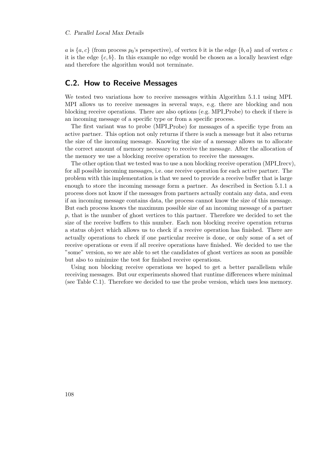### C. Parallel Local Max Details

a is  $\{a, c\}$  (from process  $p_0$ 's perspective), of vertex b it is the edge  $\{b, a\}$  and of vertex c it is the edge  $\{c, b\}$ . In this example no edge would be chosen as a locally heaviest edge and therefore the algorithm would not terminate.

## C.2. How to Receive Messages

We tested two variations how to receive messages within Algorithm [5.1.1](#page-63-0) using MPI. MPI allows us to receive messages in several ways, e.g. there are blocking and non blocking receive operations. There are also options (e.g. MPI Probe) to check if there is an incoming message of a specific type or from a specific process.

The first variant was to probe (MPI Probe) for messages of a specific type from an active partner. This option not only returns if there is such a message but it also returns the size of the incoming message. Knowing the size of a message allows us to allocate the correct amount of memory necessary to receive the message. After the allocation of the memory we use a blocking receive operation to receive the messages.

The other option that we tested was to use a non blocking receive operation (MPI Irecv), for all possible incoming messages, i.e. one receive operation for each active partner. The problem with this implementation is that we need to provide a receive buffer that is large enough to store the incoming message form a partner. As described in Section [5.1.1](#page-64-0) a process does not know if the messages from partners actually contain any data, and even if an incoming message contains data, the process cannot know the size of this message. But each process knows the maximum possible size of an incoming message of a partner p, that is the number of ghost vertices to this partner. Therefore we decided to set the size of the receive buffers to this number. Each non blocking receive operation returns a status object which allows us to check if a receive operation has finished. There are actually operations to check if one particular receive is done, or only some of a set of receive operations or even if all receive operations have finished. We decided to use the "some" version, so we are able to set the candidates of ghost vertices as soon as possible but also to minimize the test for finished receive operations.

Using non blocking receive operations we hoped to get a better parallelism while receiving messages. But our experiments showed that runtime differences where minimal (see Table [C.1\)](#page-108-0). Therefore we decided to use the probe version, which uses less memory.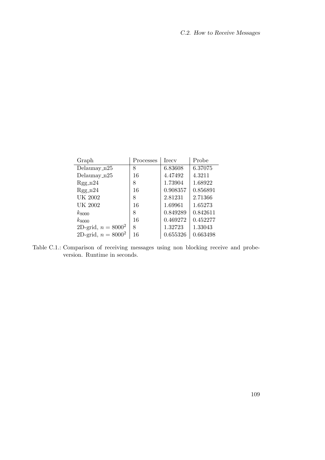| Graph                 | Processes | <b>I</b> recy | Probe    |
|-----------------------|-----------|---------------|----------|
| Delaunay $n25$        | 8         | 6.83608       | 6.37075  |
| Delaunay_ $n25$       | 16        | 4.47492       | 4.3211   |
| $Rgg_n24$             | 8         | 1.73904       | 1.68922  |
| $Rgg_n24$             | 16        | 0.908357      | 0.856891 |
| UK 2002               | 8         | 2.81231       | 2.71366  |
| UK 2002               | 16        | 1.69961       | 1.65273  |
| $k_{8000}$            | 8         | 0.849289      | 0.842611 |
| $k_{8000}$            | 16        | 0.469272      | 0.452277 |
| 2D-grid, $n = 8000^2$ | 8         | 1.32723       | 1.33043  |
| 2D-grid, $n = 8000^2$ | 16        | 0.655326      | 0.663498 |

Table C.1.: Comparison of receiving messages using non blocking receive and probeversion. Runtime in seconds.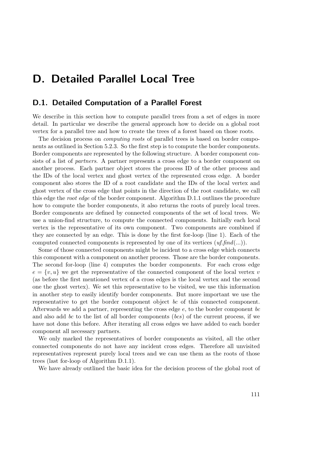# D. Detailed Parallel Local Tree

## D.1. Detailed Computation of a Parallel Forest

We describe in this section how to compute parallel trees from a set of edges in more detail. In particular we describe the general approach how to decide on a global root vertex for a parallel tree and how to create the trees of a forest based on those roots.

The decision process on *computing roots* of parallel trees is based on border components as outlined in Section [5.2.3.](#page-71-0) So the first step is to compute the border components. Border components are represented by the following structure. A border component consists of a list of partners. A partner represents a cross edge to a border component on another process. Each partner object stores the process ID of the other process and the IDs of the local vertex and ghost vertex of the represented cross edge. A border component also stores the ID of a root candidate and the IDs of the local vertex and ghost vertex of the cross edge that points in the direction of the root candidate, we call this edge the *root edge* of the border component. Algorithm [D.1.1](#page-111-0) outlines the procedure how to compute the border components, it also returns the roots of purely local trees. Border components are defined by connected components of the set of local trees. We use a union-find structure, to compute the connected components. Initially each local vertex is the representative of its own component. Two components are combined if they are connected by an edge. This is done by the first for-loop (line [1\)](#page-111-1). Each of the computed connected components is represented by one of its vertices  $(uf, find(...)$ .

Some of those connected components might be incident to a cross edge which connects this component with a component on another process. Those are the border components. The second for-loop (line [4\)](#page-111-2) computes the border components. For each cross edge  $e = \{v, u\}$  we get the representative of the connected component of the local vertex v (as before the first mentioned vertex of a cross edges is the local vertex and the second one the ghost vertex). We set this representative to be visited, we use this information in another step to easily identify border components. But more important we use the representative to get the border component object bc of this connected component. Afterwards we add a partner, representing the cross edge  $e$ , to the border component bc and also add bc to the list of all border components (bcs) of the current process, if we have not done this before. After iterating all cross edges we have added to each border component all necessary partners.

We only marked the representatives of border components as visited, all the other connected components do not have any incident cross edges. Therefore all unvisited representatives represent purely local trees and we can use them as the roots of those trees (last for-loop of Algorithm [D.1.1\)](#page-111-0).

We have already outlined the basic idea for the decision process of the global root of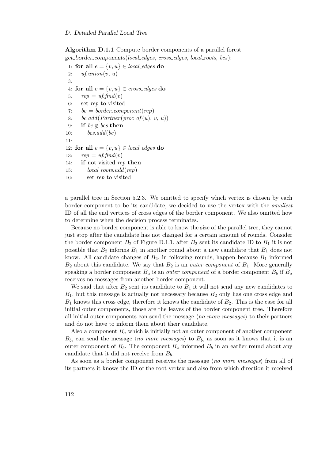Algorithm D.1.1 Compute border components of a parallel forest

<span id="page-111-0"></span>get border components(local edges, cross edges, local roots, bcs):

```
1: for all e = \{v, u\} \in local_{edges} do
 2: uf.union(v, u)3:
 4: for all e = \{v, u\} \in cross\_edges do
 5: rep = uf.find(v)6: set rep to visited
 7: bc = border\_component(rep)8: bc.add(Partner(proc_of(u), v, u))
 9: if bc \notin bcs then
10: bcs.add(bc)11:
12: for all e = \{v, u\} \in local_{edges} do
13: rep = uf.find(v)14: if not visited rep then
15: local\_roots.add(rep)16: set rep to visited
```
a parallel tree in Section [5.2.3.](#page-71-0) We omitted to specify which vertex is chosen by each border component to be its candidate, we decided to use the vertex with the smallest ID of all the end vertices of cross edges of the border component. We also omitted how to determine when the decision process terminates.

Because no border component is able to know the size of the parallel tree, they cannot just stop after the candidate has not changed for a certain amount of rounds. Consider the border component  $B_2$  of Figure [D.1.1,](#page-112-0) after  $B_2$  sent its candidate ID to  $B_1$  it is not possible that  $B_2$  informs  $B_1$  in another round about a new candidate that  $B_1$  does not know. All candidate changes of  $B_2$ , in following rounds, happen because  $B_1$  informed  $B_2$  about this candidate. We say that  $B_2$  is an *outer component* of  $B_1$ . More generally speaking a border component  $B_a$  is an *outer component* of a border component  $B_b$  if  $B_a$ receives no messages from another border component.

We said that after  $B_2$  sent its candidate to  $B_1$  it will not send any new candidates to  $B_1$ , but this message is actually not necessary because  $B_2$  only has one cross edge and  $B_1$  knows this cross edge, therefore it knows the candidate of  $B_2$ . This is the case for all initial outer components, those are the leaves of the border component tree. Therefore all initial outer components can send the message  $\langle no \space more \space message \rangle$  to their partners and do not have to inform them about their candidate.

Also a component  $B_a$  which is initially not an outer component of another component  $B_b$ , can send the message  $\langle no \space more \space message \rangle$  to  $B_b$ , as soon as it knows that it is an outer component of  $B_b$ . The component  $B_a$  informed  $B_b$  in an earlier round about any candidate that it did not receive from  $B<sub>b</sub>$ .

As soon as a border component receives the message  $\langle no \space more \space message \rangle$  from all of its partners it knows the ID of the root vertex and also from which direction it received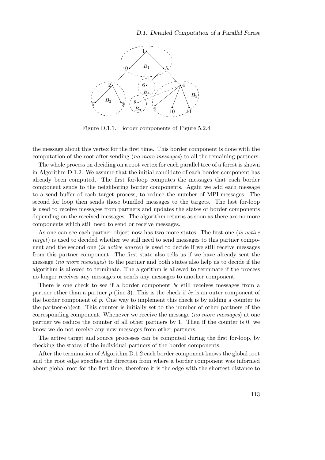<span id="page-112-0"></span>

Figure D.1.1.: Border components of Figure [5.2.4](#page-71-1)

the message about this vertex for the first time. This border component is done with the computation of the root after sending  $\langle no \space more \space messages \rangle$  to all the remaining partners.

The whole process on deciding on a root vertex for each parallel tree of a forest is shown in Algorithm [D.1.2.](#page-113-0) We assume that the initial candidate of each border component has already been computed. The first for-loop computes the messages that each border component sends to the neighboring border components. Again we add each message to a send buffer of each target process, to reduce the number of MPI-messages. The second for loop then sends those bundled messages to the targets. The last for-loop is used to receive messages from partners and updates the states of border components depending on the received messages. The algorithm returns as soon as there are no more components which still need to send or receive messages.

As one can see each partner-object now has two more states. The first one *(is active*) target) is used to decided whether we still need to send messages to this partner component and the second one (is active source) is used to decide if we still receive messages from this partner component. The first state also tells us if we have already sent the message  $\langle no \space more \space message \rangle$  to the partner and both states also help us to decide if the algorithm is allowed to terminate. The algorithm is allowed to terminate if the process no longer receives any messages or sends any messages to another component.

There is one check to see if a border component bc still receives messages from a partner other than a partner p (line [3\)](#page-113-1). This is the check if bc is an outer component of the border component of  $p$ . One way to implement this check is by adding a counter to the partner-object. This counter is initially set to the number of other partners of the corresponding component. Whenever we receive the message  $\langle no\ more\ messages \rangle$  at one partner we reduce the counter of all other partners by 1. Then if the counter is 0, we know we do not receive any new messages from other partners.

The active target and source processes can be computed during the first for-loop, by checking the states of the individual partners of the border components.

After the termination of Algorithm [D.1.2](#page-113-0) each border component knows the global root and the root edge specifies the direction from where a border component was informed about global root for the first time, therefore it is the edge with the shortest distance to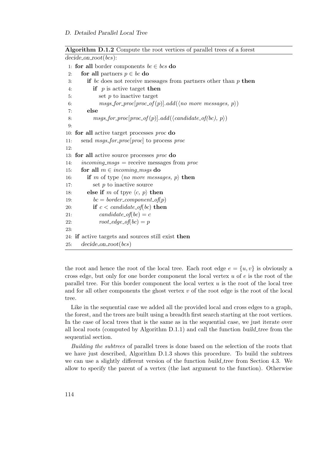```
decide\_on\_root(bcs):
 1: for all border components bc \in bcs do
 2: for all partners p \in bc do
 3: if bc does not receive messages from partners other than p then
 4: if p is active target then
 5: set p to inactive target
 6: msgs_for_proc[proc_of(p)].add(\no more messages, p))
 7: else
 8: msgs_for_proc[proc_of(p)].add(\candidate_of(bc), p\)
 9:
10: for all active target processes proc do
11: send msgs for proc[proc] to process proc
12:
13: for all active source processes proc do
14: incoming_msgs = receive messages from proc
15: for all m \in incoming\_msgs do
16: if m of type \langle no \space more \space messages, p \rangle then
17: set p to inactive source
18: else if m of tpye \langle c, p \rangle then
19: bc = border\_component\_of(p)20: if c < candidate_of(bc) then
21: candidate_of(bc) = c
22: root\_edge\_of(bc) = p23:
24: if active targets and sources still exist then
25: decide on root(bcs)
```
Algorithm D.1.2 Compute the root vertices of parallel trees of a forest

the root and hence the root of the local tree. Each root edge  $e = \{u, v\}$  is obviously a cross edge, but only for one border component the local vertex  $u$  of  $e$  is the root of the parallel tree. For this border component the local vertex u is the root of the local tree and for all other components the ghost vertex  $v$  of the root edge is the root of the local tree.

Like in the sequential case we added all the provided local and cross edges to a graph, the forest, and the trees are built using a breadth first search starting at the root vertices. In the case of local trees that is the same as in the sequential case, we just iterate over all local roots (computed by Algorithm [D.1.1\)](#page-111-0) and call the function build tree from the sequential section.

Building the subtrees of parallel trees is done based on the selection of the roots that we have just described, Algorithm [D.1.3](#page-114-0) shows this procedure. To build the subtrees we can use a slightly different version of the function build tree from Section [4.3.](#page-39-0) We allow to specify the parent of a vertex (the last argument to the function). Otherwise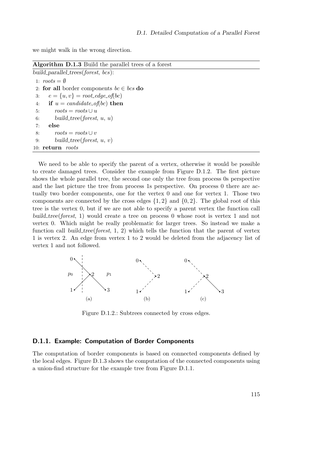we might walk in the wrong direction.

Algorithm D.1.3 Build the parallel trees of a forest

<span id="page-114-0"></span>

| build_parallel_trees( $forest, bcs$ ):       |
|----------------------------------------------|
| 1: $roots = \emptyset$                       |
| 2: for all border components $bc \in bcs$ do |
| $e = \{u, v\} = root\_edge\_of(bc)$<br>3:    |
| if $u = candidate\_of(bc)$ then<br>4:        |
| $roots = roots \cup u$<br>5:                 |
| build_tree(forest, $u, u$ )<br>6:            |
| else<br>7:                                   |
| $roots = roots \cup v$<br>8:                 |
| build_tree(forest, $u, v$ )<br>9:            |
| 10: $return$ roots                           |

We need to be able to specify the parent of a vertex, otherwise it would be possible to create damaged trees. Consider the example from Figure [D.1.2.](#page-114-1) The first picture shows the whole parallel tree, the second one only the tree from process 0s perspective and the last picture the tree from process 1s perspective. On process 0 there are actually two border components, one for the vertex 0 and one for vertex 1. Those two components are connected by the cross edges  $\{1, 2\}$  and  $\{0, 2\}$ . The global root of this tree is the vertex 0, but if we are not able to specify a parent vertex the function call build tree(forest, 1) would create a tree on process 0 whose root is vertex 1 and not vertex 0. Which might be really problematic for larger trees. So instead we make a function call build tree(forest,  $1, 2$ ) which tells the function that the parent of vertex 1 is vertex 2. An edge from vertex 1 to 2 would be deleted from the adjacency list of vertex 1 and not followed.

<span id="page-114-1"></span>

Figure D.1.2.: Subtrees connected by cross edges.

### D.1.1. Example: Computation of Border Components

The computation of border components is based on connected components defined by the local edges. Figure [D.1.3](#page-115-0) shows the computation of the connected components using a union-find structure for the example tree from Figure [D.1.1.](#page-112-0)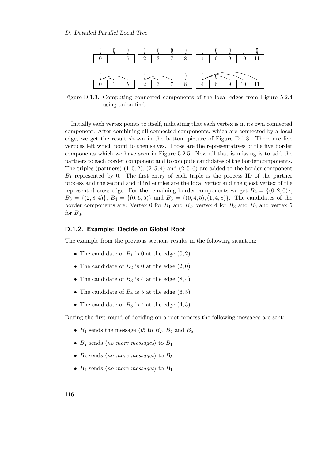<span id="page-115-0"></span>

Figure D.1.3.: Computing connected components of the local edges from Figure [5.2.4](#page-71-1) using union-find.

Initially each vertex points to itself, indicating that each vertex is in its own connected component. After combining all connected components, which are connected by a local edge, we get the result shown in the bottom picture of Figure [D.1.3.](#page-115-0) There are five vertices left which point to themselves. Those are the representatives of the five border components which we have seen in Figure [5.2.5.](#page-72-0) Now all that is missing is to add the partners to each border component and to compute candidates of the border components. The triples (partners)  $(1, 0, 2), (2, 5, 4)$  and  $(2, 5, 6)$  are added to the border component  $B_1$  represented by 0. The first entry of each triple is the process ID of the partner process and the second and third entries are the local vertex and the ghost vertex of the represented cross edge. For the remaining border components we get  $B_2 = \{(0, 2, 0)\},\$  $B_3 = \{(2, 8, 4)\}, B_4 = \{(0, 6, 5)\}\$ and  $B_5 = \{(0, 4, 5), (1, 4, 8)\}.$  The candidates of the border components are: Vertex 0 for  $B_1$  and  $B_2$ , vertex 4 for  $B_3$  and  $B_5$  and vertex 5 for  $B_3$ .

#### D.1.2. Example: Decide on Global Root

The example from the previous sections results in the following situation:

- The candidate of  $B_1$  is 0 at the edge  $(0, 2)$
- The candidate of  $B_2$  is 0 at the edge  $(2,0)$
- The candidate of  $B_3$  is 4 at the edge  $(8, 4)$
- The candidate of  $B_4$  is 5 at the edge  $(6,5)$
- The candidate of  $B_5$  is 4 at the edge  $(4,5)$

During the first round of deciding on a root process the following messages are sent:

- $B_1$  sends the message  $\langle 0 \rangle$  to  $B_2$ ,  $B_4$  and  $B_5$
- $B_2$  sends (no more messages) to  $B_1$
- $B_3$  sends (no more messages) to  $B_5$
- $B_4$  sends (no more messages) to  $B_1$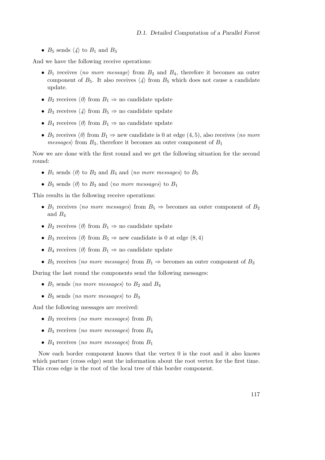•  $B_5$  sends  $\langle 4 \rangle$  to  $B_1$  and  $B_3$ 

And we have the following receive operations:

- $B_1$  receives (no more message) from  $B_2$  and  $B_4$ , therefore it becomes an outer component of  $B_5$ . It also receives  $\langle 4 \rangle$  from  $B_5$  which does not cause a candidate update.
- $B_2$  receives  $\langle 0 \rangle$  from  $B_1 \Rightarrow$  no candidate update
- $B_3$  receives  $\langle 4 \rangle$  from  $B_5 \Rightarrow$  no candidate update
- $B_4$  receives  $\langle 0 \rangle$  from  $B_1 \Rightarrow$  no candidate update
- $B_5$  receives  $\langle 0 \rangle$  from  $B_1 \Rightarrow$  new candidate is 0 at edge (4, 5), also receives  $\langle no \space more$ *messages*) from  $B_3$ , therefore it becomes an outer component of  $B_1$

Now we are done with the first round and we get the following situation for the second round:

- $B_1$  sends  $\langle 0 \rangle$  to  $B_2$  and  $B_4$  and  $\langle$  no more messages) to  $B_5$
- $B_5$  sends  $\langle 0 \rangle$  to  $B_3$  and  $\langle no \space more \space messages \rangle$  to  $B_1$

This results in the following receive operations:

- $B_1$  receives (no more messages) from  $B_5 \Rightarrow$  becomes an outer component of  $B_2$ and  $B_4$
- $B_2$  receives  $\langle 0 \rangle$  from  $B_1 \Rightarrow$  no candidate update
- $B_3$  receives  $\langle 0 \rangle$  from  $B_5 \Rightarrow$  new candidate is 0 at edge (8, 4)
- $B_4$  receives  $\langle 0 \rangle$  from  $B_1 \Rightarrow$  no candidate update
- $B_5$  receives  $\langle no \space more \space messages \rangle$  from  $B_1 \Rightarrow$  becomes an outer component of  $B_3$

During the last round the components send the following messages:

- $B_1$  sends (no more messages) to  $B_2$  and  $B_4$
- $B_5$  sends (no more messages) to  $B_3$

And the following messages are received:

- $B_2$  receives (no more messages) from  $B_1$
- $B_3$  receives (no more messages) from  $B_4$
- $B_4$  receives  $\langle no \space more \space messages \rangle$  from  $B_1$

Now each border component knows that the vertex 0 is the root and it also knows which partner (cross edge) sent the information about the root vertex for the first time. This cross edge is the root of the local tree of this border component.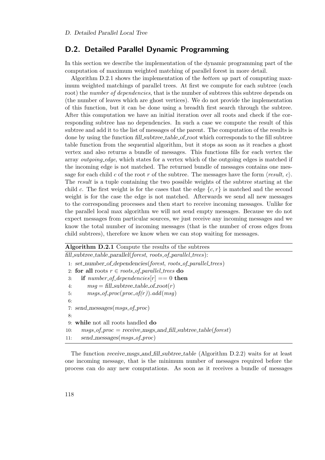## D.2. Detailed Parallel Dynamic Programming

In this section we describe the implementation of the dynamic programming part of the computation of maximum weighted matching of parallel forest in more detail.

Algorithm [D.2.1](#page-117-0) shows the implementation of the bottom up part of computing maximum weighted matchings of parallel trees. At first we compute for each subtree (each root) the *number of dependencies*, that is the number of subtrees this subtree depends on (the number of leaves which are ghost vertices). We do not provide the implementation of this function, but it can be done using a breadth first search through the subtree. After this computation we have an initial iteration over all roots and check if the corresponding subtree has no dependencies. In such a case we compute the result of this subtree and add it to the list of messages of the parent. The computation of the results is done by using the function fill subtree table of root which corresponds to the fill subtree table function from the sequential algorithm, but it stops as soon as it reaches a ghost vertex and also returns a bundle of messages. This functions fills for each vertex the array *outgoing edge*, which states for a vertex which of the outgoing edges is matched if the incoming edge is not matched. The returned bundle of messages contains one message for each child c of the root r of the subtree. The messages have the form  $\langle result, c \rangle$ . The result is a tuple containing the two possible weights of the subtree starting at the child c. The first weight is for the cases that the edge  $\{c, r\}$  is matched and the second weight is for the case the edge is not matched. Afterwards we send all new messages to the corresponding processes and then start to receive incoming messages. Unlike for the parallel local max algorithm we will not send empty messages. Because we do not expect messages from particular sources, we just receive any incoming messages and we know the total number of incoming messages (that is the number of cross edges from child subtrees), therefore we know when we can stop waiting for messages.

<span id="page-117-0"></span>

| Algorithm D.2.1 Compute the results of the subtrees                        |  |  |
|----------------------------------------------------------------------------|--|--|
| $fill\_subtree\_table\_parallel(forest, roots_of\_parallel\_trees):$       |  |  |
| 1: set_number_of_dependencies(forest, roots_of_parallel_trees)             |  |  |
| 2: for all roots $r \in roots\_of\_parallel\_trees$ do                     |  |  |
| if number_of_dependencies $[r] == 0$ then<br>3:                            |  |  |
| $msg = fillsubtree_table_of-root(r)$<br>4:                                 |  |  |
| $msgs_of\_proc(proc_of(r)).add(msg)$<br>5:                                 |  |  |
| 6:                                                                         |  |  |
| 7: send_messages( $msgs_of\_proc$ )                                        |  |  |
| 8:                                                                         |  |  |
| while not all roots handled do<br>9:                                       |  |  |
| $msgs\_of\_proc = receive\_msgs\_and\_fill\_subtree\_table(forest)$<br>10: |  |  |
| send_messages(msgs_of_proc)<br>11:                                         |  |  |

The function receive msgs and fill subtree table (Algorithm [D.2.2\)](#page-118-0) waits for at least one incoming message, that is the minimum number of messages required before the process can do any new computations. As soon as it receives a bundle of messages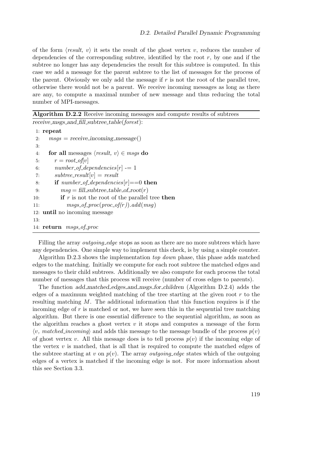of the form  $\langle result, v \rangle$  it sets the result of the ghost vertex v, reduces the number of dependencies of the corresponding subtree, identified by the root  $r$ , by one and if the subtree no longer has any dependencies the result for this subtree is computed. In this case we add a message for the parent subtree to the list of messages for the process of the parent. Obviously we only add the message if  $r$  is not the root of the parallel tree, otherwise there would not be a parent. We receive incoming messages as long as there are any, to compute a maximal number of new message and thus reducing the total number of MPI-messages.

<span id="page-118-0"></span>

| <b>Algorithm D.2.2</b> Receive incoming messages and compute results of subtrees |  |  |
|----------------------------------------------------------------------------------|--|--|
| receive_msgs_and_fill_subtree_table(forest):                                     |  |  |
| $1:$ repeat                                                                      |  |  |
| $msgs = receive\_incoming\_message()$<br>2:                                      |  |  |
| 3:                                                                               |  |  |
| for all messages $\langle result, v \rangle \in msgs$ do<br>4:                   |  |  |
| $r = root_{o}f[v]$<br>5:                                                         |  |  |
| $number\_of\_dependence[r] = 1$<br>6:                                            |  |  |
| $subtree\_result[v] = result$<br>7:                                              |  |  |
| <b>if</b> number_of_dependencies[r]==0 <b>then</b><br>8:                         |  |  |
| $msg = fill\_subtree\_table\_of\_root(r)$<br>9:                                  |  |  |
| <b>if</b> $r$ is not the root of the parallel tree then<br>10:                   |  |  |
| $msgs_of\_proc(proc_of(r)).add(msg)$<br>11:                                      |  |  |
| 12: <b>until</b> no incoming message                                             |  |  |
| 13:                                                                              |  |  |
| 14: return <i>msgs_of_proc</i>                                                   |  |  |
|                                                                                  |  |  |

Filling the array *outgoing edge* stops as soon as there are no more subtrees which have any dependencies. One simple way to implement this check, is by using a simple counter.

Algorithm [D.2.3](#page-119-0) shows the implementation top down phase, this phase adds matched edges to the matching. Initially we compute for each root subtree the matched edges and messages to their child subtrees. Additionally we also compute for each process the total number of messages that this process will receive (number of cross edges to parents).

The function add matched edges and msgs for children (Algorithm [D.2.4\)](#page-119-1) adds the edges of a maximum weighted matching of the tree starting at the given root  $r$  to the resulting matching M. The additional information that this function requires is if the incoming edge of  $r$  is matched or not, we have seen this in the sequential tree matching algorithm. But there is one essential difference to the sequential algorithm, as soon as the algorithm reaches a ghost vertex  $v$  it stops and computes a message of the form  $\langle v, \text{matched\_incoming} \rangle$  and adds this message to the message bundle of the process  $p(v)$ of ghost vertex v. All this message does is to tell process  $p(v)$  if the incoming edge of the vertex  $v$  is matched, that is all that is required to compute the matched edges of the subtree starting at v on  $p(v)$ . The array *outgoing edge* states which of the outgoing edges of a vertex is matched if the incoming edge is not. For more information about this see Section [3.3.](#page-18-0)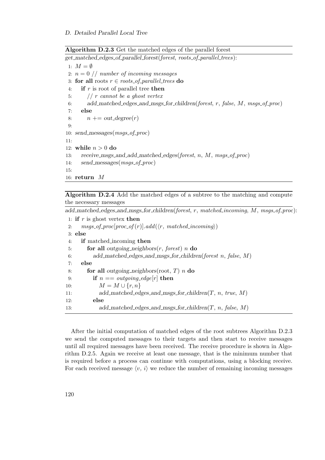Algorithm D.2.3 Get the matched edges of the parallel forest

```
get matched edges of parallel forest(forest, roots of parallel trees):
 1: M = \emptyset2: n = 0 // number of incoming messages
 3: for all roots r \in \textit{roots_of\_parallel\_trees} do
 4: if r is root of parallel tree then
 5: // r cannot be a ghost vertex6: add_matched_edges_and_msgs_for_children(forest, r, false, M, msgs_of_proc)
 7: else
 8: n += out-degree(r)9:
10: send_messages(msgs_of\_proc)
11:
12: while n > 0 do
13: receive msgs and add matched edges(forest, n, M, msgs of proc)
14: send_messages(msgs_of_proc)
15:
16: return M
```
Algorithm D.2.4 Add the matched edges of a subtree to the matching and compute the necessary messages

<span id="page-119-1"></span>add\_matched\_edges\_and\_msgs\_for\_children(forest, r, matched\_incoming, M, msgs\_of\_proc):

```
1: if r is ghost vertex then
 2: msgs_of\_proc[proc_of(r)].add(\langle r, matched\_incoming \rangle)3: else
 4: if matched incoming then
 5: for all outgoing neighbors(r, forest) n do
 6: add_matched_edges_and_msgs_for_children(forest n, false, M)
 7: else
 8: for all outgoing neighbors(root, T) n do
 9: if n == outgoing\_edge[r] then
10: M = M \cup \{r, n\}11: add_matched_edges_and_msgs_for_children(T, n, true, M)
12: else
13: add_matched_edges_and_msgs_for_children(T, n, false, M)
```
After the initial computation of matched edges of the root subtrees Algorithm [D.2.3](#page-119-0) we send the computed messages to their targets and then start to receive messages until all required messages have been received. The receive procedure is shown in Algorithm [D.2.5.](#page-120-0) Again we receive at least one message, that is the minimum number that is required before a process can continue with computations, using a blocking receive. For each received message  $\langle v, i \rangle$  we reduce the number of remaining incoming messages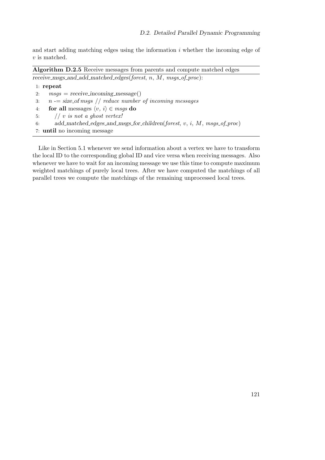and start adding matching edges using the information  $i$  whether the incoming edge of v is matched.

Algorithm D.2.5 Receive messages from parents and compute matched edges  $r$ eceive\_msgs\_and\_add\_matched\_edges( $f$ orest, n, M, msgs\_of\_proc):

```
1: repeat
2: msg = receive\_incoming\_message()3: n = size_of msg // reduce number of incoming messages
4: for all messages \langle v, i \rangle \in msgs do
5: // v is not a ghost vertex!
6: add_matched_edges_and_msgs_for_children(forest, v, i, M, msgs_of\_proc)7: until no incoming message
```
Like in Section [5.1](#page-62-0) whenever we send information about a vertex we have to transform the local ID to the corresponding global ID and vice versa when receiving messages. Also whenever we have to wait for an incoming message we use this time to compute maximum weighted matchings of purely local trees. After we have computed the matchings of all parallel trees we compute the matchings of the remaining unprocessed local trees.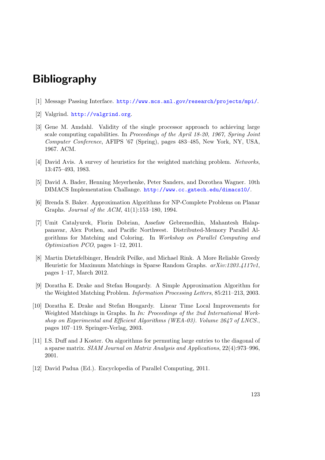# Bibliography

- [1] Message Passing Interface. <http://www.mcs.anl.gov/research/projects/mpi/>.
- [2] Valgrind. <http://valgrind.org>.
- [3] Gene M. Amdahl. Validity of the single processor approach to achieving large scale computing capabilities. In Proceedings of the April 18-20, 1967, Spring Joint Computer Conference, AFIPS '67 (Spring), pages 483–485, New York, NY, USA, 1967. ACM.
- [4] David Avis. A survey of heuristics for the weighted matching problem. Networks, 13:475–493, 1983.
- [5] David A. Bader, Henning Meyerhenke, Peter Sanders, and Dorothea Wagner. 10th DIMACS Implementation Challange. <http://www.cc.gatech.edu/dimacs10/>.
- [6] Brenda S. Baker. Approximation Algorithms for NP-Complete Problems on Planar Graphs. Journal of the ACM, 41(1):153–180, 1994.
- [7] Umit Catalyurek, Florin Dobrian, Assefaw Gebremedhin, Mahantesh Halappanavar, Alex Pothen, and Pacific Northwest. Distributed-Memory Parallel Algorithms for Matching and Coloring. In Workshop on Parallel Computing and Optimization PCO, pages 1–12, 2011.
- [8] Martin Dietzfelbinger, Hendrik Peilke, and Michael Rink. A More Reliable Greedy Heuristic for Maximum Matchings in Sparse Random Graphs. arXiv:1203.4117v1, pages 1–17, March 2012.
- [9] Doratha E. Drake and Stefan Hougardy. A Simple Approximation Algorithm for the Weighted Matching Problem. Information Processing Letters, 85:211–213, 2003.
- [10] Doratha E. Drake and Stefan Hougardy. Linear Time Local Improvements for Weighted Matchings in Graphs. In In: Proceedings of the 2nd International Workshop on Experimental and Efficient Algorithms (WEA-03). Volume 2647 of LNCS., pages 107–119. Springer-Verlag, 2003.
- [11] I.S. Duff and J Koster. On algorithms for permuting large entries to the diagonal of a sparse matrix. SIAM Journal on Matrix Analysis and Applications, 22(4):973–996, 2001.
- [12] David Padua (Ed.). Encyclopedia of Parallel Computing, 2011.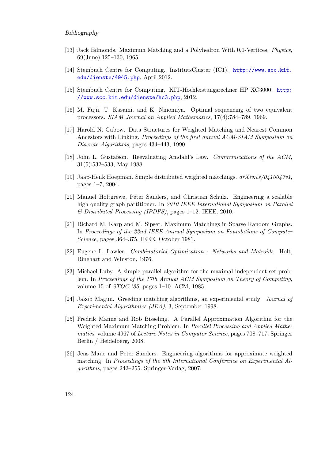#### Bibliography

- [13] Jack Edmonds. Maximum Matching and a Polyhedron With 0,1-Vertices. Physics, 69(June):125–130, 1965.
- [14] Steinbuch Centre for Computing. InstitutsCluster (IC1). [http://www.scc.kit.](http://www.scc.kit.edu/dienste/4945.php) [edu/dienste/4945.php](http://www.scc.kit.edu/dienste/4945.php), April 2012.
- [15] Steinbuch Centre for Computing. KIT-Hochleistungsrechner HP XC3000. [http:](http://www.scc.kit.edu/dienste/hc3.php) [//www.scc.kit.edu/dienste/hc3.php](http://www.scc.kit.edu/dienste/hc3.php), 2012.
- [16] M. Fujii, T. Kasami, and K. Ninomiya. Optimal sequencing of two equivalent processors. SIAM Journal on Applied Mathematics, 17(4):784–789, 1969.
- [17] Harold N. Gabow. Data Structures for Weighted Matching and Nearest Common Ancestors with Linking. Proceedings of the first annual ACM-SIAM Symposium on Discrete Algorithms, pages 434–443, 1990.
- [18] John L. Gustafson. Reevaluating Amdahl's Law. Communications of the ACM, 31(5):532–533, May 1988.
- [19] Jaap-Henk Hoepman. Simple distributed weighted matchings. arXiv:cs/0410047v1, pages 1–7, 2004.
- [20] Manuel Holtgrewe, Peter Sanders, and Christian Schulz. Engineering a scalable high quality graph partitioner. In 2010 IEEE International Symposium on Parallel & Distributed Processing (IPDPS), pages 1–12. IEEE, 2010.
- [21] Richard M. Karp and M. Sipser. Maximum Matchings in Sparse Random Graphs. In Proceedings of the 22nd IEEE Annual Symposium on Foundations of Computer Science, pages 364–375. IEEE, October 1981.
- [22] Eugene L. Lawler. Combinatorial Optimization : Networks and Matroids. Holt, Rinehart and Winston, 1976.
- [23] Michael Luby. A simple parallel algorithm for the maximal independent set problem. In Proceedings of the 17th Annual ACM Symposium on Theory of Computing, volume 15 of STOC '85, pages 1–10. ACM, 1985.
- [24] Jakob Magun. Greeding matching algorithms, an experimental study. Journal of Experimental Algorithmics (JEA), 3, September 1998.
- [25] Fredrik Manne and Rob Bisseling. A Parallel Approximation Algorithm for the Weighted Maximum Matching Problem. In Parallel Processing and Applied Mathematics, volume 4967 of Lecture Notes in Computer Science, pages 708–717. Springer Berlin / Heidelberg, 2008.
- [26] Jens Maue and Peter Sanders. Engineering algorithms for approximate weighted matching. In Proceedings of the 6th International Conference on Experimental Algorithms, pages 242–255. Springer-Verlag, 2007.